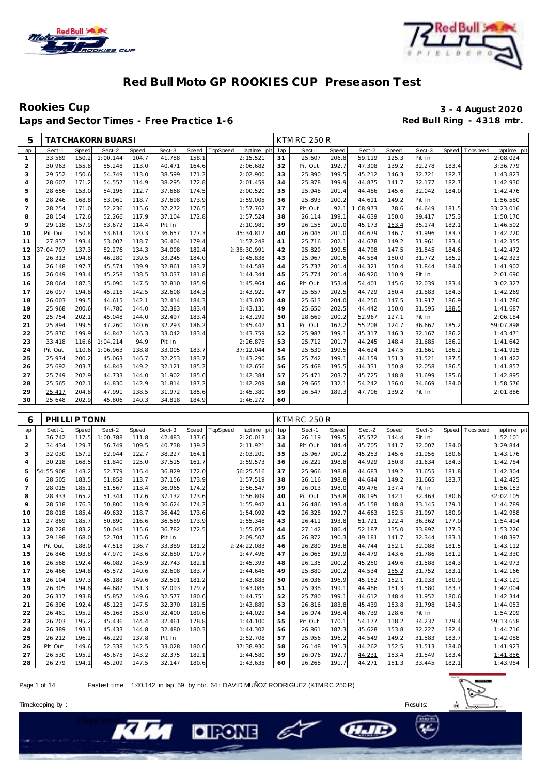



## Laps and Sector Times - Free Practice 1-6

# Rookies Cup<br>
13 - 4 August 2020<br>
Laps and Sector Times - Free Practice 1-6<br> **14 August 2020**<br>
Red Bull Ring - 4318 mtr.

| 5              |           |       | <b>TATCHAKORN BUARSI</b> |       |        |       |             |             |     | <b>KTM RC 250 R</b> |              |          |       |        |       |             |             |
|----------------|-----------|-------|--------------------------|-------|--------|-------|-------------|-------------|-----|---------------------|--------------|----------|-------|--------|-------|-------------|-------------|
| lap            | Sect-1    | Speed | Sect-2                   | Speed | Sect-3 | Speed | TopSpeed    | laptime pit | lap | Sect-1              | <b>Speed</b> | Sect-2   | Speed | Sect-3 | Speed | T ops pee d | laptime pit |
| $\mathbf{1}$   | 33.589    | 150.2 | 1:00.144                 | 104.7 | 41.788 | 158.1 |             | 2:15.521    | 31  | 25.607              | 206.8        | 59.119   | 125.3 | Pit In |       |             | 2:08.024    |
| 2              | 30.963    | 155.8 | 55.248                   | 113.0 | 40.471 | 164.6 |             | 2:06.682    | 32  | Pit Out             | 192.7        | 47.308   | 139.2 | 32.278 | 183.4 |             | 3:36.779    |
| 3              | 29.552    | 150.6 | 54.749                   | 113.0 | 38.599 | 171.2 |             | 2:02.900    | 33  | 25.890              | 199.5        | 45.212   | 146.3 | 32.721 | 182.7 |             | 1:43.823    |
| 4              | 28.607    | 171.2 | 54.557                   | 114.9 | 38.295 | 172.8 |             | 2:01.459    | 34  | 25.878              | 199.9        | 44.875   | 141.7 | 32.177 | 182.7 |             | 1:42.930    |
| 5              | 28.656    | 153.0 | 54.196                   | 112.7 | 37.668 | 174.5 |             | 2:00.520    | 35  | 25.948              | 201.4        | 44.486   | 145.6 | 32.042 | 184.0 |             | 1:42.476    |
| 6              | 28.246    | 168.8 | 53.061                   | 118.7 | 37.698 | 173.9 |             | 1:59.005    | 36  | 25.893              | 200.2        | 44.611   | 149.2 | Pit In |       |             | 1:56.580    |
| $\overline{7}$ | 28.254    | 171.0 | 52.236                   | 115.6 | 37.272 | 176.5 |             | 1:57.762    | 37  | Pit Out             | 92.1         | 1:08.973 | 78.6  | 44.649 | 181.5 |             | 33:23.016   |
| 8              | 28.154    | 172.6 | 52.266                   | 117.9 | 37.104 | 172.8 |             | 1:57.524    | 38  | 26.114              | 199.1        | 44.639   | 150.0 | 39.417 | 175.3 |             | 1:50.170    |
| 9              | 29.118    | 157.9 | 53.672                   | 114.4 | Pit In |       |             | 2:10.981    | 39  | 26.155              | 201.0        | 45.173   | 153.4 | 35.174 | 182.1 |             | 1:46.502    |
| 10             | Pit Out   | 150.8 | 53.614                   | 120.3 | 36.657 | 177.3 | 45:34.812   |             | 40  | 26.045              | 201.0        | 44.679   | 146.7 | 31.996 | 183.7 |             | 1:42.720    |
| 11             | 27.837    | 193.4 | 53.007                   | 118.7 | 36.404 | 179.4 |             | 1:57.248    | 41  | 25.716              | 202.1        | 44.678   | 149.2 | 31.961 | 183.4 |             | 1:42.355    |
| 12             | 37:04.707 | 137.3 | 52.276                   | 134.3 | 34.008 | 182.4 | 2:38:30.991 |             | 42  | 25.829              | 199.5        | 44.798   | 147.5 | 31.845 | 184.6 |             | 1:42.472    |
| 13             | 26.313    | 194.8 | 46.280                   | 139.5 | 33.245 | 184.0 |             | 1:45.838    | 43  | 25.967              | 200.6        | 44.584   | 150.0 | 31.772 | 185.2 |             | 1:42.323    |
| 14             | 26.148    | 197.7 | 45.574                   | 139.9 | 32.861 | 183.7 |             | 1:44.583    | 44  | 25.737              | 201.4        | 44.321   | 150.4 | 31.844 | 184.0 |             | 1:41.902    |
| 15             | 26.049    | 193.4 | 45.258                   | 138.5 | 33.037 | 181.8 |             | 1:44.344    | 45  | 25.774              | 201.4        | 46.920   | 110.9 | Pit In |       |             | 2:01.690    |
| 16             | 28.064    | 187.3 | 45.090                   | 147.5 | 32.810 | 185.9 |             | 1:45.964    | 46  | Pit Out             | 153.4        | 54.401   | 145.6 | 32.039 | 183.4 |             | 3:02.327    |
| 17             | 26.097    | 194.8 | 45.216                   | 142.5 | 32.608 | 184.3 |             | 1:43.921    | 47  | 25.657              | 202.5        | 44.729   | 150.4 | 31.883 | 184.3 |             | 1:42.269    |
| 18             | 26.003    | 199.5 | 44.615                   | 142.1 | 32.414 | 184.3 |             | 1:43.032    | 48  | 25.613              | 204.0        | 44.250   | 147.5 | 31.917 | 186.9 |             | 1:41.780    |
| 19             | 25.968    | 200.6 | 44.780                   | 144.0 | 32.383 | 183.4 |             | 1:43.131    | 49  | 25.650              | 202.5        | 44.442   | 150.0 | 31.595 | 188.5 |             | 1:41.687    |
| 20             | 25.754    | 202.1 | 45.048                   | 144.0 | 32.497 | 183.4 |             | 1:43.299    | 50  | 28.669              | 200.2        | 52.967   | 127.1 | Pit In |       |             | 2:06.184    |
| 21             | 25.894    | 199.5 | 47.260                   | 140.6 | 32.293 | 186.2 |             | 1:45.447    | 51  | Pit Out             | 167.2        | 55.208   | 124.7 | 36.667 | 185.2 |             | 59:07.898   |
| 22             | 25.870    | 199.9 | 44.847                   | 146.3 | 33.042 | 183.4 |             | 1:43.759    | 52  | 25.987              | 199.1        | 45.317   | 146.3 | 32.167 | 186.2 |             | 1:43.471    |
| 23             | 33.418    | 116.6 | 1:04.214                 | 94.9  | Pit In |       |             | 2:26.876    | 53  | 25.712              | 201.7        | 44.245   | 148.4 | 31.685 | 186.2 |             | 1:41.642    |
| 24             | Pit Out   | 110.6 | 1:06.963                 | 138.8 | 33.005 | 183.7 | 37:12.044   |             | 54  | 25.630              | 199.5        | 44.624   | 147.5 | 31.661 | 186.2 |             | 1:41.915    |
| 25             | 25.974    | 200.2 | 45.063                   | 146.7 | 32.253 | 183.7 |             | 1:43.290    | 55  | 25.742              | 199.1        | 44.159   | 151.3 | 31.521 | 187.5 |             | 1:41.422    |
| 26             | 25.692    | 203.7 | 44.843                   | 149.2 | 32.121 | 185.2 |             | 1:42.656    | 56  | 25.468              | 195.5        | 44.331   | 150.8 | 32.058 | 186.5 |             | 1:41.857    |
| 27             | 25.749    | 202.9 | 44.733                   | 144.0 | 31.902 | 185.6 |             | 1:42.384    | 57  | 25.471              | 203.7        | 45.725   | 148.8 | 31.699 | 185.6 |             | 1:42.895    |
| 28             | 25.565    | 202.1 | 44.830                   | 142.9 | 31.814 | 187.2 |             | 1:42.209    | 58  | 29.665              | 132.1        | 54.242   | 136.0 | 34.669 | 184.0 |             | 1:58.576    |
| 29             | 25.417    | 204.8 | 47.991                   | 138.5 | 31.972 | 185.6 |             | 1:45.380    | 59  | 26.547              | 189.3        | 47.706   | 139.2 | Pit In |       |             | 2:01.886    |
| 30             | 25.648    | 202.9 | 45.806                   | 140.3 | 34.818 | 184.9 |             | 1:46.272    | 60  |                     |              |          |       |        |       |             |             |
|                |           |       |                          |       |        |       |             |             |     |                     |              |          |       |        |       |             |             |

| 6              | PHILLIP TONN |       |          |       |        |       |                         |     | <b>KTM RC 250 R</b> |       |        |       |        |       |                           |
|----------------|--------------|-------|----------|-------|--------|-------|-------------------------|-----|---------------------|-------|--------|-------|--------|-------|---------------------------|
| lap            | Sect-1       | Speed | Sect-2   | Speed | Sect-3 | Speed | TopSpeed<br>laptime pit | lap | Sect-1              | Speed | Sect-2 | Speed | Sect-3 | Speed | T ops peed<br>laptime pit |
| $\mathbf{1}$   | 36.742       | 117.5 | 1:00.788 | 111.8 | 42.483 | 137.6 | 2:20.013                | 33  | 26.119              | 199.5 | 45.572 | 144.4 | Pit In |       | 1:52.101                  |
| 2              | 34.434       | 129.7 | 56.749   | 109.5 | 40.738 | 139.2 | 2:11.921                | 34  | Pit Out             | 184.4 | 45.705 | 141.7 | 32.007 | 184.0 | 3:29.844                  |
| 3              | 32.030       | 157.2 | 52.944   | 122.7 | 38.227 | 164.1 | 2:03.201                | 35  | 25.967              | 200.2 | 45.253 | 145.6 | 31.956 | 180.6 | 1:43.176                  |
| $\overline{4}$ | 30.218       | 168.5 | 51.840   | 125.0 | 37.515 | 161.7 | 1:59.573                | 36  | 26.221              | 198.8 | 44.929 | 150.8 | 31.634 | 184.3 | 1:42.784                  |
| 5              | 54:55.908    | 143.2 | 52.779   | 116.4 | 36.829 | 172.0 | 56:25.516               | 37  | 25.966              | 198.8 | 44.683 | 149.2 | 31.655 | 181.8 | 1:42.304                  |
| 6              | 28.505       | 183.5 | 51.858   | 113.7 | 37.156 | 173.9 | 1:57.519                | 38  | 26.116              | 198.8 | 44.644 | 149.2 | 31.665 | 183.7 | 1:42.425                  |
| $\overline{7}$ | 28.015       | 185.1 | 51.567   | 113.4 | 36.965 | 174.2 | 1:56.547                | 39  | 26.013              | 198.0 | 49.476 | 137.4 | Pit In |       | 1:56.153                  |
| 8              | 28.333       | 165.2 | 51.344   | 117.6 | 37.132 | 173.6 | 1:56.809                | 40  | Pit Out             | 153.8 | 48.195 | 142.1 | 32.463 | 180.6 | 32:02.105                 |
| 9              | 28.518       | 176.3 | 50.800   | 118.9 | 36.624 | 174.2 | 1:55.942                | 41  | 26.486              | 193.4 | 45.158 | 148.8 | 33.145 | 179.1 | 1:44.789                  |
| 10             | 28.018       | 185.4 | 49.632   | 118.7 | 36.442 | 173.6 | 1:54.092                | 42  | 26.328              | 192.7 | 44.663 | 152.5 | 31.997 | 180.9 | 1:42.988                  |
| 11             | 27.869       | 185.7 | 50.890   | 116.6 | 36.589 | 173.9 | 1:55.348                | 43  | 26.411              | 193.8 | 51.721 | 122.4 | 36.362 | 177.0 | 1:54.494                  |
| 12             | 28.228       | 183.2 | 50.048   | 115.6 | 36.782 | 172.5 | 1:55.058                | 44  | 27.142              | 186.4 | 52.187 | 135.0 | 33.897 | 177.3 | 1:53.226                  |
| 13             | 29.198       | 168.0 | 52.704   | 115.6 | Pit In |       | 2:09.507                | 45  | 26.872              | 190.3 | 49.181 | 141.7 | 32.344 | 183.1 | 1:48.397                  |
| 14             | Pit Out      | 188.0 | 47.518   | 136.7 | 33.389 | 181.2 | 2:24:22.083             | 46  | 26.280              | 193.8 | 44.744 | 152.1 | 32.088 | 181.5 | 1:43.112                  |
| 15             | 26.846       | 193.8 | 47.970   | 143.6 | 32.680 | 179.7 | 1:47.496                | 47  | 26.065              | 199.9 | 44.479 | 143.6 | 31.786 | 181.2 | 1:42.330                  |
| 16             | 26.568       | 192.4 | 46.082   | 145.9 | 32.743 | 182.1 | 1:45.393                | 48  | 26.135              | 200.2 | 45.250 | 149.6 | 31.588 | 184.3 | 1:42.973                  |
| 17             | 26.466       | 194.8 | 45.572   | 140.6 | 32.608 | 183.7 | 1:44.646                | 49  | 25.880              | 200.2 | 44.534 | 155.2 | 31.752 | 183.1 | 1:42.166                  |
| 18             | 26.104       | 197.3 | 45.188   | 149.6 | 32.591 | 181.2 | 1:43.883                | 50  | 26.036              | 196.9 | 45.152 | 152.1 | 31.933 | 180.9 | 1:43.121                  |
| 19             | 26.305       | 194.8 | 44.687   | 151.3 | 32.093 | 179.7 | 1:43.085                | 51  | 25.938              | 199.1 | 44.486 | 151.3 | 31.580 | 183.7 | 1:42.004                  |
| 20             | 26.317       | 193.8 | 45.857   | 149.6 | 32.577 | 180.6 | 1:44.751                | 52  | 25.780              | 199.1 | 44.612 | 148.4 | 31.952 | 180.6 | 1:42.344                  |
| 21             | 26.396       | 192.4 | 45.123   | 147.5 | 32.370 | 181.5 | 1:43.889                | 53  | 26.816              | 183.8 | 45.439 | 153.8 | 31.798 | 184.3 | 1:44.053                  |
| 22             | 26.461       | 195.2 | 45.168   | 153.0 | 32.400 | 180.6 | 1:44.029                | 54  | 26.074              | 198.4 | 46.739 | 128.6 | Pit In |       | 1:54.209                  |
| 23             | 26.203       | 195.2 | 45.436   | 144.4 | 32.461 | 178.8 | 1:44.100                | 55  | Pit Out             | 170.1 | 54.177 | 118.2 | 34.237 | 179.4 | 59:13.658                 |
| 24             | 26.389       | 193.1 | 45.433   | 144.8 | 32.480 | 180.3 | 1:44.302                | 56  | 26.861              | 187.3 | 45.628 | 153.8 | 32.227 | 182.4 | 1:44.716                  |
| 25             | 26.212       | 196.2 | 46.229   | 137.8 | Pit In |       | 1:52.708                | 57  | 25.956              | 196.2 | 44.549 | 149.2 | 31.583 | 183.7 | 1:42.088                  |
| 26             | Pit Out      | 149.6 | 52.338   | 142.5 | 33.028 | 180.6 | 37:38.930               | 58  | 26.148              | 191.3 | 44.262 | 152.5 | 31.513 | 184.0 | 1:41.923                  |
| 27             | 26.530       | 195.2 | 45.675   | 143.2 | 32.375 | 182.1 | 1:44.580                | 59  | 26.076              | 192.7 | 44.231 | 153.4 | 31.549 | 183.4 | 1:41.856                  |
| 28             | 26.279       | 194.1 | 45.209   | 147.5 | 32.147 | 180.6 | 1:43.635                | 60  | 26.268              | 191.7 | 44.271 | 151.3 | 33.445 | 182.1 | 1:43.984                  |

e

Page 1 of 14 Fastest time : 1:40.142 in lap 59 by nbr. 64 : DAVID MUÑOZ RODRIGUEZ (KTM RC 250 R)

**DIRONE** 



**CHAID**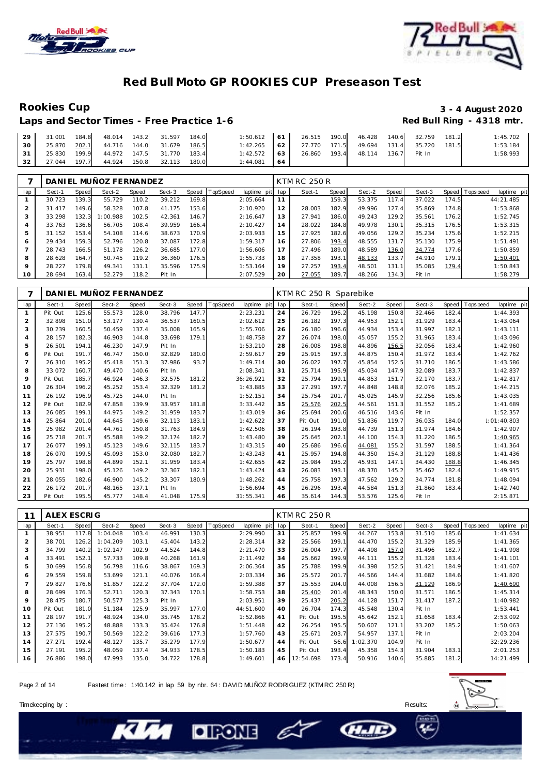



### **Rookies Cup 3 - 4 August 2020** Red Bull Ring - 4318 mtr.

| Laps and Sector Times - Free Practice 1-6 |  |
|-------------------------------------------|--|
|-------------------------------------------|--|

| 29 <sup>1</sup> | 31.001 | 184.8 48.014 143.2 31.597              |  | 184.0 | 1:50.612 61 26.515 190.0 46.428              |    |  |              |       | 140.6 32.759 181.2 |       | 1:45.702 |
|-----------------|--------|----------------------------------------|--|-------|----------------------------------------------|----|--|--------------|-------|--------------------|-------|----------|
| 30 I            |        | 25.870  202.1  44.716  144.0  31.679   |  | 186.5 | 1:42.265 62 27.770 171.5 49.694 131.4 35.720 |    |  |              |       |                    | 181.5 | 1:53.184 |
| $31 \mid$       |        | 25.830 199.9 44.972 147.5 31.770 183.4 |  |       | 1:42.572 63 26.860                           |    |  | 193.4 48.114 | 136.7 | Pit In             |       | 1:58.993 |
| 32 <sub>1</sub> |        | 27.044 197.7 44.924 150.8 32.113 180.0 |  |       | 1:44.081                                     | 64 |  |              |       |                    |       |          |

|     |        |       | DANIEL MUÑOZ FERNANDEZ |       |        |       |                |             |     | <b>KTM RC 250 R</b> |       |        |         |        |       |                               |
|-----|--------|-------|------------------------|-------|--------|-------|----------------|-------------|-----|---------------------|-------|--------|---------|--------|-------|-------------------------------|
| lap | Sect-1 | Speed | Sect-2                 | Speed | Sect-3 |       | Speed TopSpeed | laptime pit | lap | Sect-1              | Speed | Sect-2 | Speed ! | Sect-3 |       | Speed Topspeed<br>laptime pit |
|     | 30.723 | 139.3 | 55.729                 | 110.2 | 39.212 | 169.8 |                | 2:05.664    | 11  |                     | 159.3 | 53.375 | 117.4   | 37.022 | 174.5 | 44:21.485                     |
|     | 31.417 | 149.6 | 58.328                 | 107.8 | 41.175 | 153.6 |                | 2:10.920    | 12  | 28.003              | 182.9 | 49.996 | 127.4   | 35.869 | 174.8 | 1:53.868                      |
| 3   | 33.298 | 132.3 | 1:00.988               | 102.5 | 42.361 | 146.7 |                | 2:16.647    | 13  | 27.941              | 186.0 | 49.243 | 129.2   | 35.561 | 176.2 | 1:52.745                      |
| 4   | 33.763 | 136.6 | 56.705                 | 108.4 | 39.959 | 166.4 |                | 2:10.427    | 14  | 28.022              | 184.8 | 49.978 | 130.1   | 35.315 | 176.5 | 1:53.315                      |
| 5   | 31.152 | 153.4 | 54.108                 | 114.6 | 38.673 | 170.9 |                | 2:03.933    | 15  | 27.925              | 182.6 | 49.056 | 129.2   | 35.234 | 175.6 | 1:52.215                      |
| 6   | 29.434 | 159.3 | 52.796                 | 120.8 | 37.087 | 172.8 |                | 1:59.317    | 16  | 27.806              | 193.4 | 48.555 | 131.7   | 35.130 | 175.9 | 1:51.491                      |
|     | 28.743 | 166.5 | 51.178                 | 126.2 | 36.685 | 177.0 |                | 1:56.606    | 17  | 27.496              | 189.0 | 48.589 | 136.0   | 34.774 | 177.6 | 1:50.859                      |
| 8   | 28.628 | 164.7 | 50.745                 | 119.2 | 36.360 | 176.5 |                | 1:55.733    | 18  | 27.358              | 193.1 | 48.133 | 133.7   | 34.910 | 179.1 | 1:50.401                      |
| 9   | 28.227 | 179.8 | 49.341                 | 131.1 | 35.596 | 175.9 |                | 1:53.164    | 19  | 27.257              | 193.4 | 48.501 | 131.1   | 35.085 | 179.4 | 1:50.843                      |
| 10  | 28.694 | 163.4 | 52.279                 | 118.2 | Pit In |       |                | 2:07.529    | 20  | 27.055              | 189.7 | 48.266 | 134.3   | Pit In |       | 1:58.279                      |

| 7              |         |       | DANIEL MUÑOZ FERNANDEZ |       |        |       |                         |     | KTM RC 250 R Sparebike |       |        |       |        |       |            |             |
|----------------|---------|-------|------------------------|-------|--------|-------|-------------------------|-----|------------------------|-------|--------|-------|--------|-------|------------|-------------|
| lap            | Sect-1  | Speed | Sect-2                 | Speed | Sect-3 | Speed | TopSpeed<br>laptime pit | lap | Sect-1                 | Speed | Sect-2 | Speed | Sect-3 | Speed | Tops pee d | laptime pit |
|                | Pit Out | 125.6 | 55.573                 | 128.0 | 38.796 | 147.7 | 2:23.231                | 24  | 26.729                 | 196.2 | 45.198 | 150.8 | 32.466 | 182.4 |            | 1:44.393    |
| 2              | 32.898  | 151.0 | 53.177                 | 130.4 | 36.537 | 160.5 | 2:02.612                | 25  | 26.182                 | 197.3 | 44.953 | 152.1 | 31.929 | 183.4 |            | 1:43.064    |
| 3              | 30.239  | 160.5 | 50.459                 | 137.4 | 35.008 | 165.9 | 1:55.706                | 26  | 26.180                 | 196.6 | 44.934 | 153.4 | 31.997 | 182.1 |            | 1:43.111    |
| 4              | 28.157  | 182.3 | 46.903                 | 144.8 | 33.698 | 179.1 | 1:48.758                | 27  | 26.074                 | 198.0 | 45.057 | 155.2 | 31.965 | 183.4 |            | 1:43.096    |
| 5              | 26.501  | 194.1 | 46.230                 | 147.9 | Pit In |       | 1:53.210                | 28  | 26.008                 | 198.8 | 44.896 | 156.5 | 32.056 | 183.4 |            | 1:42.960    |
| 6              | Pit Out | 191.7 | 46.747                 | 150.0 | 32.829 | 180.0 | 2:59.617                | 29  | 25.915                 | 197.3 | 44.875 | 150.4 | 31.972 | 183.4 |            | 1:42.762    |
| $\overline{7}$ | 26.310  | 195.2 | 45.418                 | 151.3 | 37.986 | 93.7  | 1:49.714                | 30  | 26.022                 | 197.7 | 45.854 | 152.5 | 31.710 | 186.5 |            | 1:43.586    |
| 8              | 33.072  | 160.7 | 49.470                 | 140.6 | Pit In |       | 2:08.341                | 31  | 25.714                 | 195.9 | 45.034 | 147.9 | 32.089 | 183.7 |            | 1:42.837    |
| 9              | Pit Out | 185.7 | 46.924                 | 146.3 | 32.575 | 181.2 | 36:26.921               | 32  | 25.794                 | 199.1 | 44.853 | 151.7 | 32.170 | 183.7 |            | 1:42.817    |
| 10             | 26.304  | 196.2 | 45.252                 | 153.4 | 32.329 | 181.2 | 1:43.885                | 33  | 27.291                 | 197.7 | 44.848 | 148.8 | 32.076 | 185.2 |            | 1:44.215    |
| 11             | 26.192  | 196.9 | 45.725                 | 144.0 | Pit In |       | 1:52.151                | 34  | 25.754                 | 201.7 | 45.025 | 145.9 | 32.256 | 185.6 |            | 1:43.035    |
| 12             | Pit Out | 182.9 | 47.858                 | 139.9 | 33.957 | 181.8 | 3:33.442                | 35  | 25.576                 | 202.5 | 44.561 | 151.3 | 31.552 | 185.2 |            | 1:41.689    |
| 13             | 26.085  | 199.1 | 44.975                 | 149.2 | 31.959 | 183.7 | 1:43.019                | 36  | 25.694                 | 200.6 | 46.516 | 143.6 | Pit In |       |            | 1:52.357    |
| 14             | 25.864  | 201.0 | 44.645                 | 149.6 | 32.113 | 183.1 | 1:42.622                | 37  | Pit Out                | 191.0 | 51.836 | 119.7 | 36.035 | 184.0 |            | 1:01:40.803 |
| 15             | 25.982  | 201.4 | 44.761                 | 150.8 | 31.763 | 184.9 | 1:42.506                | 38  | 26.194                 | 193.8 | 44.739 | 151.3 | 31.974 | 184.6 |            | 1:42.907    |
| 16             | 25.718  | 201.7 | 45.588                 | 149.2 | 32.174 | 182.7 | 1:43.480                | 39  | 25.645                 | 202.1 | 44.100 | 154.3 | 31.220 | 186.5 |            | 1:40.965    |
| 17             | 26.077  | 199.1 | 45.123                 | 149.6 | 32.115 | 183.7 | 1:43.315                | 40  | 25.686                 | 196.6 | 44.081 | 155.2 | 31.597 | 188.5 |            | 1:41.364    |
| 18             | 26.070  | 199.5 | 45.093                 | 153.0 | 32.080 | 182.7 | 1:43.243                | 41  | 25.957                 | 194.8 | 44.350 | 154.3 | 31.129 | 188.8 |            | 1:41.436    |
| 19             | 25.797  | 198.8 | 44.899                 | 152.1 | 31.959 | 183.4 | 1:42.655                | 42  | 25.984                 | 195.2 | 45.931 | 147.1 | 34.430 | 188.8 |            | 1:46.345    |
| 20             | 25.931  | 198.0 | 45.126                 | 149.2 | 32.367 | 182.1 | 1:43.424                | 43  | 26.083                 | 193.1 | 48.370 | 145.2 | 35.462 | 182.4 |            | 1:49.915    |
| 21             | 28.055  | 182.6 | 46.900                 | 145.2 | 33.307 | 180.9 | 1:48.262                | 44  | 25.758                 | 197.3 | 47.562 | 129.2 | 34.774 | 181.8 |            | 1:48.094    |
| 22             | 26.172  | 201.7 | 48.165                 | 137.1 | Pit In |       | 1:56.694                | 45  | 26.296                 | 193.4 | 44.584 | 151.3 | 31.860 | 183.4 |            | 1:42.740    |
| 23             | Pit Out | 195.5 | 45.777                 | 148.4 | 41.048 | 175.9 | 31:55.341               | 46  | 35.614                 | 144.3 | 53.576 | 125.6 | Pit In |       |            | 2:15.871    |

| 11             | ALEX ESCRIG |       |          |       |        |       |         |             |     | <b>KTM RC 250 R</b> |       |          |       |        |       |             |                |
|----------------|-------------|-------|----------|-------|--------|-------|---------|-------------|-----|---------------------|-------|----------|-------|--------|-------|-------------|----------------|
| lap            | Sect-1      | Speed | Sect-2   | Speed | Sect-3 | Speed | opSpeed | laptime pit | lap | Sect-1              | Speed | Sect-2   | Speed | Sect-3 | Speed | T ops pee d | laptime<br>pit |
|                | 38.951      | 117.8 | 1:04.048 | 103.4 | 46.991 | 130.3 |         | 2:29.990    | 31  | 25.857              | 199.9 | 44.267   | 153.8 | 31.510 | 185.6 |             | 1:41.634       |
| 2              | 38.701      | 126.2 | 1:04.209 | 103.1 | 45.404 | 143.2 |         | 2:28.314    | 32  | 25.566              | 199.1 | 44.470   | 155.2 | 31.329 | 185.9 |             | 1:41.365       |
| 3              | 34.799      | 140.2 | 1:02.147 | 102.9 | 44.524 | 144.8 |         | 2:21.470    | 33  | 26.004              | 197.7 | 44.498   | 157.0 | 31.496 | 182.7 |             | 1:41.998       |
| 4              | 33.491      | 152.7 | 57.733   | 109.8 | 40.268 | 161.9 |         | 2:11.492    | 34  | 25.662              | 199.9 | 44.111   | 155.2 | 31.328 | 183.4 |             | 1:41.101       |
| 5              | 30.699      | 156.8 | 56.798   | 116.6 | 38.867 | 169.3 |         | 2:06.364    | 35  | 25.788              | 199.9 | 44.398   | 152.5 | 31.421 | 184.9 |             | 1:41.607       |
| 6              | 29.559      | 159.8 | 53.699   | 121.1 | 40.076 | 166.4 |         | 2:03.334    | 36  | 25.572              | 201.7 | 44.566   | 144.4 | 31.682 | 184.6 |             | 1:41.820       |
| $\overline{7}$ | 29.827      | 176.6 | 51.857   | 122.2 | 37.704 | 172.0 |         | 1:59.388    | 37  | 25.553              | 204.0 | 44.008   | 156.5 | 31.129 | 186.9 |             | 1:40.690       |
| 8              | 28.699      | 176.3 | 52.711   | 120.3 | 37.343 | 170.1 |         | 1:58.753    | 38  | 25.400              | 201.4 | 48.343   | 150.0 | 31.571 | 186.5 |             | 1:45.314       |
| 9              | 28.475      | 180.7 | 50.577   | 125.3 | Pit In |       |         | 2:03.951    | 39  | 25.437              | 205.2 | 44.128   | 151.7 | 31.417 | 187.2 |             | 1:40.982       |
| 10             | Pit Out     | 181.0 | 51.184   | 125.9 | 35.997 | 177.0 |         | 44:51.600   | 40  | 26.704              | 174.3 | 45.548   | 130.4 | Pit In |       |             | 1:53.441       |
| 11             | 28.197      | 191.7 | 48.924   | 134.0 | 35.745 | 178.2 |         | 1:52.866    | 41  | Pit Out             | 195.5 | 45.642   | 152.1 | 31.658 | 183.4 |             | 2:53.092       |
| 12             | 27.136      | 195.2 | 48.888   | 133.3 | 35.424 | 176.8 |         | 1:51.448    | 42  | 26.254              | 195.5 | 50.607   | 121.1 | 33.202 | 185.2 |             | 1:50.063       |
| 13             | 27.575      | 190.7 | 50.569   | 122.2 | 39.616 | 177.3 |         | 1:57.760    | 43  | 25.671              | 203.7 | 54.957   | 137.1 | Pit In |       |             | 2:03.204       |
| 14             | 27.271      | 192.4 | 48.127   | 135.7 | 35.279 | 177.9 |         | 1:50.677    | 44  | Pit Out             | 56.6  | 1:02.370 | 104.9 | Pit In |       |             | 32:29.236      |
| 15             | 27.191      | 195.2 | 48.059   | 137.4 | 34.933 | 178.5 |         | 1:50.183    | 45  | Pit Out             | 193.4 | 45.358   | 154.3 | 31.904 | 183.1 |             | 2:01.253       |
| 16             | 26.886      | 198.0 | 47.993   | 135.0 | 34.722 | 178.8 |         | 1:49.601    | 46  | 2:54.698            | 173.4 | 50.916   | 140.6 | 35.885 | 181.2 |             | 14:21.499      |

Page 2 of 14 Fastest time : 1:40.142 in lap 59 by nbr. 64 : DAVID MUÑOZ RODRIGUEZ (KTM RC 250 R)

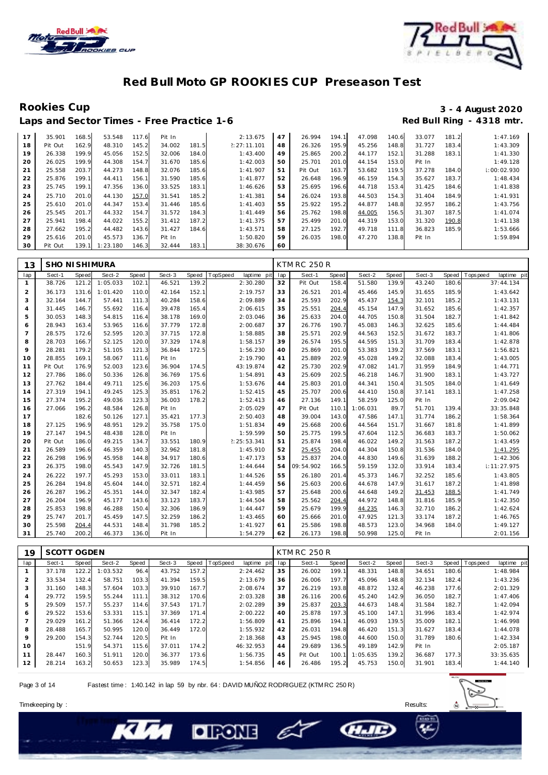



Laps and Sector Times - Free Practice 1-6

## Rookies Cup<br>
1920 - 3 - 4 August 2020<br>
Red Bull Ring - 4318 mtr.

| 17 | 35.901  | 168.5 | 53.548   | 117.6 | Pit In |       | 2:13.675    | 47 | 26.994  | 194.1 | 47.098 | 140.6 | 33.077 | 181.2 | 1:47.169        |
|----|---------|-------|----------|-------|--------|-------|-------------|----|---------|-------|--------|-------|--------|-------|-----------------|
| 18 | Pit Out | 162.9 | 48.310   | 145.2 | 34.002 | 181.5 | 2:27:11.101 | 48 | 26.326  | 195.9 | 45.256 | 148.8 | 31.727 | 183.4 | 1:43.309        |
| 19 | 26.338  | 199.9 | 45.056   | 152.5 | 32.006 | 184.0 | 1:43.400    | 49 | 25.865  | 200.2 | 44.177 | 152.1 | 31.288 | 183.1 | 1:41.330        |
| 20 | 26.025  | 199.9 | 44.308   | 154.7 | 31.670 | 185.6 | 1:42.003    | 50 | 25.701  | 201.0 | 44.154 | 153.0 | Pit In |       | 1:49.128        |
| 21 | 25.558  | 203.7 | 44.273   | 148.8 | 32.076 | 185.6 | 1:41.907    | 51 | Pit Out | 163.7 | 53.682 | 119.5 | 37.278 | 184.0 | $\pm 00:02.930$ |
| 22 | 25.876  | 199.1 | 44.411   | 156.1 | 31.590 | 185.6 | 1:41.877    | 52 | 26.648  | 196.9 | 46.159 | 154.3 | 35.627 | 183.7 | 1:48.434        |
| 23 | 25.745  | 199.1 | 47.356   | 136.0 | 33.525 | 183.1 | 1:46.626    | 53 | 25.695  | 196.6 | 44.718 | 153.4 | 31.425 | 184.6 | 1:41.838        |
| 24 | 25.710  | 201.0 | 44.130   | 157.0 | 31.541 | 185.2 | 1:41.381    | 54 | 26.024  | 193.8 | 44.503 | 154.3 | 31.404 | 184.9 | 1:41.931        |
| 25 | 25.610  | 201.0 | 44.347   | 153.4 | 31.446 | 185.6 | 1:41.403    | 55 | 25.922  | 195.2 | 44.877 | 148.8 | 32.957 | 186.2 | 1:43.756        |
| 26 | 25.545  | 201.7 | 44.332   | 154.7 | 31.572 | 184.3 | 1:41.449    | 56 | 25.762  | 198.8 | 44.005 | 156.5 | 31.307 | 187.5 | 1:41.074        |
| 27 | 25.941  | 198.4 | 44.022   | 155.2 | 31.412 | 187.2 | 1:41.375    | 57 | 25.499  | 201.0 | 44.319 | 153.0 | 31.320 | 190.8 | 1:41.138        |
| 28 | 27.662  | 195.2 | 44.482   | 143.6 | 31.427 | 184.6 | 1:43.571    | 58 | 27.125  | 192.7 | 49.718 | 111.8 | 36.823 | 185.9 | 1:53.666        |
| 29 | 25.616  | 201.0 | 45.573   | 136.7 | Pit In |       | 1:50.820    | 59 | 26.035  | 198.0 | 47.270 | 138.8 | Pit In |       | 1:59.894        |
| 30 | Pit Out | 139.1 | 1:23.180 | 146.3 | 32.444 | 183.1 | 38:30.676   | 60 |         |       |        |       |        |       |                 |

| 13              | <b>SHO NI SHIMURA</b> |       |          |       |        |       |                         |     | <b>KTM RC 250 R</b> |       |          |       |        |       |                           |
|-----------------|-----------------------|-------|----------|-------|--------|-------|-------------------------|-----|---------------------|-------|----------|-------|--------|-------|---------------------------|
| lap             | Sect-1                | Speed | Sect-2   | Speed | Sect-3 | Speed | TopSpeed<br>laptime pit | lap | Sect-1              | Speed | Sect-2   | Speed | Sect-3 | Speed | T ops peed<br>laptime pit |
| $\overline{1}$  | 38.726                | 121.2 | 1:05.033 | 102.1 | 46.521 | 139.2 | 2:30.280                | 32  | Pit Out             | 158.4 | 51.580   | 139.9 | 43.240 | 180.6 | 37:44.134                 |
| 2               | 36.173                | 131.6 | 1:01.420 | 110.0 | 42.164 | 152.1 | 2:19.757                | 33  | 26.521              | 201.4 | 45.466   | 145.9 | 31.655 | 185.9 | 1:43.642                  |
| 3               | 32.164                | 144.7 | 57.441   | 111.3 | 40.284 | 158.6 | 2:09.889                | 34  | 25.593              | 202.9 | 45.437   | 154.3 | 32.101 | 185.2 | 1:43.131                  |
| $\overline{4}$  | 31.445                | 146.7 | 55.692   | 116.4 | 39.478 | 165.4 | 2:06.615                | 35  | 25.551              | 204.4 | 45.154   | 147.9 | 31.652 | 185.6 | 1:42.357                  |
| 5               | 30.053                | 148.3 | 54.815   | 116.4 | 38.178 | 169.0 | 2:03.046                | 36  | 25.633              | 204.0 | 44.705   | 150.8 | 31.504 | 182.7 | 1:41.842                  |
| 6               | 28.943                | 163.4 | 53.965   | 116.6 | 37.779 | 172.8 | 2:00.687                | 37  | 26.776              | 190.7 | 45.083   | 146.3 | 32.625 | 185.6 | 1:44.484                  |
| $7\overline{ }$ | 28.575                | 172.6 | 52.595   | 120.3 | 37.715 | 172.8 | 1:58.885                | 38  | 25.571              | 202.9 | 44.563   | 152.5 | 31.672 | 183.7 | 1:41.806                  |
| 8               | 28.703                | 166.7 | 52.125   | 120.0 | 37.329 | 174.8 | 1:58.157                | 39  | 26.574              | 195.5 | 44.595   | 151.3 | 31.709 | 183.4 | 1:42.878                  |
| 9               | 28.281                | 179.2 | 51.105   | 121.3 | 36.844 | 172.5 | 1:56.230                | 40  | 25.869              | 201.0 | 53.383   | 139.2 | 37.569 | 183.1 | 1:56.821                  |
| 10              | 28.855                | 169.1 | 58.067   | 111.6 | Pit In |       | 2:19.790                | 41  | 25.889              | 202.9 | 45.028   | 149.2 | 32.088 | 183.4 | 1:43.005                  |
| 11              | Pit Out               | 176.9 | 52.003   | 123.6 | 36.904 | 174.5 | 43:19.874               | 42  | 25.730              | 202.9 | 47.082   | 141.7 | 31.959 | 184.9 | 1:44.771                  |
| 12              | 27.786                | 186.0 | 50.336   | 126.8 | 36.769 | 175.6 | 1:54.891                | 43  | 25.609              | 202.5 | 46.218   | 146.7 | 31.900 | 183.1 | 1:43.727                  |
| 13              | 27.762                | 184.4 | 49.711   | 125.6 | 36.203 | 175.6 | 1:53.676                | 44  | 25.803              | 201.0 | 44.341   | 150.4 | 31.505 | 184.0 | 1:41.649                  |
| 14              | 27.319                | 194.1 | 49.245   | 125.3 | 35.851 | 176.2 | 1:52.415                | 45  | 25.707              | 200.6 | 44.410   | 150.8 | 37.141 | 183.1 | 1:47.258                  |
| 15              | 27.374                | 195.2 | 49.036   | 123.3 | 36.003 | 178.2 | 1:52.413                | 46  | 27.136              | 149.1 | 58.259   | 125.0 | Pit In |       | 2:09.042                  |
| 16              | 27.066                | 196.2 | 48.584   | 126.8 | Pit In |       | 2:05.029                | 47  | Pit Out             | 110.1 | 1:06.031 | 89.7  | 51.701 | 139.4 | 33:35.848                 |
| 17              |                       | 182.6 | 50.126   | 127.1 | 35.421 | 177.3 | 2:50.403                | 48  | 39.004              | 143.0 | 47.586   | 147.1 | 31.774 | 186.2 | 1:58.364                  |
| 18              | 27.125                | 196.9 | 48.951   | 129.2 | 35.758 | 175.0 | 1:51.834                | 49  | 25.668              | 200.6 | 44.564   | 151.7 | 31.667 | 181.8 | 1:41.899                  |
| 19              | 27.147                | 194.5 | 48.438   | 128.0 | Pit In |       | 1:59.599                | 50  | 25.775              | 199.5 | 47.604   | 112.5 | 36.683 | 183.7 | 1:50.062                  |
| 20              | Pit Out               | 186.0 | 49.215   | 134.7 | 33.551 | 180.9 | ?: 25: 53.341           | 51  | 25.874              | 198.4 | 46.022   | 149.2 | 31.563 | 187.2 | 1:43.459                  |
| 21              | 26.589                | 196.6 | 46.359   | 140.3 | 32.962 | 181.8 | 1:45.910                | 52  | 25.455              | 204.0 | 44.304   | 150.8 | 31.536 | 184.0 | 1:41.295                  |
| 22              | 26.298                | 196.9 | 45.958   | 144.8 | 34.917 | 180.6 | 1:47.173                | 53  | 25.837              | 204.0 | 44.830   | 149.6 | 31.639 | 188.2 | 1:42.306                  |
| 23              | 26.375                | 198.0 | 45.543   | 147.9 | 32.726 | 181.5 | 1:44.644                | 54  | 09:54.902           | 166.5 | 59.159   | 132.0 | 33.914 | 183.4 | 1:11:27.975               |
| 24              | 26.222                | 197.7 | 45.293   | 153.0 | 33.011 | 183.1 | 1:44.526                | 55  | 26.180              | 201.4 | 45.373   | 146.7 | 32.252 | 185.6 | 1:43.805                  |
| 25              | 26.284                | 194.8 | 45.604   | 144.0 | 32.571 | 182.4 | 1:44.459                | 56  | 25.603              | 200.6 | 44.678   | 147.9 | 31.617 | 187.2 | 1:41.898                  |
| 26              | 26.287                | 196.2 | 45.351   | 144.0 | 32.347 | 182.4 | 1:43.985                | 57  | 25.648              | 200.6 | 44.648   | 149.2 | 31.453 | 188.5 | 1:41.749                  |
| 27              | 26.204                | 196.9 | 45.177   | 143.6 | 33.123 | 183.7 | 1:44.504                | 58  | 25.562              | 204.4 | 44.972   | 148.8 | 31.816 | 185.9 | 1:42.350                  |
| 28              | 25.853                | 198.8 | 46.288   | 150.4 | 32.306 | 186.9 | 1:44.447                | 59  | 25.679              | 199.9 | 44.235   | 146.3 | 32.710 | 186.2 | 1:42.624                  |
| 29              | 25.747                | 201.7 | 45.459   | 147.5 | 32.259 | 186.2 | 1:43.465                | 60  | 25.666              | 201.0 | 47.925   | 121.3 | 33.174 | 187.2 | 1:46.765                  |
| 30              | 25.598                | 204.4 | 44.531   | 148.4 | 31.798 | 185.2 | 1:41.927                | 61  | 25.586              | 198.8 | 48.573   | 123.0 | 34.968 | 184.0 | 1:49.127                  |
| 31              | 25.740                | 200.2 | 46.373   | 136.0 | Pit In |       | 1:54.279                | 62  | 26.173              | 198.8 | 50.998   | 125.0 | Pit In |       | 2:01.156                  |

| 19             | SCOTT OGDEN |       |          |       |        |       |          |             |     | <b>KTM RC 250 R</b> |       |          |       |        |       |                  |             |
|----------------|-------------|-------|----------|-------|--------|-------|----------|-------------|-----|---------------------|-------|----------|-------|--------|-------|------------------|-------------|
| lap            | Sect-1      | Speed | Sect-2   | Speed | Sect-3 | Speed | TopSpeed | laptime pit | lap | Sect-1              | Speed | Sect-2   | Speed | Sect-3 |       | Speed   Topspeed | laptime pit |
|                | 37.178      | 122.2 | 1:03.532 | 96.4  | 43.752 | 157.2 |          | 2:24.462    | 35  | 26.002              | 199.1 | 48.331   | 148.8 | 34.651 | 180.6 |                  | 1:48.984    |
| $\overline{2}$ | 33.534      | 132.4 | 58.751   | 103.3 | 41.394 | 159.5 |          | 2:13.679    | 36  | 26.006              | 197.7 | 45.096   | 148.8 | 32.134 | 182.4 |                  | 1:43.236    |
| 3              | 31.160      | 148.3 | 57.604   | 103.3 | 39.910 | 167.7 |          | 2:08.674    | 37  | 26.219              | 193.8 | 48.872   | 132.4 | 46.238 | 177.6 |                  | 2:01.329    |
| $\overline{4}$ | 29.772      | 159.5 | 55.244   | 111.1 | 38.312 | 170.6 |          | 2:03.328    | 38  | 26.116              | 200.6 | 45.240   | 142.9 | 36.050 | 182.7 |                  | 1:47.406    |
| 5              | 29.509      | 157.7 | 55.237   | 114.6 | 37.543 | 171.7 |          | 2:02.289    | 39  | 25.837              | 203.3 | 44.673   | 148.4 | 31.584 | 182.7 |                  | 1:42.094    |
| 6              | 29.522      | 153.6 | 53.331   | 115.1 | 37.369 | 171.4 |          | 2:00.222    | 40  | 25.878              | 197.3 | 45.100   | 147.1 | 31.996 | 183.4 |                  | 1:42.974    |
|                | 29.029      | 161.2 | 51.366   | 124.4 | 36.414 | 172.2 |          | 1:56.809    | 41  | 25.896              | 194.1 | 46.093   | 139.5 | 35.009 | 182.1 |                  | 1:46.998    |
| 8              | 28.488      | 165.7 | 50.995   | 120.0 | 36.449 | 172.0 |          | 1:55.932    | 42  | 26.031              | 194.8 | 46.420   | 151.3 | 31.627 | 183.4 |                  | 1:44.078    |
| 9              | 29.200      | 154.3 | 52.744   | 120.5 | Pit In |       |          | 2:18.368    | 43  | 25.945              | 198.0 | 44.600   | 150.0 | 31.789 | 180.6 |                  | 1:42.334    |
| 10             |             | 151.9 | 54.371   | 115.6 | 37.011 | 174.2 |          | 46: 32.953  | 44  | 29.689              | 136.5 | 49.189   | 142.9 | Pit In |       |                  | 2:05.187    |
| 11             | 28.447      | 160.3 | 51.911   | 120.0 | 36.377 | 173.6 |          | 1:56.735    | 45  | Pit Out             | 100.1 | 1:05.635 | 139.2 | 36.687 | 177.3 |                  | 33:35.635   |
| 12             | 28.214      | 163.2 | 50.653   | 123.3 | 35.989 | 174.5 |          | 1:54.856    | 46  | 26.486              | 195.2 | 45.753   | 150.0 | 31.901 | 183.4 |                  | 1:44.140    |

E

**CHAIL** 

Page 3 of 14 Fastest time : 1:40.142 in lap 59 by nbr. 64 : DAVID MUÑOZ RODRIGUEZ (KTM RC 250 R)

**DIRONE** 

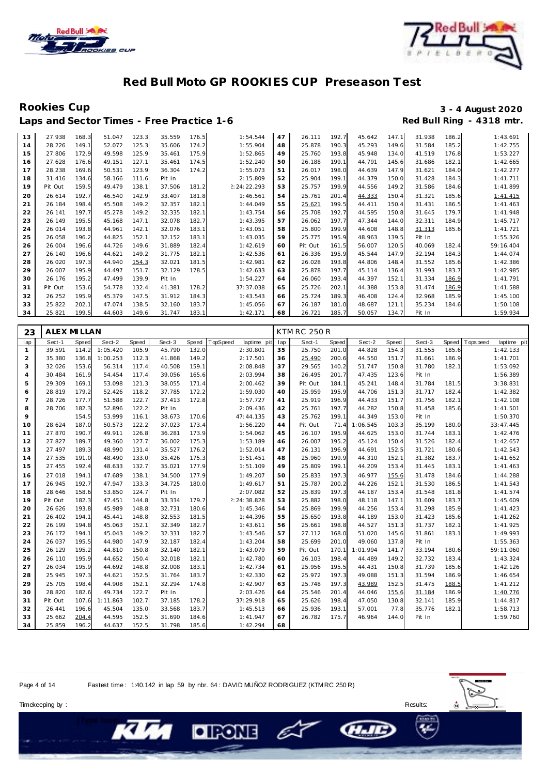



Laps and Sector Times - Free Practice 1-6

## Rookies Cup<br>
1920 - 3 - 4 August 2020<br>
Red Bull Ring - 4318 mtr.

| 13 | 27.938  | 168.3 | 51.047 | 123.3 | 35.559 | 176.5 | 1:54.544    | 47 | 26.111  | 192.7 | 45.642 | 147.1 | 31.938 | 186.2 | 1:43.691  |
|----|---------|-------|--------|-------|--------|-------|-------------|----|---------|-------|--------|-------|--------|-------|-----------|
| 14 | 28.226  | 149.1 | 52.072 | 125.3 | 35.606 | 174.2 | 1:55.904    | 48 | 25.878  | 190.3 | 45.293 | 149.6 | 31.584 | 185.2 | 1:42.755  |
| 15 | 27.806  | 172.9 | 49.598 | 125.9 | 35.461 | 175.9 | 1:52.865    | 49 | 25.760  | 193.8 | 45.948 | 134.0 | 41.519 | 176.8 | 1:53.227  |
| 16 | 27.628  | 176.6 | 49.151 | 127.1 | 35.461 | 174.5 | 1:52.240    | 50 | 26.188  | 199.1 | 44.791 | 145.6 | 31.686 | 182.7 | 1:42.665  |
| 17 | 28.238  | 169.6 | 50.531 | 123.9 | 36.304 | 174.2 | 1:55.073    | 51 | 26.017  | 198.0 | 44.639 | 147.9 | 31.621 | 184.0 | 1:42.277  |
| 18 | 31.416  | 134.6 | 58.166 | 111.6 | Pit In |       | 2:15.809    | 52 | 25.904  | 199.1 | 44.379 | 150.0 | 31.428 | 184.3 | 1:41.711  |
| 19 | Pit Out | 159.5 | 49.479 | 138.1 | 37.506 | 181.2 | 2:24:22.293 | 53 | 25.757  | 199.9 | 44.556 | 149.2 | 31.586 | 184.6 | 1:41.899  |
| 20 | 26.614  | 192.7 | 46.540 | 142.9 | 33.407 | 181.8 | 1:46.561    | 54 | 25.761  | 201.4 | 44.333 | 150.4 | 31.321 | 185.6 | 1:41.415  |
| 21 | 26.184  | 198.4 | 45.508 | 149.2 | 32.357 | 182.1 | 1:44.049    | 55 | 25.621  | 199.5 | 44.411 | 150.4 | 31.431 | 186.5 | 1:41.463  |
| 22 | 26.141  | 197.7 | 45.278 | 149.2 | 32.335 | 182.1 | 1:43.754    | 56 | 25.708  | 192.7 | 44.595 | 150.8 | 31.645 | 179.7 | 1:41.948  |
| 23 | 26.149  | 195.5 | 45.168 | 147.1 | 32.078 | 182.7 | 1:43.395    | 57 | 26.062  | 197.7 | 47.344 | 144.0 | 32.311 | 184.9 | 1:45.717  |
| 24 | 26.014  | 193.8 | 44.961 | 142.1 | 32.076 | 183.1 | 1:43.051    | 58 | 25.800  | 199.9 | 44.608 | 148.8 | 31.313 | 185.6 | 1:41.721  |
| 25 | 26.058  | 196.2 | 44.825 | 152.1 | 32.152 | 183.1 | 1:43.035    | 59 | 25.775  | 195.9 | 48.963 | 139.5 | Pit In |       | 1:55.326  |
| 26 | 26.004  | 196.6 | 44.726 | 149.6 | 31.889 | 182.4 | 1:42.619    | 60 | Pit Out | 161.5 | 56.007 | 120.5 | 40.069 | 182.4 | 59:16.404 |
| 27 | 26.140  | 196.6 | 44.621 | 149.2 | 31.775 | 182.7 | 1:42.536    | 61 | 26.336  | 195.9 | 45.544 | 147.9 | 32.194 | 184.3 | 1:44.074  |
| 28 | 26.020  | 197.3 | 44.940 | 154.3 | 32.021 | 181.5 | 1:42.981    | 62 | 26.028  | 193.8 | 44.806 | 148.4 | 31.552 | 185.6 | 1:42.386  |
| 29 | 26.007  | 195.9 | 44.497 | 151.7 | 32.129 | 178.5 | 1:42.633    | 63 | 25.878  | 197.7 | 45.114 | 136.4 | 31.993 | 183.7 | 1:42.985  |
| 30 | 26.176  | 195.2 | 47.499 | 139.9 | Pit In |       | 1:54.227    | 64 | 26.060  | 193.4 | 44.397 | 152.1 | 31.334 | 186.9 | 1:41.791  |
| 31 | Pit Out | 153.6 | 54.778 | 132.4 | 41.381 | 178.2 | 37:37.038   | 65 | 25.726  | 202.1 | 44.388 | 153.8 | 31.474 | 186.9 | 1:41.588  |
| 32 | 26.252  | 195.9 | 45.379 | 147.5 | 31.912 | 184.3 | 1:43.543    | 66 | 25.724  | 189.3 | 46.408 | 124.4 | 32.968 | 185.9 | 1:45.100  |
| 33 | 25.822  | 202.1 | 47.074 | 138.5 | 32.160 | 183.7 | 1:45.056    | 67 | 26.187  | 181.0 | 48.687 | 121.1 | 35.234 | 184.6 | 1:50.108  |
| 34 | 25.821  | 199.5 | 44.603 | 149.6 | 31.747 | 183.1 | 1:42.171    | 68 | 26.721  | 185.7 | 50.057 | 134.7 | Pit In |       | 1:59.934  |

| 23             | ALEX MILLAN |       |          |       |        |              |                         |     | <b>KTM RC 250 R</b> |       |          |       |        |       |            |             |
|----------------|-------------|-------|----------|-------|--------|--------------|-------------------------|-----|---------------------|-------|----------|-------|--------|-------|------------|-------------|
| lap            | Sect-1      | Speed | Sect-2   | Speed | Sect-3 | <b>Speed</b> | TopSpeed<br>laptime pit | lap | Sect-1              | Speed | Sect-2   | Speed | Sect-3 | Speed | T ops peed | laptime pit |
| $\mathbf{1}$   | 39.591      | 114.2 | 1:05.420 | 105.9 | 45.790 | 132.0        | 2:30.801                | 35  | 25.750              | 201.0 | 44.828   | 154.3 | 31.555 | 185.6 |            | 1:42.133    |
| 2              | 35.380      | 136.8 | 1:00.253 | 112.3 | 41.868 | 149.2        | 2:17.501                | 36  | 25.490              | 200.6 | 44.550   | 151.7 | 31.661 | 186.9 |            | 1:41.701    |
| 3              | 32.026      | 153.6 | 56.314   | 117.4 | 40.508 | 159.1        | 2:08.848                | 37  | 29.565              | 140.2 | 51.747   | 150.8 | 31.780 | 182.1 |            | 1:53.092    |
| $\overline{4}$ | 30.484      | 161.9 | 54.454   | 117.4 | 39.056 | 165.6        | 2:03.994                | 38  | 26.495              | 201.7 | 47.435   | 123.6 | Pit In |       |            | 1:56.389    |
| 5              | 29.309      | 169.1 | 53.098   | 121.3 | 38.055 | 171.4        | 2:00.462                | 39  | Pit Out             | 184.1 | 45.241   | 148.4 | 31.784 | 181.5 |            | 3:38.831    |
| 6              | 28.819      | 179.2 | 52.426   | 118.2 | 37.785 | 172.2        | 1:59.030                | 40  | 25.959              | 195.9 | 44.706   | 151.3 | 31.717 | 182.4 |            | 1:42.382    |
| $\overline{7}$ | 28.726      | 177.7 | 51.588   | 122.7 | 37.413 | 172.8        | 1:57.727                | 41  | 25.919              | 196.9 | 44.433   | 151.7 | 31.756 | 182.1 |            | 1:42.108    |
| 8              | 28.706      | 182.3 | 52.896   | 122.2 | Pit In |              | 2:09.436                | 42  | 25.761              | 197.7 | 44.282   | 150.8 | 31.458 | 185.6 |            | 1:41.501    |
| 9              |             | 154.5 | 53.999   | 116.1 | 38.673 | 170.6        | 47:44.135               | 43  | 25.762              | 199.1 | 44.349   | 153.0 | Pit In |       |            | 1:50.370    |
| 10             | 28.624      | 187.0 | 50.573   | 122.2 | 37.023 | 173.4        | 1:56.220                | 44  | Pit Out             | 71.4  | 1:06.545 | 103.3 | 35.199 | 180.0 |            | 33:47.445   |
| 11             | 27.870      | 190.7 | 49.911   | 126.8 | 36.281 | 173.9        | 1:54.062                | 45  | 26.107              | 195.9 | 44.625   | 153.0 | 31.744 | 183.1 |            | 1:42.476    |
| 12             | 27.827      | 189.7 | 49.360   | 127.7 | 36.002 | 175.3        | 1:53.189                | 46  | 26.007              | 195.2 | 45.124   | 150.4 | 31.526 | 182.4 |            | 1:42.657    |
| 13             | 27.497      | 189.3 | 48.990   | 131.4 | 35.527 | 176.2        | 1:52.014                | 47  | 26.131              | 196.9 | 44.691   | 152.5 | 31.721 | 180.6 |            | 1:42.543    |
| 14             | 27.535      | 191.0 | 48.490   | 133.0 | 35.426 | 175.3        | 1:51.451                | 48  | 25.960              | 199.9 | 44.310   | 152.1 | 31.382 | 183.7 |            | 1:41.652    |
| 15             | 27.455      | 192.4 | 48.633   | 132.7 | 35.021 | 177.9        | 1:51.109                | 49  | 25.809              | 199.1 | 44.209   | 153.4 | 31.445 | 183.1 |            | 1:41.463    |
| 16             | 27.018      | 194.1 | 47.689   | 138.1 | 34.500 | 177.9        | 1:49.207                | 50  | 25.833              | 197.3 | 46.977   | 155.6 | 31.478 | 184.6 |            | 1:44.288    |
| 17             | 26.945      | 192.7 | 47.947   | 133.3 | 34.725 | 180.0        | 1:49.617                | 51  | 25.787              | 200.2 | 44.226   | 152.1 | 31.530 | 186.5 |            | 1:41.543    |
| 18             | 28.646      | 158.6 | 53.850   | 124.7 | Pit In |              | 2:07.082                | 52  | 25.839              | 197.3 | 44.187   | 153.4 | 31.548 | 181.8 |            | 1:41.574    |
| 19             | Pit Out     | 182.3 | 47.451   | 144.8 | 33.334 | 179.7        | !:24:38.828             | 53  | 25.882              | 198.0 | 48.118   | 147.1 | 31.609 | 183.7 |            | 1:45.609    |
| 20             | 26.626      | 193.8 | 45.989   | 148.8 | 32.731 | 180.6        | 1:45.346                | 54  | 25.869              | 199.9 | 44.256   | 153.4 | 31.298 | 185.9 |            | 1:41.423    |
| 21             | 26.402      | 194.1 | 45.441   | 148.8 | 32.553 | 181.5        | 1:44.396                | 55  | 25.650              | 193.8 | 44.189   | 153.0 | 31.423 | 185.6 |            | 1:41.262    |
| 22             | 26.199      | 194.8 | 45.063   | 152.1 | 32.349 | 182.7        | 1:43.611                | 56  | 25.661              | 198.8 | 44.527   | 151.3 | 31.737 | 182.1 |            | 1:41.925    |
| 23             | 26.172      | 194.1 | 45.043   | 149.2 | 32.331 | 182.7        | 1:43.546                | 57  | 27.112              | 168.0 | 51.020   | 145.6 | 31.861 | 183.1 |            | 1:49.993    |
| 24             | 26.037      | 195.5 | 44.980   | 147.9 | 32.187 | 182.4        | 1:43.204                | 58  | 25.699              | 201.0 | 49.060   | 137.8 | Pit In |       |            | 1:55.363    |
| 25             | 26.129      | 195.2 | 44.810   | 150.8 | 32.140 | 182.1        | 1:43.079                | 59  | Pit Out             | 170.1 | 1:01.994 | 141.7 | 33.194 | 180.6 |            | 59:11.060   |
| 26             | 26.110      | 195.9 | 44.652   | 150.4 | 32.018 | 182.1        | 1:42.780                | 60  | 26.103              | 198.4 | 44.489   | 149.2 | 32.732 | 183.4 |            | 1:43.324    |
| 27             | 26.034      | 195.9 | 44.692   | 148.8 | 32.008 | 183.1        | 1:42.734                | 61  | 25.956              | 195.5 | 44.431   | 150.8 | 31.739 | 185.6 |            | 1:42.126    |
| 28             | 25.945      | 197.3 | 44.621   | 152.5 | 31.764 | 183.7        | 1:42.330                | 62  | 25.972              | 197.3 | 49.088   | 151.3 | 31.594 | 186.9 |            | 1:46.654    |
| 29             | 25.705      | 198.4 | 44.908   | 152.1 | 32.294 | 174.8        | 1:42.907                | 63  | 25.748              | 197.3 | 43.989   | 152.5 | 31.475 | 188.5 |            | 1:41.212    |
| 30             | 28.820      | 182.6 | 49.734   | 122.7 | Pit In |              | 2:03.426                | 64  | 25.546              | 201.4 | 44.046   | 155.6 | 31.184 | 186.9 |            | 1:40.776    |
| 31             | Pit Out     | 107.6 | 1:11.863 | 102.7 | 37.185 | 178.2        | 37:29.918               | 65  | 25.626              | 198.4 | 47.050   | 130.8 | 32.141 | 185.9 |            | 1:44.817    |
| 32             | 26.441      | 196.6 | 45.504   | 135.0 | 33.568 | 183.7        | 1:45.513                | 66  | 25.936              | 193.1 | 57.001   | 77.8  | 35.776 | 182.1 |            | 1:58.713    |
| 33             | 25.662      | 204.4 | 44.595   | 152.5 | 31.690 | 184.6        | 1:41.947                | 67  | 26.782              | 175.7 | 46.964   | 144.0 | Pit In |       |            | 1:59.760    |
| 34             | 25.859      | 196.2 | 44.637   | 152.5 | 31.798 | 185.6        | 1:42.294                | 68  |                     |       |          |       |        |       |            |             |

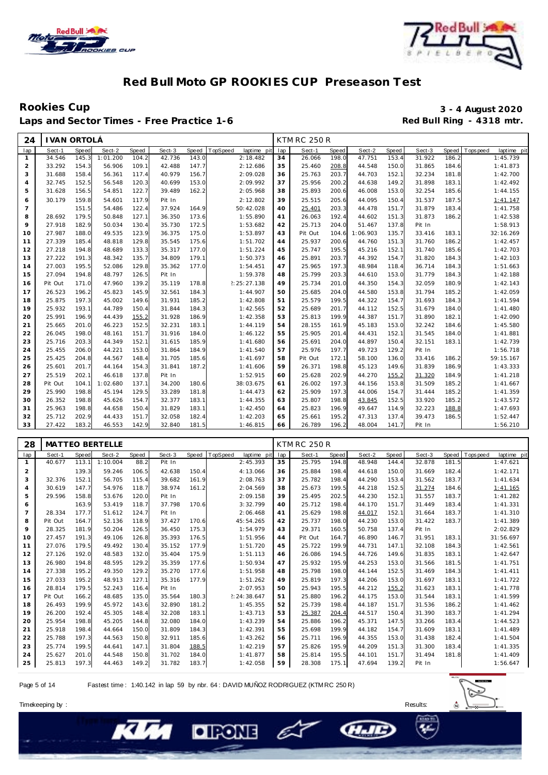



Laps and Sector Times - Free Practice 1-6

# Rookies Cup<br>
Laps and Sector Times - Free Practice 1-6 **1999 and Sector Times - Free Practice 1-6 3** - 4 August 2020

| 24              | I VAN ORTOLÁ |              |          |       |        |       |                         |     | <b>KTM RC 250 R</b> |              |          |       |        |       |                            |
|-----------------|--------------|--------------|----------|-------|--------|-------|-------------------------|-----|---------------------|--------------|----------|-------|--------|-------|----------------------------|
| lap             | Sect-1       | <b>Speed</b> | Sect-2   | Speed | Sect-3 | Speed | TopSpeed<br>laptime pit | lap | Sect-1              | <b>Speed</b> | Sect-2   | Speed | Sect-3 | Speed | laptime pit<br>T ops pee d |
| $\mathbf{1}$    | 34.546       | 145.3        | 1:01.200 | 104.2 | 42.736 | 143.0 | 2:18.482                | 34  | 26.066              | 198.0        | 47.751   | 153.4 | 31.922 | 186.2 | 1:45.739                   |
| $\overline{2}$  | 33.292       | 154.3        | 56.906   | 109.1 | 42.488 | 147.7 | 2:12.686                | 35  | 25.460              | 208.8        | 44.548   | 150.0 | 31.865 | 184.6 | 1:41.873                   |
| 3               | 31.688       | 158.4        | 56.361   | 117.4 | 40.979 | 156.7 | 2:09.028                | 36  | 25.763              | 203.7        | 44.703   | 152.1 | 32.234 | 181.8 | 1:42.700                   |
| $\overline{4}$  | 32.745       | 152.5        | 56.548   | 120.3 | 40.699 | 153.0 | 2:09.992                | 37  | 25.956              | 200.2        | 44.638   | 149.2 | 31.898 | 183.1 | 1:42.492                   |
| 5               | 31.628       | 156.5        | 54.851   | 122.7 | 39.489 | 162.2 | 2:05.968                | 38  | 25.893              | 200.6        | 46.008   | 153.0 | 32.254 | 185.6 | 1:44.155                   |
| 6               | 30.179       | 159.8        | 54.601   | 117.9 | Pit In |       | 2:12.802                | 39  | 25.515              | 205.6        | 44.095   | 150.4 | 31.537 | 187.5 | 1:41.147                   |
| $7\overline{ }$ |              | 151.5        | 54.486   | 122.4 | 37.924 | 164.9 | 50:42.028               | 40  | 25.401              | 203.3        | 44.478   | 151.7 | 31.879 | 183.4 | 1:41.758                   |
| 8               | 28.692       | 179.5        | 50.848   | 127.1 | 36.350 | 173.6 | 1:55.890                | 41  | 26.063              | 192.4        | 44.602   | 151.3 | 31.873 | 186.2 | 1:42.538                   |
| 9               | 27.918       | 182.9        | 50.034   | 130.4 | 35.730 | 172.5 | 1:53.682                | 42  | 25.713              | 204.0        | 51.467   | 137.8 | Pit In |       | 1:58.913                   |
| 10              | 27.987       | 188.0        | 49.535   | 123.9 | 36.375 | 175.0 | 1:53.897                | 43  | Pit Out             | 104.6        | 1:06.903 | 135.7 | 33.416 | 183.1 | 32:16.269                  |
| 11              | 27.339       | 185.4        | 48.818   | 129.8 | 35.545 | 175.6 | 1:51.702                | 44  | 25.937              | 200.6        | 44.760   | 151.3 | 31.760 | 186.2 | 1:42.457                   |
| 12              | 27.218       | 194.8        | 48.689   | 133.3 | 35.317 | 177.0 | 1:51.224                | 45  | 25.747              | 195.5        | 45.216   | 152.1 | 31.740 | 185.6 | 1:42.703                   |
| 13              | 27.222       | 191.3        | 48.342   | 135.7 | 34.809 | 179.1 | 1:50.373                | 46  | 25.891              | 203.7        | 44.392   | 154.7 | 31.820 | 184.3 | 1:42.103                   |
| 14              | 27.003       | 195.5        | 52.086   | 129.8 | 35.362 | 177.0 | 1:54.451                | 47  | 25.965              | 197.3        | 48.984   | 118.4 | 36.714 | 184.3 | 1:51.663                   |
| 15              | 27.094       | 194.8        | 48.797   | 126.5 | Pit In |       | 1:59.378                | 48  | 25.799              | 203.3        | 44.610   | 153.0 | 31.779 | 184.3 | 1:42.188                   |
| 16              | Pit Out      | 171.0        | 47.960   | 139.2 | 35.119 | 178.8 | 2:25:27.138             | 49  | 25.734              | 201.0        | 44.350   | 154.3 | 32.059 | 180.9 | 1:42.143                   |
| 17              | 26.523       | 196.2        | 45.823   | 145.9 | 32.561 | 184.3 | 1:44.907                | 50  | 25.685              | 204.0        | 44.580   | 153.8 | 31.794 | 185.2 | 1:42.059                   |
| 18              | 25.875       | 197.3        | 45.002   | 149.6 | 31.931 | 185.2 | 1:42.808                | 51  | 25.579              | 199.5        | 44.322   | 154.7 | 31.693 | 184.3 | 1:41.594                   |
| 19              | 25.932       | 193.1        | 44.789   | 150.4 | 31.844 | 184.3 | 1:42.565                | 52  | 25.689              | 201.7        | 44.112   | 152.5 | 31.679 | 184.0 | 1:41.480                   |
| 20              | 25.991       | 196.9        | 44.439   | 155.2 | 31.928 | 186.9 | 1:42.358                | 53  | 25.813              | 199.9        | 44.387   | 151.7 | 31.890 | 182.1 | 1:42.090                   |
| 21              | 25.665       | 201.0        | 46.223   | 152.5 | 32.231 | 183.1 | 1:44.119                | 54  | 28.155              | 161.9        | 45.183   | 153.0 | 32.242 | 184.6 | 1:45.580                   |
| 22              | 26.045       | 198.0        | 48.161   | 151.7 | 31.916 | 184.0 | 1:46.122                | 55  | 25.905              | 201.4        | 44.431   | 152.1 | 31.545 | 184.0 | 1:41.881                   |
| 23              | 25.716       | 203.3        | 44.349   | 152.1 | 31.615 | 185.9 | 1:41.680                | 56  | 25.691              | 204.0        | 44.897   | 150.4 | 32.151 | 183.1 | 1:42.739                   |
| 24              | 25.455       | 206.0        | 44.221   | 153.0 | 31.864 | 184.9 | 1:41.540                | 57  | 25.976              | 197.7        | 49.723   | 129.2 | Pit In |       | 1:56.718                   |
| 25              | 25.425       | 204.8        | 44.567   | 148.4 | 31.705 | 185.6 | 1:41.697                | 58  | Pit Out             | 172.1        | 58.100   | 136.0 | 33.416 | 186.2 | 59:15.167                  |
| 26              | 25.601       | 201.7        | 44.164   | 154.3 | 31.841 | 187.2 | 1:41.606                | 59  | 26.371              | 198.8        | 45.123   | 149.6 | 31.839 | 186.9 | 1:43.333                   |
| 27              | 25.519       | 202.1        | 46.618   | 137.8 | Pit In |       | 1:52.915                | 60  | 25.628              | 202.9        | 44.270   | 155.2 | 31.320 | 184.9 | 1:41.218                   |
| 28              | Pit Out      | 104.1        | 1:02.680 | 137.1 | 34.200 | 180.6 | 38:03.675               | 61  | 26.002              | 197.3        | 44.156   | 153.8 | 31.509 | 185.2 | 1:41.667                   |
| 29              | 25.990       | 198.8        | 45.194   | 129.5 | 33.289 | 181.8 | 1:44.473                | 62  | 25.909              | 197.3        | 44.006   | 154.7 | 31.444 | 185.2 | 1:41.359                   |
| 30              | 26.352       | 198.8        | 45.626   | 154.7 | 32.377 | 183.1 | 1:44.355                | 63  | 25.807              | 198.8        | 43.845   | 152.5 | 33.920 | 185.2 | 1:43.572                   |
| 31              | 25.963       | 198.8        | 44.658   | 150.4 | 31.829 | 183.1 | 1:42.450                | 64  | 25.823              | 196.9        | 49.647   | 114.9 | 32.223 | 188.8 | 1:47.693                   |
| 32              | 25.712       | 202.9        | 44.433   | 151.7 | 32.058 | 182.4 | 1:42.203                | 65  | 25.661              | 195.2        | 47.313   | 137.4 | 39.473 | 186.5 | 1:52.447                   |
| 33              | 27.422       | 183.2        | 46.553   | 142.9 | 32.840 | 181.5 | 1:46.815                | 66  | 26.789              | 196.2        | 48.004   | 141.7 | Pit In |       | 1:56.210                   |
|                 |              |              |          |       |        |       |                         |     |                     |              |          |       |        |       |                            |

| 28             |         |       | <b>MATTEO BERTELLE</b> |              |        |       |          |             |     | KTM RC 250 R |       |        |       |        |       |           |             |
|----------------|---------|-------|------------------------|--------------|--------|-------|----------|-------------|-----|--------------|-------|--------|-------|--------|-------|-----------|-------------|
| lap            | Sect-1  | Speed | Sect-2                 | <b>Speed</b> | Sect-3 | Speed | TopSpeed | laptime pit | lap | Sect-1       | Speed | Sect-2 | Speed | Sect-3 | Speed | Tops peed | laptime pit |
| -1             | 40.677  | 113.1 | 1:10.004               | 88.2         | Pit In |       |          | 2:45.393    | 35  | 25.795       | 194.8 | 48.948 | 144.4 | 32.878 | 181.5 |           | 1:47.621    |
| $\overline{c}$ |         | 139.3 | 59.246                 | 106.5        | 42.638 | 150.4 |          | 4:13.066    | 36  | 25.884       | 198.4 | 44.618 | 150.0 | 31.669 | 182.4 |           | 1:42.171    |
| 3              | 32.376  | 152.1 | 56.705                 | 115.4        | 39.682 | 161.9 |          | 2:08.763    | 37  | 25.782       | 198.4 | 44.290 | 153.4 | 31.562 | 183.7 |           | 1:41.634    |
| $\overline{4}$ | 30.619  | 147.7 | 54.976                 | 118.7        | 38.974 | 161.2 |          | 2:04.569    | 38  | 25.673       | 199.5 | 44.218 | 152.5 | 31.274 | 184.6 |           | 1:41.165    |
| 5              | 29.596  | 158.8 | 53.676                 | 120.0        | Pit In |       |          | 2:09.158    | 39  | 25.495       | 202.5 | 44.230 | 152.1 | 31.557 | 183.7 |           | 1:41.282    |
| 6              |         | 163.9 | 53.419                 | 118.7        | 37.798 | 170.6 |          | 3:32.799    | 40  | 25.712       | 198.4 | 44.170 | 151.7 | 31.449 | 183.4 |           | 1:41.331    |
| 7              | 28.334  | 177.7 | 51.612                 | 124.7        | Pit In |       |          | 2:06.468    | 41  | 25.629       | 198.8 | 44.017 | 152.1 | 31.664 | 183.7 |           | 1:41.310    |
| 8              | Pit Out | 164.7 | 52.136                 | 118.9        | 37.427 | 170.6 |          | 45:54.265   | 42  | 25.737       | 198.0 | 44.230 | 153.0 | 31.422 | 183.7 |           | 1:41.389    |
| 9              | 28.325  | 181.9 | 50.204                 | 126.5        | 36.450 | 175.3 |          | 1:54.979    | 43  | 29.371       | 160.5 | 50.758 | 137.4 | Pit In |       |           | 2:02.829    |
| 10             | 27.457  | 191.3 | 49.106                 | 126.8        | 35.393 | 176.5 |          | 1:51.956    | 44  | Pit Out      | 164.7 | 46.890 | 146.7 | 31.951 | 183.1 |           | 31:56.697   |
| 11             | 27.076  | 179.5 | 49.492                 | 130.4        | 35.152 | 177.9 |          | 1:51.720    | 45  | 25.722       | 199.9 | 44.731 | 147.1 | 32.108 | 184.3 |           | 1:42.561    |
| 12             | 27.126  | 192.0 | 48.583                 | 132.0        | 35.404 | 175.9 |          | 1:51.113    | 46  | 26.086       | 194.5 | 44.726 | 149.6 | 31.835 | 183.1 |           | 1:42.647    |
| 13             | 26.980  | 194.8 | 48.595                 | 129.2        | 35.359 | 177.6 |          | 1:50.934    | 47  | 25.932       | 195.9 | 44.253 | 153.0 | 31.566 | 181.5 |           | 1:41.751    |
| 14             | 27.338  | 195.2 | 49.350                 | 129.2        | 35.270 | 177.6 |          | 1:51.958    | 48  | 25.798       | 198.0 | 44.144 | 152.5 | 31.469 | 184.3 |           | 1: 41.411   |
| 15             | 27.033  | 195.2 | 48.913                 | 127.1        | 35.316 | 177.9 |          | 1:51.262    | 49  | 25.819       | 197.3 | 44.206 | 153.0 | 31.697 | 183.1 |           | 1:41.722    |
| 16             | 28.814  | 179.5 | 52.243                 | 116.4        | Pit In |       |          | 2:07.953    | 50  | 25.943       | 195.5 | 44.212 | 155.2 | 31.623 | 183.1 |           | 1:41.778    |
| 17             | Pit Out | 166.2 | 48.685                 | 135.0        | 35.564 | 180.3 |          | 2:24:38.647 | 51  | 25.880       | 196.2 | 44.175 | 153.0 | 31.544 | 183.1 |           | 1:41.599    |
| 18             | 26.493  | 199.9 | 45.972                 | 143.6        | 32.890 | 181.2 |          | 1:45.355    | 52  | 25.739       | 198.4 | 44.187 | 151.7 | 31.536 | 186.2 |           | 1:41.462    |
| 19             | 26.200  | 192.4 | 45.305                 | 148.4        | 32.208 | 183.1 |          | 1:43.713    | 53  | 25.387       | 204.4 | 44.517 | 150.4 | 31.390 | 183.7 |           | 1:41.294    |
| 20             | 25.954  | 198.8 | 45.205                 | 144.8        | 32.080 | 184.0 |          | 1:43.239    | 54  | 25.886       | 196.2 | 45.371 | 147.5 | 33.266 | 183.4 |           | 1:44.523    |
| 21             | 25.918  | 198.4 | 44.664                 | 150.0        | 31.809 | 184.3 |          | 1:42.391    | 55  | 25.698       | 199.9 | 44.182 | 154.7 | 31.609 | 183.1 |           | 1:41.489    |
| 22             | 25.788  | 197.3 | 44.563                 | 150.8        | 32.911 | 185.6 |          | 1:43.262    | 56  | 25.711       | 196.9 | 44.355 | 153.0 | 31.438 | 182.4 |           | 1:41.504    |
| 23             | 25.774  | 199.5 | 44.641                 | 147.1        | 31.804 | 188.5 |          | 1:42.219    | 57  | 25.826       | 195.9 | 44.209 | 151.3 | 31.300 | 183.4 |           | 1:41.335    |
| 24             | 25.627  | 201.0 | 44.548                 | 150.8        | 31.702 | 184.0 |          | 1:41.877    | 58  | 25.814       | 195.5 | 44.101 | 151.7 | 31.494 | 181.8 |           | 1:41.409    |
| 25             | 25.813  | 197.3 | 44.463                 | 149.2        | 31.782 | 183.7 |          | 1:42.058    | 59  | 28.308       | 175.1 | 47.694 | 139.2 | Pit In |       |           | 1:56.647    |

E

Page 5 of 14 Fastest time : 1:40.142 in lap 59 by nbr. 64 : DAVID MUÑOZ RODRIGUEZ (KTM RC 250 R)

**DIRONE** 



**CHAIL** 

Timekeeping by : Results: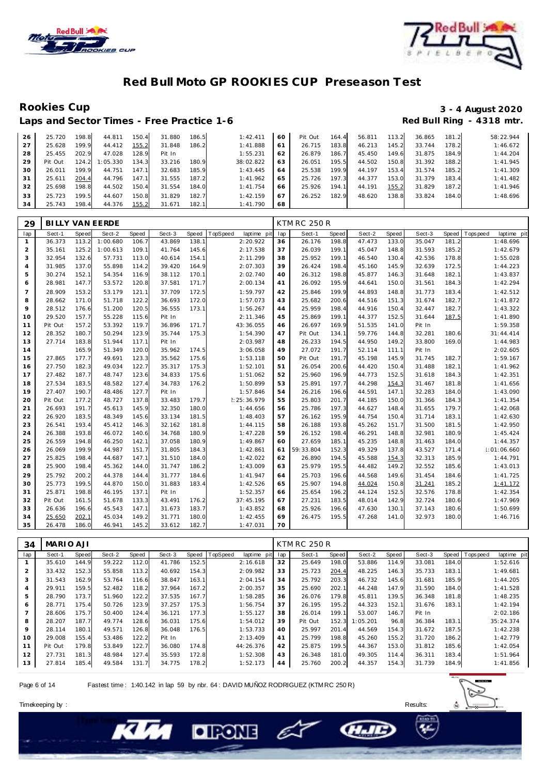



Rookies Cup<br>
1920 - 3 - 4 August 2020<br>
Red Bull Ring - 4318 mtr. Laps and Sector Times - Free Practice 1-6

| 26 | 25.720  | 198.8 | 44.811   | 150.4 | 31.880 | 186.5 | 1:42.411  | 60             | Pit Out | 164.4 | 56.811 | 113.2 | 36.865 | 181.2 | 58:22.944 |
|----|---------|-------|----------|-------|--------|-------|-----------|----------------|---------|-------|--------|-------|--------|-------|-----------|
| 27 | 25.628  | 199.9 | 44.412   | 155.2 | 31.848 | 186.2 | 1:41.888  | 6 <sup>1</sup> | 26.715  | 183.8 | 46.213 | 145.2 | 33.744 | 178.2 | 1:46.672  |
| 28 | 25.455  | 202.9 | 47.028   | 128.9 | Pit In |       | 1:55.231  | 62             | 26.879  | 186.7 | 45.450 | 149.6 | 31.875 | 184.9 | 1:44.204  |
| 29 | Pit Out | 124.2 | 1:05.330 | 134.3 | 33.216 | 180.9 | 38:02.822 | 63             | 26.051  | 195.5 | 44.502 | 150.8 | 31.392 | 188.2 | 1:41.945  |
| 30 | 26.011  | 199.9 | 44.751   | 147.  | 32.683 | 185.9 | 1:43.445  | 64             | 25.538  | 199.9 | 44.197 | 153.4 | 31.574 | 185.2 | 1:41.309  |
| 31 | 25.611  | 204.4 | 44.796   | 147.5 | 31.555 | 187.2 | 1:41.962  | 65             | 25.726  | 197.3 | 44.377 | 153.0 | 31.379 | 183.4 | 1:41.482  |
| 32 | 25.698  | 198.8 | 44.502   | 150.4 | 31.554 | 184.0 | 1:41.754  | 66             | 25.926  | 194.1 | 44.191 | 155.2 | 31.829 | 187.2 | 1:41.946  |
| 33 | 25.723  | 199.5 | 44.607   | 150.8 | 31.829 | 182.7 | 1:42.159  | 67             | 26.252  | 182.9 | 48.620 | 138.8 | 33.824 | 184.0 | 1:48.696  |
| 34 | 25.743  | 198.4 | 44.376   | 155.2 | 31.671 | 182.1 | 1:41.790  | 68             |         |       |        |       |        |       |           |

| 29             | <b>BILLY VAN EERDE</b> |       |          |       |        |       |                         |     | <b>KTM RC 250 R</b> |              |        |       |        |       |                         |
|----------------|------------------------|-------|----------|-------|--------|-------|-------------------------|-----|---------------------|--------------|--------|-------|--------|-------|-------------------------|
| lap            | Sect-1                 | Speed | Sect-2   | Speed | Sect-3 | Speed | TopSpeed<br>laptime pit | lap | Sect-1              | <b>Speed</b> | Sect-2 | Speed | Sect-3 | Speed | Topspeed<br>laptime pit |
| $\mathbf{1}$   | 36.373                 | 113.2 | 1:00.680 | 106.7 | 43.869 | 138.1 | 2:20.922                | 36  | 26.176              | 198.8        | 47.473 | 133.0 | 35.047 | 181.2 | 1:48.696                |
| 2              | 35.161                 | 125.2 | 1:00.613 | 109.1 | 41.764 | 145.6 | 2:17.538                | 37  | 26.039              | 199.1        | 45.047 | 148.8 | 31.593 | 185.2 | 1:42.679                |
| 3              | 32.954                 | 132.6 | 57.731   | 113.0 | 40.614 | 154.1 | 2:11.299                | 38  | 25.952              | 199.1        | 46.540 | 130.4 | 42.536 | 178.8 | 1:55.028                |
| $\overline{4}$ | 31.985                 | 137.0 | 55.898   | 114.2 | 39.420 | 164.9 | 2:07.303                | 39  | 26.424              | 198.4        | 45.160 | 145.9 | 32.639 | 172.5 | 1:44.223                |
| 5              | 30.274                 | 152.1 | 54.354   | 116.9 | 38.112 | 170.1 | 2:02.740                | 40  | 26.312              | 198.8        | 45.877 | 146.3 | 31.648 | 182.1 | 1:43.837                |
| 6              | 28.981                 | 147.7 | 53.572   | 120.8 | 37.581 | 171.7 | 2:00.134                | 41  | 26.092              | 195.9        | 44.641 | 150.0 | 31.561 | 184.3 | 1:42.294                |
| $\overline{7}$ | 28.909                 | 153.2 | 53.179   | 121.1 | 37.709 | 172.5 | 1:59.797                | 42  | 25.846              | 199.9        | 44.893 | 148.8 | 31.773 | 183.4 | 1:42.512                |
| 8              | 28.662                 | 171.0 | 51.718   | 122.2 | 36.693 | 172.0 | 1:57.073                | 43  | 25.682              | 200.6        | 44.516 | 151.3 | 31.674 | 182.7 | 1:41.872                |
| 9              | 28.512                 | 176.6 | 51.200   | 120.5 | 36.555 | 173.1 | 1:56.267                | 44  | 25.959              | 198.4        | 44.916 | 150.4 | 32.447 | 182.7 | 1:43.322                |
| 10             | 29.520                 | 157.7 | 55.228   | 115.6 | Pit In |       | 2:11.346                | 45  | 25.869              | 199.1        | 44.377 | 152.5 | 31.644 | 187.5 | 1:41.890                |
| 11             | Pit Out                | 157.2 | 53.392   | 119.7 | 36.896 | 171.7 | 43:36.055               | 46  | 26.697              | 169.9        | 51.535 | 141.0 | Pit In |       | 1:59.358                |
| 12             | 28.352                 | 180.7 | 50.294   | 123.9 | 35.744 | 175.3 | 1:54.390                | 47  | Pit Out             | 134.1        | 59.776 | 144.8 | 32.281 | 180.6 | 31:44.414               |
| 13             | 27.714                 | 183.8 | 51.944   | 117.1 | Pit In |       | 2:03.987                | 48  | 26.233              | 194.5        | 44.950 | 149.2 | 33.800 | 169.0 | 1:44.983                |
| 14             |                        | 165.9 | 51.349   | 120.0 | 35.962 | 174.5 | 3:06.058                | 49  | 27.072              | 191.7        | 52.114 | 111.1 | Pit In |       | 2:02.605                |
| 15             | 27.865                 | 177.7 | 49.691   | 123.3 | 35.562 | 175.6 | 1:53.118                | 50  | Pit Out             | 191.7        | 45.198 | 145.9 | 31.745 | 182.7 | 1:59.167                |
| 16             | 27.750                 | 182.3 | 49.034   | 122.7 | 35.317 | 175.3 | 1:52.101                | 51  | 26.054              | 200.6        | 44.420 | 150.4 | 31.488 | 182.1 | 1:41.962                |
| 17             | 27.482                 | 187.7 | 48.747   | 123.6 | 34.833 | 175.6 | 1:51.062                | 52  | 25.960              | 196.9        | 44.773 | 152.5 | 31.618 | 184.3 | 1:42.351                |
| 18             | 27.534                 | 183.5 | 48.582   | 127.4 | 34.783 | 176.2 | 1:50.899                | 53  | 25.891              | 197.7        | 44.298 | 154.3 | 31.467 | 181.8 | 1:41.656                |
| 19             | 27.407                 | 190.7 | 48.486   | 127.7 | Pit In |       | 1:57.846                | 54  | 26.216              | 196.6        | 44.591 | 147.1 | 32.283 | 184.0 | 1:43.090                |
| 20             | Pit Out                | 177.2 | 48.727   | 137.8 | 33.483 | 179.7 | 2:25:36.979             | 55  | 25.803              | 201.7        | 44.185 | 150.0 | 31.366 | 184.3 | 1:41.354                |
| 21             | 26.693                 | 191.7 | 45.613   | 145.9 | 32.350 | 180.0 | 1:44.656                | 56  | 25.786              | 197.3        | 44.627 | 148.4 | 31.655 | 179.7 | 1:42.068                |
| 22             | 26.920                 | 183.5 | 48.349   | 145.6 | 33.134 | 181.5 | 1:48.403                | 57  | 26.162              | 195.9        | 44.754 | 150.4 | 31.714 | 183.1 | 1:42.630                |
| 23             | 26.541                 | 193.4 | 45.412   | 146.3 | 32.162 | 181.8 | 1:44.115                | 58  | 26.188              | 193.8        | 45.262 | 151.7 | 31.500 | 181.5 | 1:42.950                |
| 24             | 26.388                 | 193.8 | 46.072   | 140.6 | 34.768 | 180.9 | 1:47.228                | 59  | 26.152              | 198.4        | 46.291 | 148.8 | 32.981 | 180.9 | 1:45.424                |
| 25             | 26.559                 | 194.8 | 46.250   | 142.1 | 37.058 | 180.9 | 1:49.867                | 60  | 27.659              | 185.1        | 45.235 | 148.8 | 31.463 | 184.0 | 1:44.357                |
| 26             | 26.069                 | 199.9 | 44.987   | 151.7 | 31.805 | 184.3 | 1:42.861                | 61  | 59:33.804           | 152.3        | 49.329 | 137.8 | 43.527 | 171.4 | :01:06.660              |
| 27             | 25.825                 | 198.4 | 44.687   | 147.1 | 31.510 | 184.0 | 1:42.022                | 62  | 26.890              | 194.5        | 45.588 | 154.3 | 32.313 | 185.9 | 1:44.791                |
| 28             | 25.900                 | 198.4 | 45.362   | 144.0 | 31.747 | 186.2 | 1:43.009                | 63  | 25.979              | 195.5        | 44.482 | 149.2 | 32.552 | 185.6 | 1:43.013                |
| 29             | 25.792                 | 200.2 | 44.378   | 144.4 | 31.777 | 184.6 | 1:41.947                | 64  | 25.703              | 196.6        | 44.568 | 149.6 | 31.454 | 184.6 | 1:41.725                |
| 30             | 25.773                 | 199.5 | 44.870   | 150.0 | 31.883 | 183.4 | 1:42.526                | 65  | 25.907              | 194.8        | 44.024 | 150.8 | 31.241 | 185.2 | 1:41.172                |
| 31             | 25.871                 | 198.8 | 46.195   | 137.1 | Pit In |       | 1:52.357                | 66  | 25.654              | 196.2        | 44.124 | 152.5 | 32.576 | 178.8 | 1:42.354                |
| 32             | Pit Out                | 161.5 | 51.678   | 133.3 | 43.491 | 176.2 | 37:45.195               | 67  | 27.231              | 183.5        | 48.014 | 142.9 | 32.724 | 180.6 | 1:47.969                |
| 33             | 26.636                 | 196.6 | 45.543   | 147.1 | 31.673 | 183.7 | 1:43.852                | 68  | 25.926              | 196.6        | 47.630 | 130.1 | 37.143 | 180.6 | 1:50.699                |
| 34             | 25.650                 | 202.1 | 45.034   | 149.2 | 31.771 | 180.0 | 1:42.455                | 69  | 26.475              | 195.5        | 47.268 | 141.0 | 32.973 | 180.0 | 1:46.716                |
| 35             | 26.478                 | 186.0 | 46.941   | 145.2 | 33.612 | 182.7 | 1:47.031                | 70  |                     |              |        |       |        |       |                         |

| 34             | MARIO AJI |       |        |       |        |       |                |             |     | <b>KTM RC 250 R</b> |       |          |       |        |       |                   |             |
|----------------|-----------|-------|--------|-------|--------|-------|----------------|-------------|-----|---------------------|-------|----------|-------|--------|-------|-------------------|-------------|
| lap            | Sect-1    | Speed | Sect-2 | Speed | Sect-3 |       | Speed TopSpeed | laptime pit | lap | Sect-1              | Speed | Sect-2   | Speed | Sect-3 |       | Speed   Tops peed | laptime pit |
|                | 35.610    | 144.9 | 59.222 | 112.0 | 41.786 | 152.5 |                | 2:16.618    | 32  | 25.649              | 198.0 | 53.886   | 114.9 | 33.081 | 184.0 |                   | 1:52.616    |
| $\overline{2}$ | 33.432    | 152.3 | 55.858 | 113.2 | 40.692 | 154.3 |                | 2:09.982    | 33  | 25.723              | 204.4 | 48.225   | 146.3 | 35.733 | 183.1 |                   | 1:49.681    |
| 3              | 31.543    | 162.9 | 53.764 | 116.6 | 38.847 | 163.1 |                | 2:04.154    | 34  | 25.792              | 203.3 | 46.732   | 145.6 | 31.681 | 185.9 |                   | 1:44.205    |
| 4              | 29.911    | 159.5 | 52.482 | 118.2 | 37.964 | 167.2 |                | 2:00.357    | 35  | 25.690              | 202.1 | 44.248   | 147.9 | 31.590 | 184.0 |                   | 1:41.528    |
| 5              | 28.790    | 173.7 | 51.960 | 122.2 | 37.535 | 167.7 |                | 1:58.285    | 36  | 26.076              | 179.8 | 45.811   | 139.5 | 36.348 | 181.8 |                   | 1:48.235    |
| 6              | 28.771    | 175.4 | 50.726 | 123.9 | 37.257 | 175.3 |                | 1:56.754    | 37  | 26.195              | 195.2 | 44.323   | 152.1 | 31.676 | 183.1 |                   | 1:42.194    |
| $\overline{7}$ | 28.606    | 175.7 | 50.400 | 124.4 | 36.121 | 177.3 |                | 1:55.127    | 38  | 26.014              | 199.1 | 53.007   | 146.7 | Pit In |       |                   | 2:02.186    |
| 8              | 28.207    | 187.7 | 49.774 | 128.6 | 36.031 | 175.6 |                | 1:54.012    | 39  | Pit Out             | 152.3 | 1:05.201 | 96.8  | 36.384 | 183.1 |                   | 35:24.374   |
| 9              | 28.114    | 180.7 | 49.571 | 126.8 | 36.048 | 176.5 |                | 1:53.733    | 40  | 25.997              | 201.4 | 44.569   | 154.3 | 31.672 | 187.5 |                   | 1:42.238    |
| 10             | 29.008    | 155.4 | 53.486 | 122.2 | Pit In |       |                | 2:13.409    | 41  | 25.799              | 198.8 | 45.260   | 155.2 | 31.720 | 186.2 |                   | 1:42.779    |
| 11             | Pit Out   | 179.8 | 53.849 | 122.7 | 36.080 | 174.8 |                | 44:26.376   | 42  | 25.875              | 199.5 | 44.367   | 153.0 | 31.812 | 185.6 |                   | 1:42.054    |
| 12             | 27.731    | 181.3 | 48.984 | 127.4 | 35.593 | 172.8 |                | 1:52.308    | 43  | 26.348              | 181.0 | 49.305   | 114.4 | 36.311 | 183.4 |                   | 1:51.964    |
| 13             | 27.814    | 185.4 | 49.584 | 131.7 | 34.775 | 178.2 |                | 1:52.173    | 44  | 25.760              | 200.2 | 44.357   | 154.3 | 31.739 | 184.9 |                   | 1:41.856    |

e

Page 6 of 14 Fastest time : 1:40.142 in lap 59 by nbr. 64 : DAVID MUÑOZ RODRIGUEZ (KTM RC 250 R)

**DIRONE** 



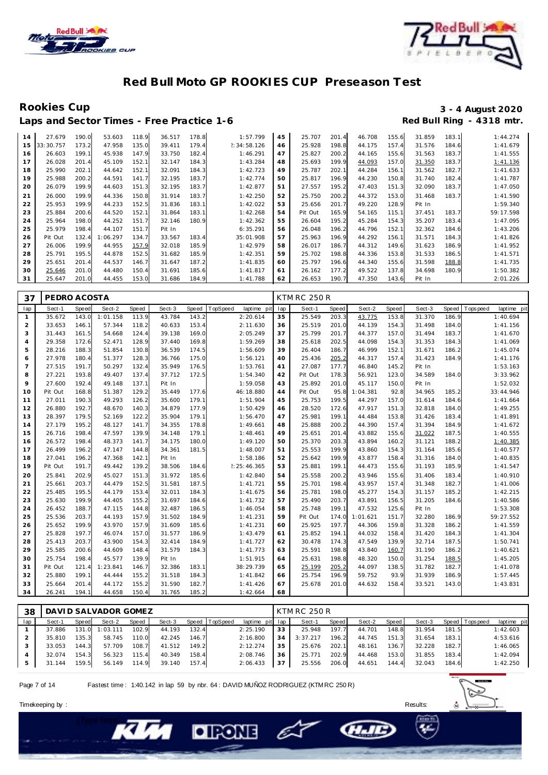



Rookies Cup<br>
1920 - 3 - 4 August 2020<br>
Red Bull Ring - 4318 mtr. Laps and Sector Times - Free Practice 1-6

| 14 | 27.679    | 190.0 | 53.603   | 118.9 | 36.517 | 178.8 | 1:57.799    | 45 | 25.707  | 201.4 | 46.708 | 155.6 | 31.859 | 183.1 | 1:44.274  |
|----|-----------|-------|----------|-------|--------|-------|-------------|----|---------|-------|--------|-------|--------|-------|-----------|
| 15 | 33:30.757 | 173.2 | 47.958   | 135.0 | 39.411 | 179.4 | 2:34:58.126 | 46 | 25.928  | 198.8 | 44.175 | 157.4 | 31.576 | 184.6 | 1:41.679  |
| 16 | 26.603    | 199.1 | 45.938   | 147.9 | 33.750 | 182.4 | 1:46.291    | 47 | 25.827  | 200.2 | 44.165 | 155.6 | 31.563 | 183.7 | 1:41.555  |
| 17 | 26.028    | 201.4 | 45.109   | 152.7 | 32.147 | 184.3 | 1:43.284    | 48 | 25.693  | 199.9 | 44.093 | 157.0 | 31.350 | 183.7 | 1:41.136  |
| 18 | 25.990    | 202.1 | 44.642   | 152.7 | 32.091 | 184.3 | 1:42.723    | 49 | 25.787  | 202.1 | 44.284 | 156.7 | 31.562 | 182.7 | 1:41.633  |
| 19 | 25.988    | 200.2 | 44.591   | 141.7 | 32.195 | 183.7 | 1:42.774    | 50 | 25.817  | 196.9 | 44.230 | 150.8 | 31.740 | 182.4 | 1:41.787  |
| 20 | 26.079    | 199.9 | 44.603   | 151.3 | 32.195 | 183.7 | 1:42.877    | 51 | 27.557  | 195.2 | 47.403 | 151.3 | 32.090 | 183.7 | 1:47.050  |
| 21 | 26.000    | 199.9 | 44.336   | 150.8 | 31.914 | 183.7 | 1:42.250    | 52 | 25.750  | 200.2 | 44.372 | 153.0 | 31.468 | 183.7 | 1:41.590  |
| 22 | 25.953    | 199.9 | 44.233   | 152.5 | 31.836 | 183.1 | 1:42.022    | 53 | 25.656  | 201.7 | 49.220 | 128.9 | Pit In |       | 1:59.340  |
| 23 | 25.884    | 200.6 | 44.520   | 152.1 | 31.864 | 183.1 | 1:42.268    | 54 | Pit Out | 165.9 | 54.165 | 115.7 | 37.451 | 183.7 | 59:17.598 |
| 24 | 25.964    | 198.0 | 44.252   | 151.7 | 32.146 | 180.9 | 1:42.362    | 55 | 26.604  | 195.2 | 45.284 | 154.3 | 35.207 | 183.4 | 1:47.095  |
| 25 | 25.979    | 198.4 | 44.107   | 151.7 | Pit In |       | 6:35.291    | 56 | 26.048  | 196.2 | 44.796 | 152.7 | 32.362 | 184.6 | 1:43.206  |
| 26 | Pit Out   | 132.4 | 1:06.297 | 134.7 | 33.567 | 183.4 | 35:01.908   | 57 | 25.963  | 196.9 | 44.292 | 156.  | 31.571 | 184.3 | 1:41.826  |
| 27 | 26.006    | 199.9 | 44.955   | 157.9 | 32.018 | 185.9 | 1:42.979    | 58 | 26.017  | 186.7 | 44.312 | 149.6 | 31.623 | 186.9 | 1:41.952  |
| 28 | 25.791    | 195.5 | 44.878   | 152.5 | 31.682 | 185.9 | 1:42.351    | 59 | 25.702  | 198.8 | 44.336 | 153.8 | 31.533 | 186.5 | 1:41.571  |
| 29 | 25.651    | 201.4 | 44.537   | 146.7 | 31.647 | 187.2 | 1:41.835    | 60 | 25.797  | 196.6 | 44.340 | 155.6 | 31.598 | 188.8 | 1:41.735  |
| 30 | 25.646    | 201.0 | 44.480   | 150.4 | 31.691 | 185.6 | 1:41.817    | 61 | 26.162  | 177.2 | 49.522 | 137.8 | 34.698 | 180.9 | 1:50.382  |
| 31 | 25.647    | 201.0 | 44.455   | 153.0 | 31.686 | 184.9 | 1:41.788    | 62 | 26.653  | 190.7 | 47.350 | 143.6 | Pit In |       | 2:01.226  |

| 37              | PEDRO ACOSTA |              |          |       |        |       |                         |     | <b>KTM RC 250 R</b> |              |          |       |        |       |            |             |
|-----------------|--------------|--------------|----------|-------|--------|-------|-------------------------|-----|---------------------|--------------|----------|-------|--------|-------|------------|-------------|
| lap             | Sect-1       | <b>Speed</b> | Sect-2   | Speed | Sect-3 | Speed | TopSpeed<br>laptime pit | lap | Sect-1              | <b>Speed</b> | Sect-2   | Speed | Sect-3 | Speed | T ops peed | laptime pit |
| $\mathbf{1}$    | 35.672       | 143.0        | 1:01.158 | 113.9 | 43.784 | 143.2 | 2:20.614                | 35  | 25.549              | 203.3        | 43.775   | 153.8 | 31.370 | 186.9 |            | 1:40.694    |
| $\overline{2}$  | 33.653       | 146.1        | 57.344   | 118.2 | 40.633 | 153.4 | 2:11.630                | 36  | 25.519              | 201.0        | 44.139   | 154.3 | 31.498 | 184.0 |            | 1:41.156    |
| 3               | 31.443       | 161.5        | 54.668   | 124.4 | 39.138 | 169.0 | 2:05.249                | 37  | 25.799              | 201.7        | 44.377   | 157.0 | 31.494 | 183.7 |            | 1:41.670    |
| $\overline{4}$  | 29.358       | 172.6        | 52.471   | 128.9 | 37.440 | 169.8 | 1:59.269                | 38  | 25.618              | 202.5        | 44.098   | 154.3 | 31.353 | 184.3 |            | 1:41.069    |
| 5               | 28.216       | 188.3        | 51.854   | 130.8 | 36.539 | 174.5 | 1:56.609                | 39  | 26.404              | 186.7        | 46.999   | 152.1 | 31.671 | 186.2 |            | 1:45.074    |
| 6               | 27.978       | 180.4        | 51.377   | 128.3 | 36.766 | 175.0 | 1:56.121                | 40  | 25.436              | 205.2        | 44.317   | 157.4 | 31.423 | 184.9 |            | 1:41.176    |
| $7\overline{ }$ | 27.515       | 191.7        | 50.297   | 132.4 | 35.949 | 176.5 | 1:53.761                | 41  | 27.087              | 177.7        | 46.840   | 145.2 | Pit In |       |            | 1:53.163    |
| 8               | 27.221       | 193.8        | 49.407   | 137.4 | 37.712 | 172.5 | 1:54.340                | 42  | Pit Out             | 178.3        | 56.921   | 123.0 | 34.589 | 184.0 |            | 3:33.962    |
| 9               | 27.600       | 192.4        | 49.148   | 137.1 | Pit In |       | 1:59.058                | 43  | 25.892              | 201.0        | 45.117   | 150.0 | Pit In |       |            | 1:52.032    |
| 10              | Pit Out      | 168.8        | 51.387   | 129.2 | 35.449 | 177.6 | 46:18.880               | 44  | Pit Out             | 95.8         | 1:04.381 | 92.8  | 34.965 | 185.2 |            | 33:44.946   |
| 11              | 27.011       | 190.3        | 49.293   | 126.2 | 35.600 | 179.1 | 1:51.904                | 45  | 25.753              | 199.5        | 44.297   | 157.0 | 31.614 | 184.6 |            | 1:41.664    |
| 12              | 26.880       | 192.7        | 48.670   | 140.3 | 34.879 | 177.9 | 1:50.429                | 46  | 28.520              | 172.6        | 47.917   | 151.3 | 32.818 | 184.0 |            | 1:49.255    |
| 13              | 28.397       | 179.5        | 52.169   | 122.2 | 35.904 | 179.1 | 1:56.470                | 47  | 25.981              | 199.1        | 44.484   | 153.8 | 31.426 | 183.4 |            | 1:41.891    |
| 14              | 27.179       | 195.2        | 48.127   | 141.7 | 34.355 | 178.8 | 1:49.661                | 48  | 25.888              | 200.2        | 44.390   | 157.4 | 31.394 | 184.9 |            | 1:41.672    |
| 15              | 26.716       | 198.4        | 47.597   | 139.9 | 34.148 | 179.1 | 1:48.461                | 49  | 25.651              | 201.4        | 43.882   | 155.6 | 31.022 | 187.5 |            | 1:40.555    |
| 16              | 26.572       | 198.4        | 48.373   | 141.7 | 34.175 | 180.0 | 1:49.120                | 50  | 25.370              | 203.3        | 43.894   | 160.2 | 31.121 | 188.2 |            | 1:40.385    |
| 17              | 26.499       | 196.2        | 47.147   | 144.8 | 34.361 | 181.5 | 1:48.007                | 51  | 25.553              | 199.9        | 43.860   | 154.3 | 31.164 | 185.6 |            | 1:40.577    |
| 18              | 27.041       | 196.2        | 47.368   | 142.1 | Pit In |       | 1:58.186                | 52  | 25.642              | 199.9        | 43.877   | 158.4 | 31.316 | 184.0 |            | 1:40.835    |
| 19              | Pit Out      | 191.7        | 49.442   | 139.2 | 38.506 | 184.6 | 2: 25: 46.365           | 53  | 25.881              | 199.1        | 44.473   | 155.6 | 31.193 | 185.9 |            | 1:41.547    |
| 20              | 25.841       | 202.9        | 45.027   | 151.3 | 31.972 | 185.6 | 1:42.840                | 54  | 25.558              | 200.2        | 43.946   | 155.6 | 31.406 | 183.4 |            | 1:40.910    |
| 21              | 25.661       | 203.7        | 44.479   | 152.5 | 31.581 | 187.5 | 1:41.721                | 55  | 25.701              | 198.4        | 43.957   | 157.4 | 31.348 | 182.7 |            | 1:41.006    |
| 22              | 25.485       | 195.5        | 44.179   | 153.4 | 32.011 | 184.3 | 1:41.675                | 56  | 25.781              | 198.0        | 45.277   | 154.3 | 31.157 | 185.2 |            | 1:42.215    |
| 23              | 25.630       | 199.9        | 44.405   | 155.2 | 31.697 | 184.6 | 1:41.732                | 57  | 25.490              | 203.7        | 43.891   | 156.5 | 31.205 | 184.6 |            | 1:40.586    |
| 24              | 26.452       | 188.7        | 47.115   | 144.8 | 32.487 | 186.5 | 1:46.054                | 58  | 25.748              | 199.1        | 47.532   | 125.6 | Pit In |       |            | 1:53.308    |
| 25              | 25.536       | 203.7        | 44.193   | 157.9 | 31.502 | 184.9 | 1:41.231                | 59  | Pit Out             | 174.0        | 1:01.621 | 151.7 | 32.280 | 186.9 |            | 59:27.552   |
| 26              | 25.652       | 199.9        | 43.970   | 157.9 | 31.609 | 185.6 | 1:41.231                | 60  | 25.925              | 197.7        | 44.306   | 159.8 | 31.328 | 186.2 |            | 1:41.559    |
| 27              | 25.828       | 197.7        | 46.074   | 157.0 | 31.577 | 186.9 | 1:43.479                | 61  | 25.852              | 194.1        | 44.032   | 158.4 | 31.420 | 184.3 |            | 1:41.304    |
| 28              | 25.413       | 203.7        | 43.900   | 154.3 | 32.414 | 184.9 | 1:41.727                | 62  | 30.478              | 174.3        | 47.549   | 139.9 | 32.714 | 187.5 |            | 1:50.741    |
| 29              | 25.585       | 200.6        | 44.609   | 148.4 | 31.579 | 184.3 | 1:41.773                | 63  | 25.591              | 198.8        | 43.840   | 160.7 | 31.190 | 186.2 |            | 1:40.621    |
| 30              | 25.754       | 198.4        | 45.577   | 139.9 | Pit In |       | 1:51.915                | 64  | 25.631              | 198.8        | 48.320   | 150.0 | 31.254 | 188.5 |            | 1:45.205    |
| 31              | Pit Out      | 121.4        | 1:23.841 | 146.7 | 32.386 | 183.1 | 38:29.739               | 65  | 25.199              | 205.2        | 44.097   | 138.5 | 31.782 | 182.7 |            | 1:41.078    |
| 32              | 25.880       | 199.1        | 44.444   | 155.2 | 31.518 | 184.3 | 1:41.842                | 66  | 25.754              | 196.9        | 59.752   | 93.9  | 31.939 | 186.9 |            | 1:57.445    |
| 33              | 25.664       | 201.4        | 44.172   | 155.2 | 31.590 | 182.7 | 1:41.426                | 67  | 25.678              | 201.0        | 44.632   | 158.4 | 33.521 | 143.0 |            | 1:43.831    |
| 34              | 26.241       | 194.1        | 44.658   | 150.4 | 31.765 | 185.2 | 1:42.664                | 68  |                     |              |          |       |        |       |            |             |

| 38  |        |       | DAVI D SALVADOR GOMEZ |       |        |       |          |                 |    | <b>KTM RC 250 R</b> |         |        |       |        |       |                |             |
|-----|--------|-------|-----------------------|-------|--------|-------|----------|-----------------|----|---------------------|---------|--------|-------|--------|-------|----------------|-------------|
| lap | Sect-1 | Speed | Sect-2                | Speed | Sect-3 | Speed | TopSpeed | laptime pit lap |    | Sect-1              | Speed I | Sect-2 | Speed | Sect-3 |       | Speed Topspeed | laptime pit |
|     | 37.886 | 131.0 | 1:03.111              | 102.9 | 44.193 | 132.4 |          | 2:25.190        | 33 | 25.948              | 197.7   | 44.701 | 148.8 | 31.954 | 181.5 |                | 1:42.603    |
|     | 35.810 | 135.3 | 58.745                | 110.0 | 42.245 | 146.7 |          | 2:16.800        | 34 | 3:37.217            | 196.2   | 44.745 | 151.3 | 31.654 | 183.1 |                | 4:53.616    |
|     | 33.053 | 144.3 | 57.709                | 108.7 | 41.512 | 149.2 |          | 2:12.274        | 35 | 25.676              | 202.1   | 48.161 | 136.7 | 32.228 | 182.7 |                | 1:46.065    |
|     | 32.074 | 154.3 | 56.323                | 115.4 | 40.349 | 158.4 |          | 2:08.746        | 36 | 25.771              | 202.9   | 44.468 | 153.0 | 31.855 | 183.4 |                | 1:42.094    |
|     | 31.144 | 159.5 | 56.149                | 114.9 | 39.140 | 157.4 |          | 2:06.433        | 37 | 25.556              | 206.0   | 44.651 | 144.4 | 32.043 | 184.6 |                | 1:42.250    |

- E

**CHAIL** 

Page 7 of 14 Fastest time : 1:40.142 in lap 59 by nbr. 64 : DAVID MUÑOZ RODRIGUEZ (KTM RC 250 R)

**DIRONE**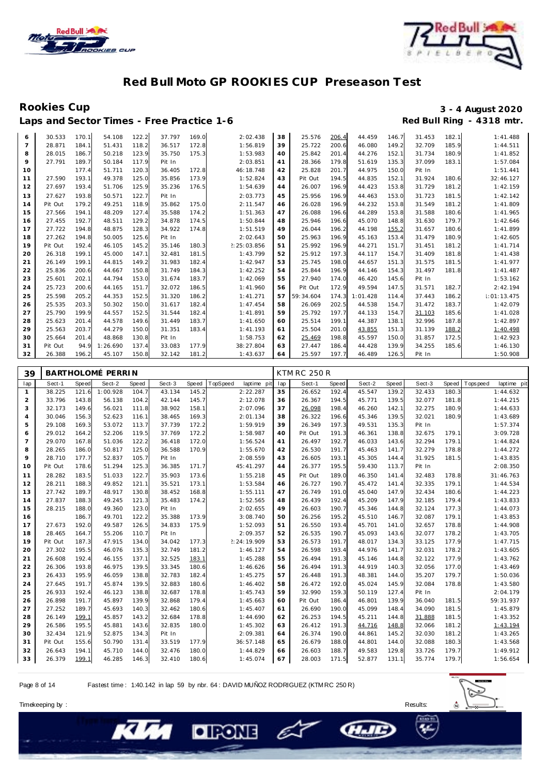



Rookies Cup<br>
1920 - 3 - 4 August 2020<br>
Red Bull Ring - 4318 mtr. Laps and Sector Times - Free Practice 1-6

| 6              | 30.533  | 170.1 | 54.108   | 122.2 | 37.797 | 169.0 | 2:02.438    | 38 | 25.576    | 206.4 | 44.459   | 146.7 | 31.453 | 182.1 | 1:41.488    |
|----------------|---------|-------|----------|-------|--------|-------|-------------|----|-----------|-------|----------|-------|--------|-------|-------------|
| $\overline{7}$ | 28.871  | 184.1 | 51.431   | 118.2 | 36.517 | 172.8 | 1:56.819    | 39 | 25.722    | 200.6 | 46.080   | 149.2 | 32.709 | 185.9 | 1:44.511    |
| 8              | 28.015  | 186.7 | 50.218   | 123.9 | 35.750 | 175.3 | 1:53.983    | 40 | 25.842    | 201.4 | 44.276   | 152.1 | 31.734 | 180.9 | 1:41.852    |
| 9              | 27.791  | 189.7 | 50.184   | 117.9 | Pit In |       | 2:03.851    | 41 | 28.366    | 179.8 | 51.619   | 135.3 | 37.099 | 183.1 | 1:57.084    |
| 10             |         | 177.4 | 51.711   | 120.3 | 36.405 | 172.8 | 46:18.748   | 42 | 25.828    | 201.7 | 44.975   | 150.0 | Pit In |       | 1:51.441    |
| 11             | 27.590  | 193.1 | 49.378   | 125.0 | 35.856 | 173.9 | 1:52.824    | 43 | Pit Out   | 194.5 | 44.835   | 152.1 | 31.924 | 180.6 | 32:46.127   |
| 12             | 27.697  | 193.4 | 51.706   | 125.9 | 35.236 | 176.5 | 1:54.639    | 44 | 26.007    | 196.9 | 44.423   | 153.8 | 31.729 | 181.2 | 1:42.159    |
| 13             | 27.627  | 193.8 | 50.571   | 122.7 | Pit In |       | 2:03.773    | 45 | 25.956    | 196.9 | 44.463   | 153.0 | 31.723 | 181.5 | 1:42.142    |
| 14             | Pit Out | 179.2 | 49.251   | 118.9 | 35.862 | 175.0 | 2:11.547    | 46 | 26.028    | 196.9 | 44.232   | 153.8 | 31.549 | 181.2 | 1:41.809    |
| 15             | 27.566  | 194.1 | 48.209   | 127.4 | 35.588 | 174.2 | 1:51.363    | 47 | 26.088    | 196.6 | 44.289   | 153.8 | 31.588 | 180.6 | 1:41.965    |
| 16             | 27.455  | 192.7 | 48.511   | 129.2 | 34.878 | 174.5 | 1:50.844    | 48 | 25.946    | 196.6 | 45.070   | 148.8 | 31.630 | 179.7 | 1:42.646    |
| 17             | 27.722  | 194.8 | 48.875   | 128.3 | 34.922 | 174.8 | 1:51.519    | 49 | 26.044    | 196.2 | 44.198   | 155.2 | 31.657 | 180.6 | 1:41.899    |
| 18             | 27.262  | 194.8 | 50.005   | 125.6 | Pit In |       | 2:02.643    | 50 | 25.963    | 196.9 | 45.163   | 153.4 | 31.479 | 180.9 | 1:42.605    |
| 19             | Pit Out | 192.4 | 46.105   | 145.2 | 35.146 | 180.3 | !:25:03.856 | 51 | 25.992    | 196.9 | 44.271   | 151.7 | 31.451 | 181.2 | 1:41.714    |
| 20             | 26.318  | 199.1 | 45.000   | 147.1 | 32.481 | 181.5 | 1:43.799    | 52 | 25.912    | 197.3 | 44.117   | 154.7 | 31.409 | 181.8 | 1:41.438    |
| 21             | 26.149  | 199.1 | 44.815   | 149.2 | 31.983 | 182.4 | 1:42.947    | 53 | 25.745    | 198.0 | 44.657   | 151.3 | 31.575 | 181.5 | 1:41.977    |
| 22             | 25.836  | 200.6 | 44.667   | 150.8 | 31.749 | 184.3 | 1:42.252    | 54 | 25.844    | 196.9 | 44.146   | 154.3 | 31.497 | 181.8 | 1:41.487    |
| 23             | 25.601  | 202.1 | 44.794   | 153.0 | 31.674 | 183.7 | 1:42.069    | 55 | 27.940    | 174.0 | 46.420   | 145.6 | Pit In |       | 1:53.162    |
| 24             | 25.723  | 200.6 | 44.165   | 151.7 | 32.072 | 186.5 | 1:41.960    | 56 | Pit Out   | 172.9 | 49.594   | 147.5 | 31.571 | 182.7 | 2:42.194    |
| 25             | 25.598  | 205.2 | 44.353   | 152.5 | 31.320 | 186.2 | 1:41.271    | 57 | 59:34.604 | 174.3 | 1:01.428 | 114.4 | 37.443 | 186.2 | 1:01:13.475 |
| 26             | 25.535  | 203.3 | 50.302   | 150.0 | 31.617 | 182.4 | 1:47.454    | 58 | 26.069    | 202.5 | 44.538   | 154.7 | 31.472 | 183.7 | 1:42.079    |
| 27             | 25.790  | 199.9 | 44.557   | 152.5 | 31.544 | 182.4 | 1:41.891    | 59 | 25.792    | 197.7 | 44.133   | 154.7 | 31.103 | 185.6 | 1:41.028    |
| 28             | 25.623  | 201.4 | 44.578   | 149.6 | 31.449 | 183.7 | 1:41.650    | 60 | 25.514    | 199.1 | 44.387   | 138.1 | 32.996 | 187.8 | 1:42.897    |
| 29             | 25.563  | 203.7 | 44.279   | 150.0 | 31.351 | 183.4 | 1:41.193    | 61 | 25.504    | 201.0 | 43.855   | 151.3 | 31.139 | 188.2 | 1:40.498    |
| 30             | 25.664  | 201.4 | 48.868   | 130.8 | Pit In |       | 1:58.753    | 62 | 25.469    | 198.8 | 45.597   | 150.0 | 31.857 | 172.5 | 1:42.923    |
| 31             | Pit Out | 94.9  | 1:26.690 | 137.4 | 33.083 | 177.9 | 38:27.804   | 63 | 27.447    | 186.4 | 44.428   | 139.9 | 34.255 | 185.6 | 1:46.130    |
| 32             | 26.388  | 196.2 | 45.107   | 150.8 | 32.142 | 181.2 | 1:43.637    | 64 | 25.597    | 197.7 | 46.489   | 126.5 | Pit In |       | 1:50.908    |

| 39             |         |       | BARTHOLOMÉ PERRIN |       |        |       |          |             |     | <b>KTM RC 250 R</b> |       |        |       |        |       |                |             |
|----------------|---------|-------|-------------------|-------|--------|-------|----------|-------------|-----|---------------------|-------|--------|-------|--------|-------|----------------|-------------|
| lap            | Sect-1  | Speed | Sect-2            | Speed | Sect-3 | Speed | TopSpeed | laptime pit | lap | Sect-1              | Speed | Sect-2 | Speed | Sect-3 |       | Speed Topspeed | laptime pit |
| $\mathbf{1}$   | 38.225  | 121.6 | 1:00.928          | 104.7 | 43.134 | 145.2 |          | 2:22.287    | 35  | 26.652              | 192.4 | 45.547 | 139.2 | 32.433 | 180.3 |                | 1:44.632    |
| 2              | 33.796  | 143.8 | 56.138            | 104.2 | 42.144 | 145.7 |          | 2:12.078    | 36  | 26.367              | 194.5 | 45.771 | 139.5 | 32.077 | 181.8 |                | 1:44.215    |
| 3              | 32.173  | 149.6 | 56.021            | 111.8 | 38.902 | 158.1 |          | 2:07.096    | 37  | 26.098              | 198.4 | 46.260 | 142.1 | 32.275 | 180.9 |                | 1:44.633    |
| $\overline{4}$ | 30.046  | 156.3 | 52.623            | 116.1 | 38.465 | 169.3 |          | 2:01.134    | 38  | 26.322              | 196.6 | 45.346 | 139.5 | 32.021 | 180.9 |                | 1:43.689    |
| 5              | 29.108  | 169.3 | 53.072            | 113.7 | 37.739 | 172.2 |          | 1:59.919    | 39  | 26.349              | 197.3 | 49.531 | 135.3 | Pit In |       |                | 1:57.374    |
| 6              | 29.012  | 164.2 | 52.206            | 119.5 | 37.769 | 172.2 |          | 1:58.987    | 40  | Pit Out             | 191.3 | 46.361 | 138.8 | 32.675 | 179.1 |                | 3:09.728    |
| $\overline{7}$ | 29.070  | 167.8 | 51.036            | 122.2 | 36.418 | 172.0 |          | 1:56.524    | 41  | 26.497              | 192.7 | 46.033 | 143.6 | 32.294 | 179.1 |                | 1:44.824    |
| 8              | 28.265  | 186.0 | 50.817            | 125.0 | 36.588 | 170.9 |          | 1:55.670    | 42  | 26.530              | 191.7 | 45.463 | 141.7 | 32.279 | 178.8 |                | 1:44.272    |
| 9              | 28.710  | 177.7 | 52.837            | 105.7 | Pit In |       |          | 2:08.559    | 43  | 26.605              | 193.1 | 45.305 | 144.4 | 31.925 | 181.5 |                | 1:43.835    |
| 10             | Pit Out | 178.6 | 51.294            | 125.3 | 36.385 | 171.7 |          | 45:41.297   | 44  | 26.377              | 195.5 | 59.430 | 113.7 | Pit In |       |                | 2:08.350    |
| 11             | 28.282  | 183.5 | 51.033            | 122.7 | 35.903 | 173.6 |          | 1:55.218    | 45  | Pit Out             | 189.0 | 46.350 | 141.4 | 32.483 | 178.8 |                | 31:46.763   |
| 12             | 28.211  | 188.3 | 49.852            | 121.1 | 35.521 | 173.1 |          | 1:53.584    | 46  | 26.727              | 190.7 | 45.472 | 141.4 | 32.335 | 179.1 |                | 1:44.534    |
| 13             | 27.742  | 189.7 | 48.917            | 130.8 | 38.452 | 168.8 |          | 1:55.111    | 47  | 26.749              | 191.0 | 45.040 | 147.9 | 32.434 | 180.6 |                | 1:44.223    |
| 14             | 27.837  | 188.3 | 49.245            | 121.3 | 35.483 | 174.2 |          | 1:52.565    | 48  | 26.439              | 192.4 | 45.209 | 147.9 | 32.185 | 179.4 |                | 1:43.833    |
| 15             | 28.215  | 188.0 | 49.360            | 123.0 | Pit In |       |          | 2:02.655    | 49  | 26.603              | 190.7 | 45.346 | 144.8 | 32.124 | 177.3 |                | 1:44.073    |
| 16             |         | 186.7 | 49.701            | 122.2 | 35.388 | 173.9 |          | 3:08.740    | 50  | 26.256              | 195.2 | 45.510 | 146.7 | 32.087 | 179.1 |                | 1:43.853    |
| 17             | 27.673  | 192.0 | 49.587            | 126.5 | 34.833 | 175.9 |          | 1:52.093    | 51  | 26.550              | 193.4 | 45.701 | 141.0 | 32.657 | 178.8 |                | 1:44.908    |
| 18             | 28.465  | 164.7 | 55.206            | 110.7 | Pit In |       |          | 2:09.357    | 52  | 26.535              | 190.7 | 45.093 | 143.6 | 32.077 | 178.2 |                | 1:43.705    |
| 19             | Pit Out | 187.3 | 47.915            | 134.0 | 34.042 | 177.3 |          | 2:24:19.909 | 53  | 26.573              | 191.7 | 48.017 | 134.3 | 33.125 | 177.9 |                | 1:47.715    |
| 20             | 27.302  | 195.5 | 46.076            | 135.3 | 32.749 | 181.2 |          | 1:46.127    | 54  | 26.598              | 193.4 | 44.976 | 141.7 | 32.031 | 178.2 |                | 1:43.605    |
| 21             | 26.608  | 192.4 | 46.155            | 137.1 | 32.525 | 183.1 |          | 1:45.288    | 55  | 26.494              | 191.3 | 45.146 | 144.8 | 32.122 | 177.9 |                | 1:43.762    |
| 22             | 26.306  | 193.8 | 46.975            | 139.5 | 33.345 | 180.6 |          | 1:46.626    | 56  | 26.494              | 191.3 | 44.919 | 140.3 | 32.056 | 177.0 |                | 1:43.469    |
| 23             | 26.433  | 195.9 | 46.059            | 138.8 | 32.783 | 182.4 |          | 1:45.275    | 57  | 26.448              | 191.3 | 48.381 | 144.0 | 35.207 | 179.7 |                | 1:50.036    |
| 24             | 27.645  | 191.7 | 45.874            | 139.5 | 32.883 | 180.6 |          | 1:46.402    | 58  | 26.472              | 192.0 | 45.024 | 145.9 | 32.084 | 178.8 |                | 1:43.580    |
| 25             | 26.933  | 192.4 | 46.123            | 138.8 | 32.687 | 178.8 |          | 1:45.743    | 59  | 32.990              | 159.3 | 50.119 | 127.4 | Pit In |       |                | 2:04.179    |
| 26             | 26.898  | 191.7 | 45.897            | 139.9 | 32.868 | 179.4 |          | 1:45.663    | 60  | Pit Out             | 186.4 | 46.801 | 139.9 | 36.040 | 181.5 |                | 59:31.937   |
| 27             | 27.252  | 189.7 | 45.693            | 140.3 | 32.462 | 180.6 |          | 1:45.407    | 61  | 26.690              | 190.0 | 45.099 | 148.4 | 34.090 | 181.5 |                | 1:45.879    |
| 28             | 26.149  | 199.1 | 45.857            | 143.2 | 32.684 | 178.8 |          | 1:44.690    | 62  | 26.253              | 194.5 | 45.211 | 144.8 | 31.888 | 181.5 |                | 1:43.352    |
| 29             | 26.586  | 195.5 | 45.881            | 143.6 | 32.835 | 180.0 |          | 1:45.302    | 63  | 26.412              | 191.3 | 44.716 | 148.8 | 32.066 | 181.2 |                | 1:43.194    |
| 30             | 32.434  | 121.9 | 52.875            | 134.3 | Pit In |       |          | 2:09.381    | 64  | 26.374              | 190.0 | 44.861 | 145.2 | 32.030 | 181.2 |                | 1:43.265    |
| 31             | Pit Out | 155.6 | 50.790            | 131.4 | 33.519 | 177.9 |          | 36:57.148   | 65  | 26.679              | 188.0 | 44.801 | 144.0 | 32.088 | 180.3 |                | 1:43.568    |
| 32             | 26.643  | 194.1 | 45.710            | 144.0 | 32.476 | 180.0 |          | 1:44.829    | 66  | 26.603              | 188.7 | 49.583 | 129.8 | 33.726 | 179.7 |                | 1:49.912    |
| 33             | 26.379  | 199.1 | 46.285            | 146.3 | 32.410 | 180.6 |          | 1:45.074    | 67  | 28.003              | 171.5 | 52.877 | 131.1 | 35.774 | 179.7 |                | 1:56.654    |

E

Page 8 of 14 Fastest time : 1:40.142 in lap 59 by nbr. 64 : DAVID MUÑOZ RODRIGUEZ (KTM RC 250 R)

**DIRONE** 



**CHAIL**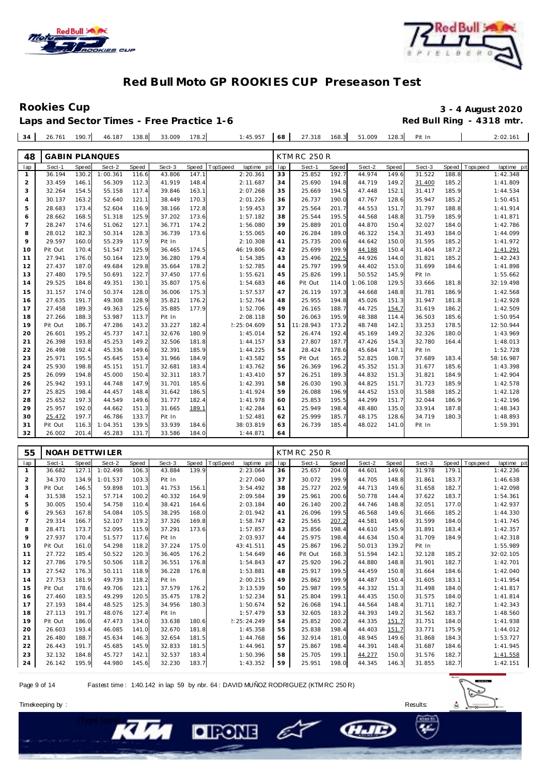



## Rookies Cup<br>
1992 - 3 - 4 August 2020<br>
Red Bull Ring - 4318 mtr.

| Laps and Sector Times - Free Practice 1-6 |  |  |  |                                             |  |  |  |  |                                              |  | Red Bull Ring - 4318 mtr. |
|-------------------------------------------|--|--|--|---------------------------------------------|--|--|--|--|----------------------------------------------|--|---------------------------|
|                                           |  |  |  | $34$ 26.761 190.7 46.187 138.8 33.009 178.2 |  |  |  |  | 1:45.957 68 27.318 168.3 51.009 128.3 Pit In |  | 2:02.161                  |

| 48             |         |       | <b>GABIN PLANQUES</b> |       |        |       |          |             |     | <b>KTM RC 250 R</b> |       |          |              |        |       |            |             |
|----------------|---------|-------|-----------------------|-------|--------|-------|----------|-------------|-----|---------------------|-------|----------|--------------|--------|-------|------------|-------------|
| lap            | Sect-1  | Speed | Sect-2                | Speed | Sect-3 | Speed | TopSpeed | laptime pit | lap | Sect-1              | Speed | Sect-2   | <b>Speed</b> | Sect-3 | Speed | T ops peed | laptime pit |
| 1              | 36.194  | 130.2 | 1:00.361              | 116.6 | 43.806 | 147.1 |          | 2:20.361    | 33  | 25.852              | 192.7 | 44.974   | 149.6        | 31.522 | 188.8 |            | 1:42.348    |
| $\overline{2}$ | 33.459  | 146.1 | 56.309                | 112.3 | 41.919 | 148.4 |          | 2:11.687    | 34  | 25.690              | 194.8 | 44.719   | 149.2        | 31.400 | 185.2 |            | 1:41.809    |
| 3              | 32.264  | 154.5 | 55.158                | 117.4 | 39.846 | 163.1 |          | 2:07.268    | 35  | 25.669              | 194.5 | 47.448   | 152.1        | 31.417 | 185.9 |            | 1:44.534    |
| $\overline{4}$ | 30.137  | 163.2 | 52.640                | 121.1 | 38.449 | 170.3 |          | 2:01.226    | 36  | 26.737              | 190.0 | 47.767   | 128.6        | 35.947 | 185.2 |            | 1:50.451    |
| 5              | 28.683  | 173.4 | 52.604                | 116.9 | 38.166 | 172.8 |          | 1:59.453    | 37  | 25.564              | 201.7 | 44.553   | 151.7        | 31.797 | 188.8 |            | 1:41.914    |
| 6              | 28.662  | 168.5 | 51.318                | 125.9 | 37.202 | 173.6 |          | 1:57.182    | 38  | 25.544              | 195.5 | 44.568   | 148.8        | 31.759 | 185.9 |            | 1:41.871    |
| $\overline{7}$ | 28.247  | 174.6 | 51.062                | 127.1 | 36.771 | 174.2 |          | 1:56.080    | 39  | 25.889              | 201.0 | 44.870   | 150.4        | 32.027 | 184.0 |            | 1:42.786    |
| 8              | 28.012  | 182.3 | 50.314                | 128.3 | 36.739 | 173.6 |          | 1:55.065    | 40  | 26.284              | 189.0 | 46.322   | 154.3        | 31.493 | 184.0 |            | 1:44.099    |
| 9              | 29.597  | 160.0 | 55.239                | 117.9 | Pit In |       |          | 2:10.308    | 41  | 25.735              | 200.6 | 44.642   | 150.0        | 31.595 | 185.2 |            | 1:41.972    |
| 10             | Pit Out | 170.4 | 51.547                | 125.9 | 36.465 | 174.5 |          | 46:19.806   | 42  | 25.699              | 199.9 | 44.188   | 150.4        | 31.404 | 187.2 |            | 1:41.291    |
| 11             | 27.941  | 176.0 | 50.164                | 123.9 | 36.280 | 179.4 |          | 1:54.385    | 43  | 25.496              | 202.5 | 44.926   | 144.0        | 31.821 | 185.2 |            | 1:42.243    |
| 12             | 27.437  | 187.0 | 49.684                | 129.8 | 35.664 | 178.2 |          | 1:52.785    | 44  | 25.797              | 199.9 | 44.402   | 153.0        | 31.699 | 184.6 |            | 1:41.898    |
| 13             | 27.480  | 179.5 | 50.691                | 122.7 | 37.450 | 177.6 |          | 1:55.621    | 45  | 25.826              | 199.1 | 50.552   | 145.9        | Pit In |       |            | 1:55.662    |
| 14             | 29.525  | 184.8 | 49.351                | 130.1 | 35.807 | 175.6 |          | 1:54.683    | 46  | Pit Out             | 114.0 | 1:06.108 | 129.5        | 33.666 | 181.8 |            | 32:19.498   |
| 15             | 31.157  | 174.0 | 50.374                | 128.0 | 36.006 | 175.3 |          | 1:57.537    | 47  | 26.119              | 197.3 | 44.668   | 148.8        | 31.781 | 186.9 |            | 1:42.568    |
| 16             | 27.635  | 191.7 | 49.308                | 128.9 | 35.821 | 176.2 |          | 1:52.764    | 48  | 25.955              | 194.8 | 45.026   | 151.3        | 31.947 | 181.8 |            | 1:42.928    |
| 17             | 27.458  | 189.3 | 49.363                | 125.6 | 35.885 | 177.9 |          | 1:52.706    | 49  | 26.165              | 188.7 | 44.725   | 154.7        | 31.619 | 186.2 |            | 1:42.509    |
| 18             | 27.266  | 188.3 | 53.987                | 113.7 | Pit In |       |          | 2:08.118    | 50  | 26.063              | 195.9 | 48.388   | 114.4        | 36.503 | 185.6 |            | 1:50.954    |
| 19             | Pit Out | 186.7 | 47.286                | 143.2 | 33.227 | 182.4 |          | 2:25:04.609 | 51  | 11:28.943           | 173.2 | 48.748   | 142.1        | 33.253 | 178.5 |            | 12:50.944   |
| 20             | 26.601  | 195.2 | 45.737                | 147.1 | 32.676 | 180.9 |          | 1:45.014    | 52  | 26.474              | 192.4 | 45.169   | 149.2        | 32.326 | 180.0 |            | 1:43.969    |
| 21             | 26.398  | 193.8 | 45.253                | 149.2 | 32.506 | 181.8 |          | 1:44.157    | 53  | 27.807              | 187.7 | 47.426   | 154.3        | 32.780 | 164.4 |            | 1:48.013    |
| 22             | 26.498  | 192.4 | 45.336                | 149.6 | 32.391 | 185.9 |          | 1:44.225    | 54  | 28.424              | 178.6 | 45.684   | 147.1        | Pit In |       |            | 1:52.728    |
| 23             | 25.971  | 195.5 | 45.645                | 153.4 | 31.966 | 184.9 |          | 1:43.582    | 55  | Pit Out             | 165.2 | 52.825   | 108.7        | 37.689 | 183.4 |            | 58:16.987   |
| 24             | 25.930  | 198.8 | 45.151                | 151.7 | 32.681 | 183.4 |          | 1:43.762    | 56  | 26.369              | 196.2 | 45.352   | 151.3        | 31.677 | 185.6 |            | 1:43.398    |
| 25             | 26.099  | 194.8 | 45.000                | 150.4 | 32.311 | 183.7 |          | 1:43.410    | 57  | 26.251              | 189.3 | 44.832   | 151.3        | 31.821 | 184.9 |            | 1:42.904    |
| 26             | 25.942  | 193.1 | 44.748                | 147.9 | 31.701 | 185.6 |          | 1:42.391    | 58  | 26.030              | 190.3 | 44.825   | 151.7        | 31.723 | 185.9 |            | 1:42.578    |
| 27             | 25.825  | 198.4 | 44.457                | 148.4 | 31.642 | 186.5 |          | 1:41.924    | 59  | 26.088              | 196.9 | 44.452   | 153.0        | 31.588 | 185.2 |            | 1:42.128    |
| 28             | 25.652  | 197.3 | 44.549                | 149.6 | 31.777 | 182.4 |          | 1:41.978    | 60  | 25.853              | 195.5 | 44.299   | 151.7        | 32.044 | 186.9 |            | 1:42.196    |
| 29             | 25.957  | 192.0 | 44.662                | 151.3 | 31.665 | 189.1 |          | 1:42.284    | 61  | 25.949              | 198.4 | 48.480   | 135.0        | 33.914 | 187.8 |            | 1:48.343    |
| 30             | 25.472  | 197.7 | 46.786                | 133.7 | Pit In |       |          | 1:52.481    | 62  | 25.999              | 185.7 | 48.175   | 128.6        | 34.719 | 180.3 |            | 1:48.893    |
| 31             | Pit Out | 116.3 | 1:04.351              | 139.5 | 33.939 | 184.6 |          | 38:03.819   | 63  | 26.739              | 185.4 | 48.022   | 141.0        | Pit In |       |            | 1:59.391    |
| 32             | 26.002  | 201.4 | 45.283                | 131.7 | 33.586 | 184.0 |          | 1:44.871    | 64  |                     |       |          |              |        |       |            |             |

| 55             |         |       | NOAH DETTWILER |       |        |       |          |             |     | <b>KTM RC 250 R</b> |       |        |       |        |       |            |             |
|----------------|---------|-------|----------------|-------|--------|-------|----------|-------------|-----|---------------------|-------|--------|-------|--------|-------|------------|-------------|
| lap            | Sect-1  | Speed | Sect-2         | Speed | Sect-3 | Speed | TopSpeed | laptime pit | lap | Sect-1              | Speed | Sect-2 | Speed | Sect-3 | Speed | Tops pee d | laptime pit |
| $\mathbf{1}$   | 36.682  | 127.1 | 1:02.498       | 106.3 | 43.884 | 139.9 |          | 2:23.064    | 36  | 25.657              | 204.0 | 44.601 | 149.6 | 31.978 | 179.1 |            | 1:42.236    |
| $\overline{2}$ | 34.370  | 134.9 | 1:01.537       | 103.3 | Pit In |       |          | 2:27.040    | 37  | 30.072              | 199.9 | 44.705 | 148.8 | 31.861 | 183.7 |            | 1:46.638    |
| 3              | Pit Out | 146.5 | 59.898         | 101.3 | 41.753 | 156.1 |          | 3:54.492    | 38  | 25.727              | 202.9 | 44.713 | 149.6 | 31.658 | 182.7 |            | 1:42.098    |
| $\overline{4}$ | 31.538  | 152.1 | 57.714         | 100.2 | 40.332 | 164.9 |          | 2:09.584    | 39  | 25.961              | 200.6 | 50.778 | 144.4 | 37.622 | 183.7 |            | 1:54.361    |
| 5              | 30.005  | 150.4 | 54.758         | 110.4 | 38.421 | 164.6 |          | 2:03.184    | 40  | 26.140              | 200.2 | 44.746 | 148.8 | 32.051 | 177.0 |            | 1:42.937    |
| 6              | 29.563  | 167.8 | 54.084         | 105.5 | 38.295 | 168.0 |          | 2:01.942    | 41  | 26.096              | 199.5 | 46.568 | 149.6 | 31.666 | 185.2 |            | 1:44.330    |
| $\overline{7}$ | 29.314  | 166.7 | 52.107         | 119.2 | 37.326 | 169.8 |          | 1:58.747    | 42  | 25.565              | 207.2 | 44.581 | 149.6 | 31.599 | 184.0 |            | 1:41.745    |
| 8              | 28.471  | 173.7 | 52.095         | 115.9 | 37.291 | 173.6 |          | 1:57.857    | 43  | 25.856              | 198.4 | 44.610 | 145.9 | 31.891 | 183.4 |            | 1:42.357    |
| 9              | 27.937  | 170.4 | 51.577         | 117.6 | Pit In |       |          | 2:03.937    | 44  | 25.975              | 198.4 | 44.634 | 150.4 | 31.709 | 184.9 |            | 1:42.318    |
| 10             | Pit Out | 161.0 | 54.298         | 118.2 | 37.224 | 175.0 |          | 43:41.511   | 45  | 25.867              | 196.2 | 50.013 | 139.2 | Pit In |       |            | 1:55.989    |
| 11             | 27.722  | 185.4 | 50.522         | 120.3 | 36.405 | 176.2 |          | 1:54.649    | 46  | Pit Out             | 168.3 | 51.594 | 142.1 | 32.128 | 185.2 |            | 32:02.105   |
| 12             | 27.786  | 179.5 | 50.506         | 118.2 | 36.551 | 176.8 |          | 1:54.843    | 47  | 25.920              | 196.2 | 44.880 | 148.8 | 31.901 | 182.7 |            | 1:42.701    |
| 13             | 27.542  | 176.3 | 50.111         | 118.9 | 36.228 | 176.8 |          | 1:53.881    | 48  | 25.917              | 199.5 | 44.459 | 150.8 | 31.664 | 184.6 |            | 1:42.040    |
| 14             | 27.753  | 181.9 | 49.739         | 118.2 | Pit In |       |          | 2:00.215    | 49  | 25.862              | 199.9 | 44.487 | 150.4 | 31.605 | 183.1 |            | 1:41.954    |
| 15             | Pit Out | 178.6 | 49.706         | 121.1 | 37.579 | 176.2 |          | 3:13.539    | 50  | 25.987              | 199.5 | 44.332 | 151.3 | 31.498 | 184.0 |            | 1:41.817    |
| 16             | 27.460  | 183.5 | 49.299         | 120.5 | 35.475 | 178.2 |          | 1:52.234    | 51  | 25.804              | 199.1 | 44.435 | 150.0 | 31.575 | 184.0 |            | 1:41.814    |
| 17             | 27.193  | 184.4 | 48.525         | 125.3 | 34.956 | 180.3 |          | 1:50.674    | 52  | 26.068              | 194.1 | 44.564 | 148.4 | 31.711 | 182.7 |            | 1:42.343    |
| 18             | 27.113  | 191.7 | 48.076         | 127.4 | Pit In |       |          | 1:57.479    | 53  | 32.605              | 183.2 | 44.393 | 149.2 | 31.562 | 183.7 |            | 1:48.560    |
| 19             | Pit Out | 186.0 | 47.473         | 134.0 | 33.638 | 180.6 |          | 2:25:24.249 | 54  | 25.852              | 200.2 | 44.335 | 151.7 | 31.751 | 184.0 |            | 1:41.938    |
| 20             | 26.603  | 193.4 | 46.085         | 141.0 | 32.670 | 181.8 |          | 1:45.358    | 55  | 25.838              | 198.4 | 44.403 | 151.7 | 33.771 | 175.9 |            | 1:44.012    |
| 21             | 26.480  | 188.7 | 45.634         | 146.3 | 32.654 | 181.5 |          | 1:44.768    | 56  | 32.914              | 181.0 | 48.945 | 149.6 | 31.868 | 184.3 |            | 1:53.727    |
| 22             | 26.443  | 191.7 | 45.685         | 145.9 | 32.833 | 181.5 |          | 1:44.961    | 57  | 25.867              | 198.4 | 44.391 | 148.4 | 31.687 | 184.6 |            | 1:41.945    |
| 23             | 32.132  | 184.8 | 45.727         | 142.1 | 32.537 | 183.4 |          | 1:50.396    | 58  | 25.705              | 199.1 | 44.277 | 150.0 | 31.576 | 182.7 |            | 1:41.558    |
| 24             | 26.142  | 195.9 | 44.980         | 145.6 | 32.230 | 183.7 |          | 1:43.352    | 59  | 25.951              | 198.0 | 44.345 | 146.3 | 31.855 | 182.7 |            | 1:42.151    |

E

Page 9 of 14 Fastest time : 1:40.142 in lap 59 by nbr. 64 : DAVID MUÑOZ RODRIGUEZ (KTM RC 250 R)

**DIRONE** 



**CHAIL**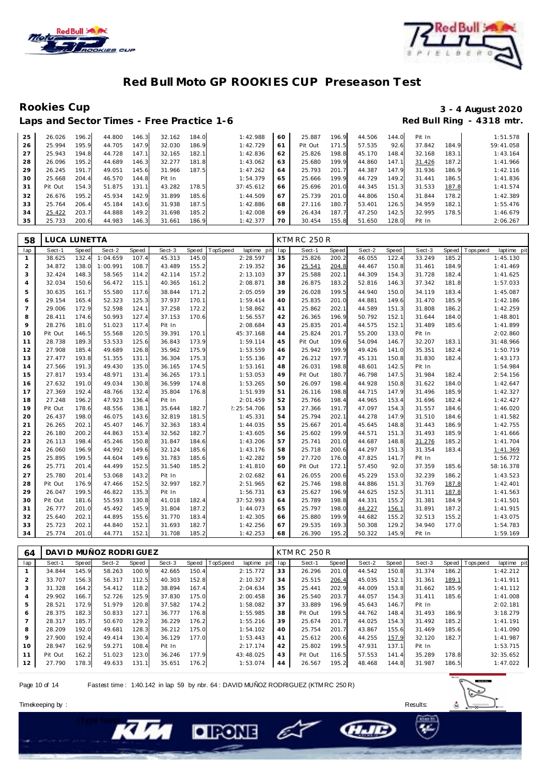



Rookies Cup<br>
1920 - 3 - 4 August 2020<br>
Red Bull Ring - 4318 mtr. Laps and Sector Times - Free Practice 1-6

| 25 | 26.026  | 196.2 | 44.800 | 146.3 | 32.162 | 184.0 | 1:42.988  | 60 | 25.887  | 196.9 | 44.506 | 144.0 | Pit In |       | 1:51.578  |
|----|---------|-------|--------|-------|--------|-------|-----------|----|---------|-------|--------|-------|--------|-------|-----------|
| 26 | 25.994  | 195.9 | 44.705 | 147.9 | 32.030 | 186.9 | 1:42.729  | 61 | Pit Out | 171.5 | 57.535 | 92.6  | 37.842 | 184.9 | 59:41.058 |
| 27 | 25.943  | 194.8 | 44.728 | 147.  | 32.165 | 182.1 | 1:42.836  | 62 | 25.826  | 198.8 | 45.170 | 148.4 | 32.168 | 183.1 | 1:43.164  |
| 28 | 26.096  | 195.2 | 44.689 | 146.3 | 32.277 | 181.8 | 1:43.062  | 63 | 25.680  | 199.9 | 44.860 | 147.1 | 31.426 | 187.2 | 1:41.966  |
| 29 | 26.245  | 191.7 | 49.051 | 145.6 | 31.966 | 187.5 | 1:47.262  | 64 | 25.793  | 201.7 | 44.387 | 147.9 | 31.936 | 186.9 | 1:42.116  |
| 30 | 25.668  | 204.4 | 46.570 | 144.8 | Pit In |       | 1:54.379  | 65 | 25.666  | 199.9 | 44.729 | 149.2 | 31.441 | 186.5 | 1:41.836  |
| 31 | Pit Out | 154.3 | 51.875 | 131.1 | 43.282 | 178.5 | 37:45.612 | 66 | 25.696  | 201.0 | 44.345 | 151.3 | 31.533 | 187.8 | 1:41.574  |
| 32 | 26.676  | 195.2 | 45.934 | 142.9 | 31.899 | 185.6 | 1:44.509  | 67 | 25.739  | 201.0 | 44.806 | 150.4 | 31.844 | 178.2 | 1:42.389  |
| 33 | 25.764  | 206.4 | 45.184 | 143.6 | 31.938 | 187.5 | 1:42.886  | 68 | 27.116  | 180.7 | 53.401 | 126.5 | 34.959 | 182.1 | 1:55.476  |
| 34 | 25.422  | 203.7 | 44.888 | 149.2 | 31.698 | 185.2 | 1:42.008  | 69 | 26.434  | 187.7 | 47.250 | 142.5 | 32.995 | 178.5 | 1:46.679  |
| 35 | 25.733  | 200.6 | 44.983 | 146.3 | 31.661 | 186.9 | 1:42.377  | 70 | 30.454  | 155.8 | 51.650 | 128.0 | Pit In |       | 2:06.267  |

| 58             | LUCA LUNETTA |              |          |              |        |       |                         |     | <b>KTM RC 250 R</b> |       |        |       |        |       |             |             |
|----------------|--------------|--------------|----------|--------------|--------|-------|-------------------------|-----|---------------------|-------|--------|-------|--------|-------|-------------|-------------|
| lap            | Sect-1       | <b>Speed</b> | Sect-2   | <b>Speed</b> | Sect-3 | Speed | TopSpeed<br>laptime pit | lap | Sect-1              | Speed | Sect-2 | Speed | Sect-3 | Speed | T ops pee d | laptime pit |
| $\mathbf{1}$   | 38.625       | 132.4        | 1:04.659 | 107.4        | 45.313 | 145.0 | 2:28.597                | 35  | 25.826              | 200.2 | 46.055 | 122.4 | 33.249 | 185.2 |             | 1:45.130    |
| $\overline{c}$ | 34.872       | 138.0        | 1:00.991 | 108.7        | 43.489 | 155.2 | 2:19.352                | 36  | 25.541              | 204.8 | 44.467 | 150.8 | 31.461 | 184.9 |             | 1:41.469    |
| 3              | 32.424       | 148.3        | 58.565   | 114.2        | 42.114 | 157.2 | 2:13.103                | 37  | 25.588              | 202.1 | 44.309 | 154.3 | 31.728 | 182.4 |             | 1:41.625    |
| $\overline{4}$ | 32.034       | 150.6        | 56.472   | 115.1        | 40.365 | 161.2 | 2:08.871                | 38  | 26.875              | 183.2 | 52.816 | 146.3 | 37.342 | 181.8 |             | 1:57.033    |
| 5              | 30.635       | 161.7        | 55.580   | 117.6        | 38.844 | 171.2 | 2:05.059                | 39  | 26.028              | 199.5 | 44.940 | 150.0 | 34.119 | 183.4 |             | 1:45.087    |
| 6              | 29.154       | 165.4        | 52.323   | 125.3        | 37.937 | 170.1 | 1:59.414                | 40  | 25.835              | 201.0 | 44.881 | 149.6 | 31.470 | 185.9 |             | 1:42.186    |
| $\overline{7}$ | 29.006       | 172.9        | 52.598   | 124.1        | 37.258 | 172.2 | 1:58.862                | 41  | 25.862              | 202.1 | 44.589 | 151.3 | 31.808 | 186.2 |             | 1:42.259    |
| 8              | 28.411       | 174.6        | 50.993   | 127.4        | 37.153 | 170.6 | 1:56.557                | 42  | 26.365              | 196.9 | 50.792 | 152.1 | 31.644 | 184.0 |             | 1:48.801    |
| $\circ$        | 28.276       | 181.0        | 51.023   | 117.4        | Pit In |       | 2:08.684                | 43  | 25.835              | 201.4 | 44.575 | 152.1 | 31.489 | 185.6 |             | 1:41.899    |
| 10             | Pit Out      | 146.5        | 55.568   | 120.5        | 39.391 | 170.1 | 45:37.168               | 44  | 25.824              | 201.7 | 55.200 | 133.0 | Pit In |       |             | 2:02.860    |
| 11             | 28.738       | 189.3        | 53.533   | 125.6        | 36.843 | 173.9 | 1:59.114                | 45  | Pit Out             | 109.6 | 54.094 | 146.7 | 32.207 | 183.1 |             | 31:48.966   |
| 12             | 27.908       | 185.4        | 49.689   | 126.8        | 35.962 | 175.9 | 1:53.559                | 46  | 25.942              | 199.9 | 49.426 | 141.0 | 35.351 | 182.4 |             | 1:50.719    |
| 13             | 27.477       | 193.8        | 51.355   | 131.1        | 36.304 | 175.3 | 1:55.136                | 47  | 26.212              | 197.7 | 45.131 | 150.8 | 31.830 | 182.4 |             | 1:43.173    |
| 14             | 27.566       | 191.3        | 49.430   | 135.0        | 36.165 | 174.5 | 1:53.161                | 48  | 26.031              | 198.8 | 48.601 | 142.5 | Pit In |       |             | 1:54.984    |
| 15             | 27.817       | 193.4        | 48.971   | 131.4        | 36.265 | 173.1 | 1:53.053                | 49  | Pit Out             | 180.7 | 46.798 | 147.5 | 31.984 | 182.4 |             | 2:54.156    |
| 16             | 27.632       | 191.0        | 49.034   | 130.8        | 36.599 | 174.8 | 1:53.265                | 50  | 26.097              | 198.4 | 44.928 | 150.8 | 31.622 | 184.0 |             | 1:42.647    |
| 17             | 27.369       | 192.4        | 48.766   | 132.4        | 35.804 | 176.8 | 1:51.939                | 51  | 26.116              | 198.8 | 44.715 | 147.9 | 31.496 | 185.9 |             | 1:42.327    |
| 18             | 27.248       | 196.2        | 47.923   | 136.4        | Pit In |       | 2:01.459                | 52  | 25.766              | 198.4 | 44.965 | 153.4 | 31.696 | 182.4 |             | 1:42.427    |
| 19             | Pit Out      | 178.6        | 48.556   | 138.1        | 35.644 | 182.7 | 2: 25: 54.706           | 53  | 27.366              | 191.7 | 47.097 | 154.3 | 31.557 | 184.6 |             | 1:46.020    |
| 20             | 26.437       | 198.0        | 46.075   | 143.6        | 32.819 | 181.5 | 1:45.331                | 54  | 25.794              | 202.1 | 44.278 | 147.9 | 31.510 | 184.6 |             | 1:41.582    |
| 21             | 26.265       | 202.1        | 45.407   | 146.7        | 32.363 | 183.4 | 1:44.035                | 55  | 25.667              | 201.4 | 45.645 | 148.8 | 31.443 | 186.9 |             | 1:42.755    |
| 22             | 26.180       | 200.2        | 44.863   | 153.4        | 32.562 | 182.7 | 1:43.605                | 56  | 25.602              | 199.9 | 44.571 | 151.3 | 31.493 | 185.9 |             | 1:41.666    |
| 23             | 26.113       | 198.4        | 45.246   | 150.8        | 31.847 | 184.6 | 1:43.206                | 57  | 25.741              | 201.0 | 44.687 | 148.8 | 31.276 | 185.2 |             | 1:41.704    |
| 24             | 26.060       | 196.9        | 44.992   | 149.6        | 32.124 | 185.6 | 1:43.176                | 58  | 25.718              | 200.6 | 44.297 | 151.3 | 31.354 | 183.4 |             | 1:41.369    |
| 25             | 25.895       | 199.5        | 44.604   | 149.6        | 31.783 | 185.6 | 1:42.282                | 59  | 27.720              | 176.0 | 47.825 | 141.7 | Pit In |       |             | 1:56.772    |
| 26             | 25.771       | 201.4        | 44.499   | 152.5        | 31.540 | 185.2 | 1:41.810                | 60  | Pit Out             | 172.1 | 57.450 | 92.0  | 37.359 | 185.6 |             | 58:16.378   |
| 27             | 25.780       | 201.4        | 53.068   | 143.2        | Pit In |       | 2:02.682                | 61  | 26.055              | 200.6 | 45.229 | 153.0 | 32.239 | 186.2 |             | 1:43.523    |
| 28             | Pit Out      | 176.9        | 47.466   | 152.5        | 32.997 | 182.7 | 2:51.965                | 62  | 25.746              | 198.8 | 44.886 | 151.3 | 31.769 | 187.8 |             | 1:42.401    |
| 29             | 26.047       | 199.5        | 46.822   | 135.3        | Pit In |       | 1:56.731                | 63  | 25.627              | 196.9 | 44.625 | 152.5 | 31.311 | 187.8 |             | 1:41.563    |
| 30             | Pit Out      | 181.6        | 55.593   | 130.8        | 41.018 | 182.4 | 37:52.993               | 64  | 25.789              | 198.8 | 44.331 | 155.2 | 31.381 | 184.9 |             | 1:41.501    |
| 31             | 26.777       | 201.0        | 45.492   | 145.9        | 31.804 | 187.2 | 1:44.073                | 65  | 25.797              | 198.0 | 44.227 | 156.1 | 31.891 | 187.2 |             | 1:41.915    |
| 32             | 25.640       | 202.1        | 44.895   | 155.6        | 31.770 | 183.4 | 1:42.305                | 66  | 25.880              | 199.9 | 44.682 | 155.2 | 32.513 | 155.2 |             | 1:43.075    |
| 33             | 25.723       | 202.1        | 44.840   | 152.1        | 31.693 | 182.7 | 1:42.256                | 67  | 29.535              | 169.3 | 50.308 | 129.2 | 34.940 | 177.0 |             | 1:54.783    |
| 34             | 25.774       | 201.0        | 44.771   | 152.1        | 31.708 | 185.2 | 1:42.253                | 68  | 26.390              | 195.2 | 50.322 | 145.9 | Pit In |       |             | 1:59.169    |

| 64             |         |       | DAVI D MUÑOZ RODRI GUEZ |       |        |       |          |             |     | <b>KTM RC 250 R</b> |       |        |       |        |       |                |             |
|----------------|---------|-------|-------------------------|-------|--------|-------|----------|-------------|-----|---------------------|-------|--------|-------|--------|-------|----------------|-------------|
| lap            | Sect-1  | Speed | Sect-2                  | Speed | Sect-3 | Speed | TopSpeed | laptime pit | lap | Sect-1              | Speed | Sect-2 | Speed | Sect-3 |       | Speed Topspeed | laptime pit |
|                | 34.844  | 145.9 | 58.263                  | 100.9 | 42.665 | 150.4 |          | 2:15.772    | 33  | 26.296              | 201.0 | 44.542 | 150.8 | 31.374 | 186.2 |                | 1:42.212    |
| $\overline{2}$ | 33.707  | 156.3 | 56.317                  | 112.5 | 40.303 | 152.8 |          | 2:10.327    | 34  | 25.515              | 206.4 | 45.035 | 152.1 | 31.361 | 189.1 |                | 1:41.911    |
| 3              | 31.328  | 164.2 | 54.412                  | 118.2 | 38.894 | 167.4 |          | 2:04.634    | 35  | 25.441              | 202.9 | 44.009 | 153.8 | 31.662 | 185.9 |                | 1:41.112    |
| 4              | 29.902  | 166.7 | 52.726                  | 125.9 | 37.830 | 175.0 |          | 2:00.458    | 36  | 25.540              | 203.7 | 44.057 | 154.3 | 31.411 | 185.6 |                | 1:41.008    |
| 5              | 28.521  | 172.9 | 51.979                  | 120.8 | 37.582 | 174.2 |          | 1:58.082    | 37  | 33.889              | 196.9 | 45.643 | 146.7 | Pit In |       |                | 2:02.181    |
| 6              | 28.375  | 182.3 | 50.833                  | 127.1 | 36.777 | 176.8 |          | 1:55.985    | 38  | Pit Out             | 199.5 | 44.762 | 148.4 | 31.493 | 186.9 |                | 3:18.279    |
|                | 28.317  | 185.7 | 50.670                  | 129.2 | 36.229 | 176.2 |          | 1:55.216    | 39  | 25.674              | 201.7 | 44.025 | 154.3 | 31.492 | 185.2 |                | 1:41.191    |
| 8              | 28.209  | 192.0 | 49.681                  | 128.3 | 36.212 | 175.0 |          | 1:54.102    | 40  | 25.754              | 201.7 | 43.867 | 155.6 | 31.469 | 185.6 |                | 1:41.090    |
| 9              | 27.900  | 192.4 | 49.414                  | 130.4 | 36.129 | 177.0 |          | 1:53.443    | 41  | 25.612              | 200.6 | 44.255 | 157.9 | 32.120 | 182.7 |                | 1:41.987    |
| 10             | 28.947  | 162.9 | 59.271                  | 108.4 | Pit In |       |          | 2:17.174    | 42  | 25.802              | 199.5 | 47.931 | 137.1 | Pit In |       |                | 1:53.715    |
| 11             | Pit Out | 162.2 | 51.023                  | 123.0 | 36.246 | 177.9 |          | 43:48.025   | 43  | Pit Out             | 116.5 | 57.553 | 141.4 | 35.289 | 178.8 |                | 32:35.652   |
| 12             | 27.790  | 178.3 | 49.633                  | 131.1 | 35.651 | 176.2 |          | 1:53.074    | 44  | 26.567              | 195.2 | 48.468 | 144.8 | 31.987 | 186.5 |                | 1:47.022    |

E

**GLIL** 

Page 10 of 14 Fastest time : 1:40.142 in lap 59 by nbr. 64 : DAVID MUÑOZ RODRIGUEZ (KTM RC 250 R)

**DIFONE** 



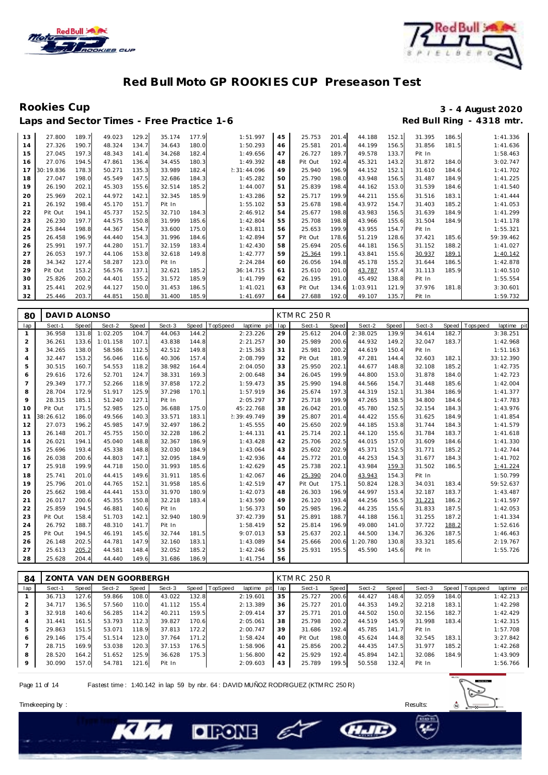



Laps and Sector Times - Free Practice 1-6

## Rookies Cup<br>
1920 - 3 - 4 August 2020<br>
Red Bull Ring - 4318 mtr.

| 13 | 27.800    | 189.7 | 49.023 | 129.2 | 35.174 | 177.9 | 1:51.997    | 45 | 25.753  | 201.4 | 44.188   | 152.1 | 31.395 | 186.5 | 1:41.336  |
|----|-----------|-------|--------|-------|--------|-------|-------------|----|---------|-------|----------|-------|--------|-------|-----------|
| 14 | 27.326    | 190.7 | 48.324 | 134.7 | 34.643 | 180.0 | 1:50.293    | 46 | 25.581  | 201.4 | 44.199   | 156.5 | 31.856 | 181.5 | 1:41.636  |
| 15 | 27.045    | 197.3 | 48.343 | 141.4 | 34.268 | 182.4 | 1:49.656    | 47 | 26.727  | 189.7 | 49.578   | 133.7 | Pit In |       | 1:58.463  |
| 16 | 27.076    | 194.5 | 47.861 | 136.4 | 34.455 | 180.3 | 1:49.392    | 48 | Pit Out | 192.4 | 45.321   | 143.2 | 31.872 | 184.0 | 3:02.747  |
| 17 | 30:19.836 | 178.3 | 50.271 | 135.3 | 33.989 | 182.4 | 2:31:44.096 | 49 | 25.940  | 196.9 | 44.152   | 152.1 | 31.610 | 184.6 | 1:41.702  |
| 18 | 27.047    | 198.0 | 45.549 | 147.5 | 32.686 | 184.3 | 1:45.282    | 50 | 25.790  | 198.0 | 43.948   | 156.5 | 31.487 | 184.9 | 1:41.225  |
| 19 | 26.190    | 202.1 | 45.303 | 155.6 | 32.514 | 185.2 | 1:44.007    | 51 | 25.839  | 198.4 | 44.162   | 153.0 | 31.539 | 184.6 | 1:41.540  |
| 20 | 25.969    | 202.1 | 44.972 | 142.7 | 32.345 | 185.9 | 1:43.286    | 52 | 25.717  | 199.9 | 44.211   | 155.6 | 31.516 | 183.1 | 1:41.444  |
| 21 | 26.192    | 198.4 | 45.170 | 151.7 | Pit In |       | 1:55.102    | 53 | 25.678  | 198.4 | 43.972   | 154.7 | 31.403 | 185.2 | 1:41.053  |
| 22 | Pit Out   | 194.1 | 45.737 | 152.5 | 32.710 | 184.3 | 2:46.912    | 54 | 25.677  | 198.8 | 43.983   | 156.5 | 31.639 | 184.9 | 1:41.299  |
| 23 | 26.230    | 197.7 | 44.575 | 150.8 | 31.999 | 185.6 | 1:42.804    | 55 | 25.708  | 198.8 | 43.966   | 155.6 | 31.504 | 184.9 | 1:41.178  |
| 24 | 25.844    | 198.8 | 44.367 | 154.7 | 33.600 | 175.0 | 1:43.811    | 56 | 25.653  | 199.9 | 43.955   | 154.7 | Pit In |       | 1:55.321  |
| 25 | 26.458    | 196.9 | 44.440 | 154.3 | 31.996 | 184.6 | 1:42.894    | 57 | Pit Out | 178.6 | 51.219   | 128.6 | 37.421 | 185.6 | 59:39.462 |
| 26 | 25.991    | 197.7 | 44.280 | 151.7 | 32.159 | 183.4 | 1:42.430    | 58 | 25.694  | 205.6 | 44.181   | 156.5 | 31.152 | 188.2 | 1:41.027  |
| 27 | 26.053    | 197.7 | 44.106 | 153.8 | 32.618 | 149.8 | 1:42.777    | 59 | 25.364  | 199.1 | 43.841   | 155.6 | 30.937 | 189.1 | 1:40.142  |
| 28 | 34.342    | 127.4 | 58.287 | 123.0 | Pit In |       | 2:24.284    | 60 | 26.056  | 194.8 | 45.178   | 155.2 | 31.644 | 186.5 | 1:42.878  |
| 29 | Pit Out   | 153.2 | 56.576 | 137.1 | 32.621 | 185.2 | 36:14.715   | 61 | 25.610  | 201.0 | 43.787   | 157.4 | 31.113 | 185.9 | 1:40.510  |
| 30 | 25.826    | 200.2 | 44.401 | 155.2 | 31.572 | 185.9 | 1:41.799    | 62 | 26.195  | 191.0 | 45.492   | 138.8 | Pit In |       | 1:55.554  |
| 31 | 25.441    | 202.9 | 44.127 | 150.0 | 31.453 | 186.5 | 1:41.021    | 63 | Pit Out | 134.6 | 1:03.911 | 121.9 | 37.976 | 181.8 | 3:30.601  |
| 32 | 25.446    | 203.7 | 44.851 | 150.8 | 31.400 | 185.9 | 1:41.697    | 64 | 27.688  | 192.0 | 49.107   | 135.7 | Pit In |       | 1:59.732  |

| 80             | DAVID ALONSO |       |          |       |        |       |                         |     | <b>KTM RC 250 R</b> |              |          |       |        |       |                            |
|----------------|--------------|-------|----------|-------|--------|-------|-------------------------|-----|---------------------|--------------|----------|-------|--------|-------|----------------------------|
| lap            | Sect-1       | Speed | Sect-2   | Speed | Sect-3 | Speed | TopSpeed<br>laptime pit | lap | Sect-1              | <b>Speed</b> | Sect-2   | Speed | Sect-3 | Speed | T ops pee d<br>laptime pit |
| $\mathbf{1}$   | 36.958       | 131.8 | 1:02.205 | 104.7 | 44.063 | 144.2 | 2:23.226                | 29  | 25.612              | 204.0        | 2:38.025 | 139.9 | 34.614 | 182.7 | 3:38.251                   |
| $\overline{2}$ | 36.261       | 133.6 | 1:01.158 | 107.1 | 43.838 | 144.8 | 2:21.257                | 30  | 25.989              | 200.6        | 44.932   | 149.2 | 32.047 | 183.7 | 1:42.968                   |
| 3              | 34.265       | 138.0 | 58.586   | 112.5 | 42.512 | 149.8 | 2:15.363                | 31  | 25.981              | 200.2        | 44.619   | 150.4 | Pit In |       | 1:51.163                   |
| 4              | 32.447       | 153.2 | 56.046   | 116.6 | 40.306 | 157.4 | 2:08.799                | 32  | Pit Out             | 181.9        | 47.281   | 144.4 | 32.603 | 182.1 | 33:12.390                  |
| 5              | 30.515       | 160.7 | 54.553   | 118.2 | 38.982 | 164.4 | 2:04.050                | 33  | 25.950              | 202.1        | 44.677   | 148.8 | 32.108 | 185.2 | 1:42.735                   |
| 6              | 29.616       | 172.6 | 52.701   | 124.7 | 38.331 | 169.3 | 2:00.648                | 34  | 26.045              | 199.9        | 44.800   | 153.0 | 31.878 | 184.0 | 1:42.723                   |
| 7              | 29.349       | 177.7 | 52.266   | 118.9 | 37.858 | 172.2 | 1:59.473                | 35  | 25.990              | 194.8        | 44.566   | 154.7 | 31.448 | 185.6 | 1:42.004                   |
| 8              | 28.704       | 172.9 | 51.917   | 125.9 | 37.298 | 170.1 | 1:57.919                | 36  | 25.674              | 197.3        | 44.319   | 152.1 | 31.384 | 186.9 | 1:41.377                   |
| 9              | 28.315       | 185.1 | 51.240   | 127.1 | Pit In |       | 2:05.297                | 37  | 25.718              | 199.9        | 47.265   | 138.5 | 34.800 | 184.6 | 1:47.783                   |
| 10             | Pit Out      | 171.5 | 52.985   | 125.0 | 36.688 | 175.0 | 45:22.768               | 38  | 26.042              | 201.0        | 45.780   | 152.5 | 32.154 | 184.3 | 1:43.976                   |
| 11             | 38:26.612    | 186.0 | 49.566   | 140.3 | 33.571 | 183.1 | 2:39:49.749             | 39  | 25.807              | 201.4        | 44.422   | 155.6 | 31.625 | 184.9 | 1:41.854                   |
| 12             | 27.073       | 196.2 | 45.985   | 147.9 | 32.497 | 186.2 | 1:45.555                | 40  | 25.650              | 202.9        | 44.185   | 153.8 | 31.744 | 184.3 | 1:41.579                   |
| 13             | 26.148       | 201.7 | 45.755   | 150.0 | 32.228 | 186.2 | 1:44.131                | 41  | 25.714              | 202.1        | 44.120   | 155.6 | 31.784 | 183.7 | 1:41.618                   |
| 14             | 26.021       | 194.1 | 45.040   | 148.8 | 32.367 | 186.9 | 1:43.428                | 42  | 25.706              | 202.5        | 44.015   | 157.0 | 31.609 | 184.6 | 1:41.330                   |
| 15             | 25.696       | 193.4 | 45.338   | 148.8 | 32.030 | 184.9 | 1:43.064                | 43  | 25.602              | 202.9        | 45.371   | 152.5 | 31.771 | 185.2 | 1:42.744                   |
| 16             | 26.038       | 200.6 | 44.803   | 147.1 | 32.095 | 184.9 | 1:42.936                | 44  | 25.772              | 201.0        | 44.253   | 154.3 | 31.677 | 184.3 | 1:41.702                   |
| 17             | 25.918       | 199.9 | 44.718   | 150.0 | 31.993 | 185.6 | 1:42.629                | 45  | 25.738              | 202.1        | 43.984   | 159.3 | 31.502 | 186.5 | 1:41.224                   |
| 18             | 25.741       | 201.0 | 44.415   | 149.6 | 31.911 | 185.6 | 1:42.067                | 46  | 25.390              | 204.0        | 43.943   | 154.3 | Pit In |       | 1:50.799                   |
| 19             | 25.796       | 201.0 | 44.765   | 152.1 | 31.958 | 185.6 | 1:42.519                | 47  | Pit Out             | 175.1        | 50.824   | 128.3 | 34.031 | 183.4 | 59:52.637                  |
| 20             | 25.662       | 198.4 | 44.441   | 153.0 | 31.970 | 180.9 | 1:42.073                | 48  | 26.303              | 196.9        | 44.997   | 153.4 | 32.187 | 183.7 | 1:43.487                   |
| 21             | 26.017       | 200.6 | 45.355   | 150.8 | 32.218 | 183.4 | 1:43.590                | 49  | 26.120              | 193.4        | 44.256   | 156.5 | 31.221 | 186.2 | 1:41.597                   |
| 22             | 25.859       | 194.5 | 46.881   | 140.6 | Pit In |       | 1:56.373                | 50  | 25.985              | 196.2        | 44.235   | 155.6 | 31.833 | 187.5 | 1:42.053                   |
| 23             | Pit Out      | 158.4 | 51.703   | 142.1 | 32.940 | 180.9 | 37:42.739               | 51  | 25.891              | 188.7        | 44.188   | 156.1 | 31.255 | 187.2 | 1:41.334                   |
| 24             | 26.792       | 188.7 | 48.310   | 141.7 | Pit In |       | 1:58.419                | 52  | 25.814              | 196.9        | 49.080   | 141.0 | 37.722 | 188.2 | 1:52.616                   |
| 25             | Pit Out      | 194.5 | 46.191   | 145.6 | 32.744 | 181.5 | 9:07.013                | 53  | 25.637              | 202.1        | 44.500   | 134.7 | 36.326 | 187.5 | 1:46.463                   |
| 26             | 26.148       | 202.5 | 44.781   | 147.9 | 32.160 | 183.1 | 1:43.089                | 54  | 25.666              | 200.6        | 1:20.780 | 130.8 | 33.321 | 185.6 | 2:19.767                   |
| 27             | 25.613       | 205.2 | 44.581   | 148.4 | 32.052 | 185.2 | 1:42.246                | 55  | 25.931              | 195.5        | 45.590   | 145.6 | Pit In |       | 1:55.726                   |
| 28             | 25.628       | 204.4 | 44.440   | 149.6 | 31.686 | 186.9 | 1:41.754                | 56  |                     |              |          |       |        |       |                            |

| 84  |        |       | ZONTA VAN DEN GOORBERGH |       |        |       |                 |             |     | <b>KTM RC 250 R</b> |       |        |       |        |       |                |             |
|-----|--------|-------|-------------------------|-------|--------|-------|-----------------|-------------|-----|---------------------|-------|--------|-------|--------|-------|----------------|-------------|
| lap | Sect-1 | Speed | Sect-2                  | Speed | Sect-3 | Speed | <b>TopSpeed</b> | laptime pit | lap | Sect-1              | Speed | Sect-2 | Speed | Sect-3 |       | Speed Topspeed | laptime pit |
|     | 36.713 | 127.6 | 59.866                  | 108.0 | 43.022 | 132.8 |                 | 2:19.601    | 35  | 25.727              | 200.6 | 44.427 | 148.4 | 32.059 | 184.0 |                | 1:42.213    |
|     | 34.717 | 136.5 | 57.560                  | 110.0 | 41.112 | 155.4 |                 | 2:13.389    | 36  | 25.727              | 201.0 | 44.353 | 149.2 | 32.218 | 183.1 |                | 1:42.298    |
|     | 32.918 | 140.6 | 56.285                  | 114.2 | 40.211 | 159.5 |                 | 2:09.414    | 37  | 25.771              | 201.0 | 44.502 | 150.0 | 32.156 | 182.7 |                | 1:42.429    |
| 4   | 31.441 | 161.5 | 53.793                  | 112.3 | 39.827 | 170.6 |                 | 2:05.061    | 38  | 25.798              | 200.2 | 44.519 | 145.9 | 31.998 | 183.4 |                | 1:42.315    |
| 5   | 29.863 | 151.5 | 53.071                  | 118.9 | 37.813 | 172.2 |                 | 2:00.747    | 39  | 31.686              | 192.4 | 45.785 | 141.7 | Pit In |       |                | 1:57.708    |
| 6   | 29.146 | 175.4 | 51.514                  | 123.0 | 37.764 | 171.2 |                 | 1:58.424    | 40  | Pit Out             | 198.0 | 45.624 | 144.8 | 32.545 | 183.1 |                | 3:27.842    |
|     | 28.715 | 169.9 | 53.038                  | 120.3 | 37.153 | 176.5 |                 | 1:58.906    | 41  | 25.856              | 200.2 | 44.435 | 147.5 | 31.977 | 185.2 |                | 1:42.268    |
| 8   | 28.520 | 164.2 | 51.652                  | 125.9 | 36.628 | 175.3 |                 | 1:56.800    | 42  | 25.929              | 192.4 | 45.894 | 142.1 | 32.086 | 184.9 |                | 1:43.909    |
| 9   | 30.090 | 157.0 | 54.781                  | 121.6 | Pit In |       |                 | 2:09.603    | 43  | 25.789              | 199.5 | 50.558 | 132.4 | Pit In |       |                | 1:56.766    |

E

**CHAIL** 

Page 11 of 14 Fastest time : 1:40.142 in lap 59 by nbr. 64 : DAVID MUÑOZ RODRIGUEZ (KTM RC 250 R)

**DIRONE** 

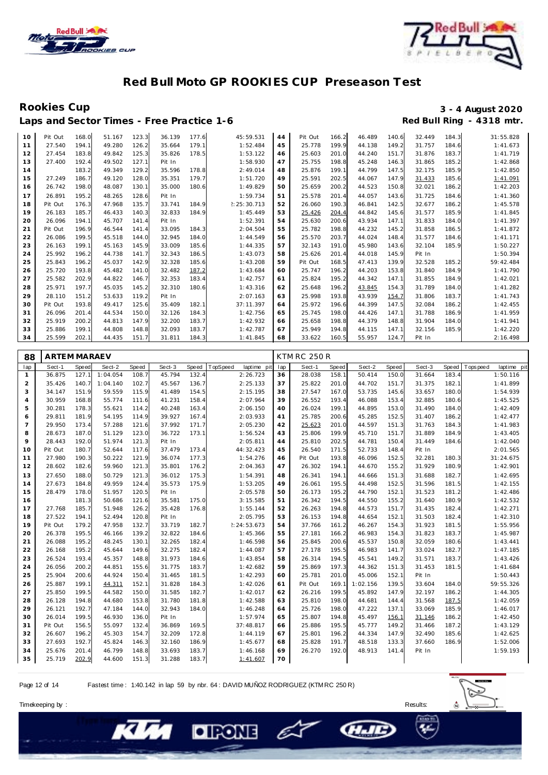



Rookies Cup<br>
1920 - 3 - 4 August 2020<br>
Red Bull Ring - 4318 mtr. Laps and Sector Times - Free Practice 1-6

| 10             | Pit Out             | 168.0 | 51.167   | 123.3        | 36.139 | 177.6 | 45:59.531               | 44  | Pit Out             | 166.2 | 46.489 | 140.6 | 32.449 | 184.3 | 31:55.828                 |
|----------------|---------------------|-------|----------|--------------|--------|-------|-------------------------|-----|---------------------|-------|--------|-------|--------|-------|---------------------------|
| 11             | 27.540              | 194.1 | 49.280   | 126.2        | 35.664 | 179.1 | 1:52.484                | 45  | 25.778              | 199.9 | 44.138 | 149.2 | 31.757 | 184.6 | 1:41.673                  |
| 12             | 27.454              | 183.8 | 49.842   | 125.3        | 35.826 | 178.5 | 1:53.122                | 46  | 25.603              | 201.0 | 44.240 | 151.7 | 31.876 | 183.7 | 1:41.719                  |
| 13             | 27.400              | 192.4 | 49.502   | 127.1        | Pit In |       | 1:58.930                | 47  | 25.755              | 198.8 | 45.248 | 146.3 | 31.865 | 185.2 | 1:42.868                  |
| 14             |                     | 183.2 | 49.349   | 129.2        | 35.596 | 178.8 | 2:49.014                | 48  | 25.876              | 199.1 | 44.799 | 147.5 | 32.175 | 185.9 | 1:42.850                  |
| 15             | 27.249              | 186.7 | 49.120   | 128.0        | 35.351 | 179.7 | 1:51.720                | 49  | 25.591              | 202.5 | 44.067 | 147.9 | 31.433 | 185.6 | 1:41.091                  |
| 16             | 26.742              | 198.0 | 48.087   | 130.1        | 35.000 | 180.6 | 1:49.829                | 50  | 25.659              | 200.2 | 44.523 | 150.8 | 32.021 | 186.2 | 1:42.203                  |
| 17             | 26.891              | 195.2 | 48.265   | 128.6        | Pit In |       | 1:59.734                | 51  | 25.578              | 201.4 | 44.057 | 143.6 | 31.725 | 184.6 | 1:41.360                  |
| 18             | Pit Out             | 176.3 | 47.968   | 135.7        | 33.741 | 184.9 | 2: 25: 30.713           | 52  | 26.060              | 190.3 | 46.841 | 142.5 | 32.677 | 186.2 | 1:45.578                  |
| 19             | 26.183              | 185.7 | 46.433   | 140.3        | 32.833 | 184.9 | 1:45.449                | 53  | 25.426              | 204.4 | 44.842 | 145.6 | 31.577 | 185.9 | 1:41.845                  |
| 20             | 26.096              | 194.1 | 45.707   | 141.4        | Pit In |       | 1:52.391                | 54  | 25.630              | 200.6 | 43.934 | 147.1 | 31.833 | 184.0 | 1:41.397                  |
| 21             | Pit Out             | 196.9 | 46.544   | 141.4        | 33.095 | 184.3 | 2:04.504                | 55  | 25.782              | 198.8 | 44.232 | 145.2 | 31.858 | 186.5 | 1:41.872                  |
| 22             | 26.086              | 199.5 | 45.518   | 144.0        | 32.945 | 184.0 | 1:44.549                | 56  | 25.570              | 203.7 | 44.024 | 148.4 | 31.577 | 184.6 | 1:41.171                  |
| 23             | 26.163              | 199.1 | 45.163   | 145.9        | 33.009 | 185.6 | 1:44.335                | 57  | 32.143              | 191.0 | 45.980 | 143.6 | 32.104 | 185.9 | 1:50.227                  |
| 24             | 25.992              | 196.2 | 44.738   | 141.7        | 32.343 | 186.5 | 1:43.073                | 58  | 25.626              | 201.4 | 44.018 | 145.9 | Pit In |       | 1:50.394                  |
| 25             | 25.843              | 196.2 | 45.037   | 142.9        | 32.328 | 185.6 | 1:43.208                | 59  | Pit Out             | 168.5 | 47.413 | 139.9 | 32.528 | 185.2 | 59:42.484                 |
| 26             | 25.720              | 193.8 | 45.482   | 141.0        | 32.482 | 187.2 | 1:43.684                | 60  | 25.747              | 196.2 | 44.203 | 153.8 | 31.840 | 184.9 | 1:41.790                  |
| 27             | 25.582              | 202.9 | 44.822   | 146.7        | 32.353 | 183.4 | 1:42.757                | 61  | 25.824              | 195.2 | 44.342 | 147.1 | 31.855 | 184.9 | 1:42.021                  |
| 28             | 25.971              | 197.7 | 45.035   | 145.2        | 32.310 | 180.6 | 1:43.316                | 62  | 25.648              | 196.2 | 43.845 | 154.3 | 31.789 | 184.0 | 1:41.282                  |
| 29             | 28.110              | 151.2 | 53.633   | 119.2        | Pit In |       | 2:07.163                | 63  | 25.998              | 193.8 | 43.939 | 154.7 | 31.806 | 183.7 | 1:41.743                  |
| 30             | Pit Out             | 193.8 | 49.417   | 125.6        | 35.409 | 182.1 | 37:11.397               | 64  | 25.972              | 196.6 | 44.399 | 147.5 | 32.084 | 186.2 | 1:42.455                  |
| 31             | 26.096              | 201.4 | 44.534   | 150.0        | 32.126 | 184.3 | 1:42.756                | 65  | 25.745              | 198.0 | 44.426 | 147.1 | 31.788 | 186.9 | 1:41.959                  |
| 32             | 25.919              | 200.2 | 44.813   | 147.9        | 32.200 | 183.7 | 1:42.932                | 66  | 25.658              | 198.8 | 44.379 | 148.8 | 31.904 | 184.0 | 1:41.941                  |
| 33             | 25.886              | 199.1 | 44.808   | 148.8        | 32.093 | 183.7 | 1:42.787                | 67  | 25.949              | 194.8 | 44.115 | 147.1 | 32.156 | 185.9 | 1:42.220                  |
| 34             | 25.599              | 202.1 | 44.435   | 151.7        | 31.811 | 184.3 | 1:41.845                | 68  | 33.622              | 160.5 | 55.957 | 124.7 | Pit In |       | 2:16.498                  |
|                |                     |       |          |              |        |       |                         |     |                     |       |        |       |        |       |                           |
| 88             | <b>ARTEM MARAEV</b> |       |          |              |        |       |                         |     | <b>KTM RC 250 R</b> |       |        |       |        |       |                           |
| lap            | Sect-1              | Speed | Sect-2   | <b>Speed</b> | Sect-3 | Speed | TopSpeed<br>laptime pit | lap | Sect-1              | Speed | Sect-2 | Speed | Sect-3 | Speed | T ops peed<br>laptime pit |
| $\mathbf{1}$   | 36.875              | 127.1 | 1:04.054 | 108.7        | 45.794 | 132.4 | 2:26.723                | 36  | 28.038              | 158.1 | 50.414 | 150.0 | 31.664 | 183.4 | 1:50.116                  |
| $\overline{2}$ | 35.426              | 140.7 | 1:04.140 | 102.7        | 45.567 | 136.7 | 2:25.133                | 37  | 25.822              | 201.0 | 44.702 | 151.7 | 31.375 | 182.1 | 1:41.899                  |
| 3              | 34.147              | 151.9 | 59.559   | 115.9        | 41.489 | 154.5 | 2:15.195                | 38  | 27.547              | 167.0 | 53.735 | 145.6 | 33.657 | 180.0 | 1:54.939                  |

| $\overline{a}$ | 35.426  | 140.7 | 1:04.140 | 102.7 | 45.567 | 136.7 | 2:25.133      | 37 | 25.822  | 201.0 | 44.702   | 151.7 | 31.375 | 182.1 | 1:41.899  |
|----------------|---------|-------|----------|-------|--------|-------|---------------|----|---------|-------|----------|-------|--------|-------|-----------|
| 3              | 34.147  | 151.9 | 59.559   | 115.9 | 41.489 | 154.5 | 2:15.195      | 38 | 27.547  | 167.0 | 53.735   | 145.6 | 33.657 | 180.0 | 1:54.939  |
| 4              | 30.959  | 168.8 | 55.774   | 111.6 | 41.231 | 158.4 | 2:07.964      | 39 | 26.552  | 193.4 | 46.088   | 153.4 | 32.885 | 180.6 | 1:45.525  |
| 5              | 30.281  | 178.3 | 55.621   | 114.2 | 40.248 | 163.4 | 2:06.150      | 40 | 26.024  | 199.1 | 44.895   | 153.0 | 31.490 | 184.0 | 1:42.409  |
| 6              | 29.811  | 181.9 | 54.195   | 114.9 | 39.927 | 167.4 | 2:03.933      | 41 | 25.785  | 200.6 | 45.285   | 152.5 | 31.407 | 186.2 | 1:42.477  |
| $\overline{7}$ | 29.950  | 173.4 | 57.288   | 121.6 | 37.992 | 171.7 | 2:05.230      | 42 | 25.623  | 201.0 | 44.597   | 151.3 | 31.763 | 184.3 | 1:41.983  |
| 8              | 28.673  | 187.0 | 51.129   | 123.0 | 36.722 | 173.1 | 1:56.524      | 43 | 25.806  | 199.9 | 45.710   | 151.7 | 31.889 | 184.9 | 1:43.405  |
| 9              | 28.443  | 192.0 | 51.974   | 121.3 | Pit In |       | 2:05.811      | 44 | 25.810  | 202.5 | 44.781   | 150.4 | 31.449 | 184.6 | 1:42.040  |
| 10             | Pit Out | 180.7 | 52.644   | 117.6 | 37.479 | 173.4 | 44:32.423     | 45 | 26.540  | 171.5 | 52.733   | 148.4 | Pit In |       | 2:01.565  |
| 11             | 27.980  | 190.3 | 50.222   | 121.9 | 36.074 | 177.3 | 1:54.276      | 46 | Pit Out | 193.8 | 46.096   | 152.5 | 32.281 | 180.3 | 31:24.675 |
| 12             | 28.602  | 182.6 | 59.960   | 121.3 | 35.801 | 176.2 | 2:04.363      | 47 | 26.302  | 194.1 | 44.670   | 155.2 | 31.929 | 180.9 | 1:42.901  |
| 13             | 27.650  | 188.0 | 50.729   | 121.3 | 36.012 | 175.3 | 1:54.391      | 48 | 26.341  | 194.1 | 44.666   | 151.3 | 31.688 | 182.7 | 1:42.695  |
| 14             | 27.673  | 184.8 | 49.959   | 124.4 | 35.573 | 175.9 | 1:53.205      | 49 | 26.061  | 195.5 | 44.498   | 152.5 | 31.596 | 181.5 | 1:42.155  |
| 15             | 28.479  | 178.0 | 51.957   | 120.5 | Pit In |       | 2:05.578      | 50 | 26.173  | 195.2 | 44.790   | 152.1 | 31.523 | 181.2 | 1:42.486  |
| 16             |         | 181.3 | 50.686   | 121.6 | 35.581 | 175.0 | 3:15.585      | 51 | 26.342  | 194.5 | 44.550   | 155.2 | 31.640 | 180.9 | 1:42.532  |
| 17             | 27.768  | 185.7 | 51.948   | 126.2 | 35.428 | 176.8 | 1:55.144      | 52 | 26.263  | 194.8 | 44.573   | 151.7 | 31.435 | 182.4 | 1:42.271  |
| 18             | 27.522  | 194.1 | 52.494   | 120.8 | Pit In |       | 2:05.795      | 53 | 26.153  | 194.8 | 44.654   | 152.1 | 31.503 | 182.4 | 1:42.310  |
| 19             | Pit Out | 179.2 | 47.958   | 132.7 | 33.719 | 182.7 | 2: 24: 53.673 | 54 | 37.766  | 161.2 | 46.267   | 154.3 | 31.923 | 181.5 | 1:55.956  |
| 20             | 26.378  | 195.5 | 46.166   | 139.2 | 32.822 | 184.6 | 1:45.366      | 55 | 27.181  | 166.2 | 46.983   | 154.3 | 31.823 | 183.7 | 1:45.987  |
| 21             | 26.088  | 195.2 | 48.245   | 130.1 | 32.265 | 182.4 | 1:46.598      | 56 | 25.845  | 200.6 | 45.537   | 150.8 | 32.059 | 180.6 | 1:43.441  |
| 22             | 26.168  | 195.2 | 45.644   | 149.6 | 32.275 | 182.4 | 1:44.087      | 57 | 27.178  | 195.5 | 46.983   | 141.7 | 33.024 | 182.7 | 1:47.185  |
| 23             | 26.524  | 193.4 | 45.357   | 148.8 | 31.973 | 184.6 | 1:43.854      | 58 | 26.314  | 194.5 | 45.541   | 149.2 | 31.571 | 183.7 | 1:43.426  |
| 24             | 26.056  | 200.2 | 44.851   | 155.6 | 31.775 | 183.7 | 1:42.682      | 59 | 25.869  | 197.3 | 44.362   | 151.3 | 31.453 | 181.5 | 1:41.684  |
| 25             | 25.904  | 200.6 | 44.924   | 150.4 | 31.465 | 181.5 | 1:42.293      | 60 | 25.781  | 201.0 | 45.006   | 152.1 | Pit In |       | 1:50.443  |
| 26             | 25.887  | 199.1 | 44.311   | 152.1 | 31.828 | 184.3 | 1:42.026      | 61 | Pit Out | 169.1 | 1:02.156 | 139.5 | 33.604 | 184.0 | 59:55.326 |
| 27             | 25.850  | 199.5 | 44.582   | 150.0 | 31.585 | 182.7 | 1:42.017      | 62 | 26.216  | 199.5 | 45.892   | 147.9 | 32.197 | 186.2 | 1:44.305  |
| 28             | 26.128  | 194.8 | 44.680   | 153.8 | 31.780 | 181.8 | 1:42.588      | 63 | 25.810  | 198.0 | 44.681   | 144.4 | 31.568 | 187.5 | 1:42.059  |
| 29             | 26.121  | 192.7 | 47.184   | 144.0 | 32.943 | 184.0 | 1:46.248      | 64 | 25.726  | 198.0 | 47.222   | 137.1 | 33.069 | 185.9 | 1:46.017  |
| 30             | 26.014  | 199.5 | 46.930   | 136.0 | Pit In |       | 1:57.974      | 65 | 25.807  | 194.8 | 45.497   | 156.1 | 31.146 | 186.2 | 1:42.450  |
| 31             | Pit Out | 156.5 | 55.097   | 132.4 | 36.869 | 169.5 | 37:48.817     | 66 | 25.886  | 195.5 | 45.777   | 149.2 | 31.466 | 187.2 | 1:43.129  |
| 32             | 26.607  | 196.2 | 45.303   | 154.7 | 32.209 | 172.8 | 1:44.119      | 67 | 25.801  | 196.2 | 44.334   | 147.9 | 32.490 | 185.6 | 1:42.625  |
| 33             | 27.693  | 192.7 | 45.824   | 146.3 | 32.160 | 186.9 | 1:45.677      | 68 | 25.828  | 191.7 | 48.518   | 133.3 | 37.660 | 186.9 | 1:52.006  |
| 34             | 25.676  | 201.4 | 46.799   | 148.8 | 33.693 | 183.7 | 1:46.168      | 69 | 26.270  | 192.0 | 48.913   | 141.4 | Pit In |       | 1:59.193  |
| 35             | 25.719  | 202.9 | 44.600   | 151.3 | 31.288 | 183.7 | 1:41.607      | 70 |         |       |          |       |        |       |           |

Page 12 of 14 Fastest time : 1:40.142 in lap 59 by nbr. 64 : DAVID MUÑOZ RODRIGUEZ (KTM RC 250 R)

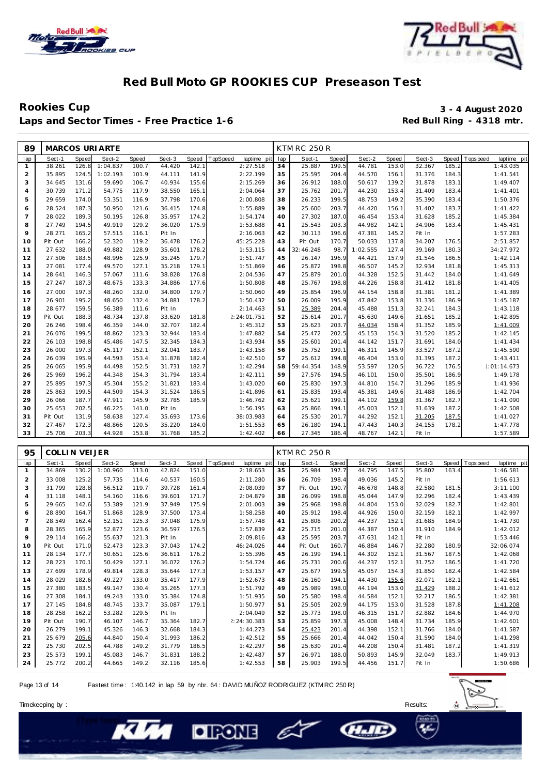



### Rookies Cup<br>
Laps and Sector Times - Free Practice 1-6 **1999 and Sector Times - Free Practice 1-6 3** - 4 August 2020 Laps and Sector Times - Free Practice 1-6

| 89             |         |              | <b>MARCOS URIARTE</b> |              |        |       |               |             |     | <b>KTM RC 250 R</b> |       |          |       |        |       |                               |
|----------------|---------|--------------|-----------------------|--------------|--------|-------|---------------|-------------|-----|---------------------|-------|----------|-------|--------|-------|-------------------------------|
| lap            | Sect-1  | <b>Speed</b> | Sect-2                | <b>Speed</b> | Sect-3 | Speed | TopSpeed      | laptime pit | lap | Sect-1              | Speed | Sect-2   | Speed | Sect-3 |       | Speed Topspeed<br>laptime pit |
| $\mathbf{1}$   | 38.261  | 126.8        | 1:04.837              | 100.7        | 44.420 | 142.1 |               | 2:27.518    | 34  | 25.887              | 199.5 | 44.781   | 153.0 | 32.367 | 185.2 | 1:43.035                      |
| $\overline{2}$ | 35.895  | 124.5        | 1:02.193              | 101.9        | 44.111 | 141.9 | 2:22.199      |             | 35  | 25.595              | 204.4 | 44.570   | 156.1 | 31.376 | 184.3 | 1:41.541                      |
| 3              | 34.645  | 131.6        | 59.690                | 106.7        | 40.934 | 155.6 | 2:15.269      |             | 36  | 26.912              | 188.0 | 50.617   | 139.2 | 31.878 | 183.1 | 1:49.407                      |
| $\overline{4}$ | 30.739  | 171.2        | 54.775                | 117.9        | 38.550 | 165.1 | 2:04.064      |             | 37  | 25.762              | 201.7 | 44.230   | 153.4 | 31.409 | 183.4 | 1:41.401                      |
| 5              | 29.659  | 174.0        | 53.351                | 116.9        | 37.798 | 170.6 | 2:00.808      |             | 38  | 26.233              | 199.5 | 48.753   | 149.2 | 35.390 | 183.4 | 1:50.376                      |
| 6              | 28.524  | 187.3        | 50.950                | 121.6        | 36.415 | 174.8 | 1:55.889      |             | 39  | 25.600              | 203.7 | 44.420   | 156.1 | 31.402 | 183.7 | 1:41.422                      |
| $\overline{7}$ | 28.022  | 189.3        | 50.195                | 126.8        | 35.957 | 174.2 | 1:54.174      |             | 40  | 27.302              | 187.0 | 46.454   | 153.4 | 31.628 | 185.2 | 1:45.384                      |
| 8              | 27.749  | 194.5        | 49.919                | 129.2        | 36.020 | 175.9 | 1:53.688      |             | 41  | 25.543              | 203.3 | 44.982   | 142.1 | 34.906 | 183.4 | 1:45.431                      |
| $\circ$        | 28.271  | 165.2        | 57.515                | 116.1        | Pit In |       | 2:16.063      |             | 42  | 30.113              | 196.6 | 47.381   | 145.2 | Pit In |       | 1:57.283                      |
| 10             | Pit Out | 166.2        | 52.320                | 119.2        | 36.478 | 176.2 | 45:25.228     |             | 43  | Pit Out             | 170.7 | 50.033   | 137.8 | 34.207 | 176.5 | 2:51.857                      |
| 11             | 27.632  | 188.0        | 49.882                | 128.9        | 35.601 | 178.2 | 1:53.115      |             | 44  | 32:46.248           | 98.7  | 1:02.555 | 127.4 | 39.169 | 180.3 | 34:27.972                     |
| 12             | 27.506  | 183.5        | 48.996                | 125.9        | 35.245 | 179.7 | 1:51.747      |             | 45  | 26.147              | 196.9 | 44.421   | 157.9 | 31.546 | 186.5 | 1:42.114                      |
| 13             | 27.081  | 177.4        | 49.570                | 127.1        | 35.218 | 179.1 | 1:51.869      |             | 46  | 25.872              | 198.8 | 46.507   | 145.2 | 32.934 | 181.8 | 1:45.313                      |
| 14             | 28.641  | 146.3        | 57.067                | 111.6        | 38.828 | 176.8 | 2:04.536      |             | 47  | 25.879              | 201.0 | 44.328   | 152.5 | 31.442 | 184.0 | 1:41.649                      |
| 15             | 27.247  | 187.3        | 48.675                | 133.3        | 34.886 | 177.6 | 1:50.808      |             | 48  | 25.767              | 198.8 | 44.226   | 158.8 | 31.412 | 181.8 | 1:41.405                      |
| 16             | 27.000  | 197.3        | 48.260                | 132.0        | 34.800 | 179.7 | 1:50.060      |             | 49  | 25.854              | 196.9 | 44.154   | 158.8 | 31.381 | 181.2 | 1:41.389                      |
| 17             | 26.901  | 195.2        | 48.650                | 132.4        | 34.881 | 178.2 | 1:50.432      |             | 50  | 26.009              | 195.9 | 47.842   | 153.8 | 31.336 | 186.9 | 1:45.187                      |
| 18             | 28.677  | 159.5        | 56.389                | 111.6        | Pit In |       | 2:14.463      |             | 51  | 25.389              | 204.4 | 45.488   | 151.3 | 32.241 | 184.3 | 1:43.118                      |
| 19             | Pit Out | 188.3        | 48.734                | 137.8        | 33.620 | 181.8 | 2: 24: 01.751 |             | 52  | 25.614              | 201.7 | 45.630   | 149.6 | 31.651 | 185.2 | 1:42.895                      |
| 20             | 26.246  | 198.4        | 46.359                | 144.0        | 32.707 | 182.4 | 1:45.312      |             | 53  | 25.623              | 203.7 | 44.034   | 158.4 | 31.352 | 185.9 | 1:41.009                      |
| 21             | 26.076  | 199.5        | 48.862                | 123.3        | 32.944 | 183.4 | 1:47.882      |             | 54  | 25.472              | 202.5 | 45.153   | 154.3 | 31.520 | 185.2 | 1:42.145                      |
| 22             | 26.103  | 198.8        | 45.486                | 147.5        | 32.345 | 184.3 | 1:43.934      |             | 55  | 25.601              | 201.4 | 44.142   | 151.7 | 31.691 | 184.0 | 1:41.434                      |
| 23             | 26.000  | 197.3        | 45.117                | 152.1        | 32.041 | 183.7 | 1:43.158      |             | 56  | 25.752              | 199.1 | 46.311   | 145.9 | 33.527 | 187.2 | 1:45.590                      |
| 24             | 26.039  | 195.9        | 44.593                | 153.4        | 31.878 | 182.4 | 1:42.510      |             | 57  | 25.612              | 194.8 | 46.404   | 153.0 | 31.395 | 187.2 | 1:43.411                      |
| 25             | 26.065  | 195.9        | 44.498                | 152.5        | 31.731 | 182.7 | 1:42.294      |             | 58  | 59:44.354           | 148.9 | 53.597   | 120.5 | 36.722 | 176.5 | 1:01:14.673                   |
| 26             | 25.969  | 196.2        | 44.348                | 154.3        | 31.794 | 183.4 | 1:42.111      |             | 59  | 27.576              | 194.5 | 46.101   | 150.0 | 35.501 | 186.9 | 1:49.178                      |
| 27             | 25.895  | 197.3        | 45.304                | 155.2        | 31.821 | 183.4 | 1:43.020      |             | 60  | 25.830              | 197.3 | 44.810   | 154.7 | 31.296 | 185.9 | 1:41.936                      |
| 28             | 25.863  | 199.5        | 44.509                | 154.3        | 31.524 | 186.5 | 1:41.896      |             | 61  | 25.835              | 193.4 | 45.381   | 149.6 | 31.488 | 186.9 | 1:42.704                      |
| 29             | 26.066  | 187.7        | 47.911                | 145.9        | 32.785 | 185.9 | 1:46.762      |             | 62  | 25.621              | 199.1 | 44.102   | 159.8 | 31.367 | 182.7 | 1:41.090                      |
| 30             | 25.653  | 202.5        | 46.225                | 141.0        | Pit In |       | 1:56.195      |             | 63  | 25.866              | 194.1 | 45.003   | 152.1 | 31.639 | 187.2 | 1:42.508                      |
| 31             | Pit Out | 131.9        | 58.638                | 127.4        | 35.693 | 173.6 | 38:03.983     |             | 64  | 25.530              | 201.7 | 44.292   | 152.1 | 31.205 | 187.5 | 1:41.027                      |
| 32             | 27.467  | 172.3        | 48.866                | 120.5        | 35.220 | 184.0 | 1:51.553      |             | 65  | 26.180              | 194.1 | 47.443   | 140.3 | 34.155 | 178.2 | 1:47.778                      |
| 33             | 25.706  | 203.3        | 44.928                | 153.8        | 31.768 | 185.2 | 1:42.402      |             | 66  | 27.345              | 186.4 | 48.767   | 142.1 | Pit In |       | 1:57.589                      |
|                |         |              |                       |              |        |       |               |             |     |                     |       |          |       |        |       |                               |

| 95             | COLLIN VEIJER |       |          |       |        |       |          |             |     | <b>KTM RC 250 R</b> |       |        |       |        |       |            |             |
|----------------|---------------|-------|----------|-------|--------|-------|----------|-------------|-----|---------------------|-------|--------|-------|--------|-------|------------|-------------|
| lap            | Sect-1        | Speed | Sect-2   | Speed | Sect-3 | Speed | TopSpeed | laptime pit | lap | Sect-1              | Speed | Sect-2 | Speed | Sect-3 | Speed | Tops pee d | laptime pit |
| -1             | 34.869        | 130.2 | 1:00.960 | 113.0 | 42.824 | 151.0 |          | 2:18.653    | 35  | 25.984              | 197.7 | 44.795 | 147.5 | 35.802 | 163.4 |            | 1:46.581    |
| $\overline{2}$ | 33.008        | 125.2 | 57.735   | 114.6 | 40.537 | 160.5 |          | 2:11.280    | 36  | 26.709              | 198.4 | 49.036 | 145.2 | Pit In |       |            | 1:56.613    |
| 3              | 31.799        | 128.8 | 56.512   | 119.7 | 39.728 | 161.4 |          | 2:08.039    | 37  | Pit Out             | 190.7 | 46.678 | 148.8 | 32.580 | 181.5 |            | 3:11.100    |
| $\overline{4}$ | 31.118        | 148.1 | 54.160   | 116.6 | 39.601 | 171.7 |          | 2:04.879    | 38  | 26.099              | 198.8 | 45.044 | 147.9 | 32.296 | 182.4 |            | 1:43.439    |
| 5              | 29.665        | 142.6 | 53.389   | 121.9 | 37.949 | 175.9 |          | 2:01.003    | 39  | 25.968              | 198.8 | 44.804 | 153.0 | 32.029 | 182.7 |            | 1:42.801    |
| 6              | 28.890        | 164.7 | 51.868   | 128.9 | 37.500 | 173.4 |          | 1:58.258    | 40  | 25.912              | 198.4 | 44.926 | 150.0 | 32.159 | 182.1 |            | 1:42.997    |
| $\overline{7}$ | 28.549        | 162.4 | 52.151   | 125.3 | 37.048 | 175.9 |          | 1:57.748    | 41  | 25.808              | 200.2 | 44.237 | 152.1 | 31.685 | 184.9 |            | 1:41.730    |
| 8              | 28.365        | 165.9 | 52.877   | 123.6 | 36.597 | 176.5 |          | 1:57.839    | 42  | 25.715              | 201.0 | 44.387 | 150.4 | 31.910 | 184.9 |            | 1:42.012    |
| 9              | 29.114        | 166.2 | 55.637   | 121.3 | Pit In |       |          | 2:09.816    | 43  | 25.595              | 203.7 | 47.631 | 142.1 | Pit In |       |            | 1:53.446    |
| 10             | Pit Out       | 171.0 | 52.473   | 123.3 | 37.043 | 174.2 |          | 46:24.026   | 44  | Pit Out             | 160.7 | 46.884 | 146.7 | 32.280 | 180.9 |            | 32:06.074   |
| 11             | 28.134        | 177.7 | 50.651   | 125.6 | 36.611 | 176.2 |          | 1:55.396    | 45  | 26.199              | 194.1 | 44.302 | 152.1 | 31.567 | 187.5 |            | 1:42.068    |
| 12             | 28.223        | 170.1 | 50.429   | 127.1 | 36.072 | 176.2 |          | 1:54.724    | 46  | 25.731              | 200.6 | 44.237 | 152.1 | 31.752 | 186.5 |            | 1:41.720    |
| 13             | 27.699        | 178.9 | 49.814   | 128.3 | 35.644 | 177.3 |          | 1:53.157    | 47  | 25.677              | 199.5 | 45.057 | 154.3 | 31.850 | 182.4 |            | 1:42.584    |
| 14             | 28.029        | 182.6 | 49.227   | 133.0 | 35.417 | 177.9 |          | 1:52.673    | 48  | 26.160              | 194.1 | 44.430 | 155.6 | 32.071 | 182.1 |            | 1:42.661    |
| 15             | 27.380        | 183.5 | 49.147   | 130.4 | 35.265 | 177.3 |          | 1:51.792    | 49  | 25.989              | 198.0 | 44.194 | 153.0 | 31.429 | 188.2 |            | 1:41.612    |
| 16             | 27.308        | 184.1 | 49.243   | 133.0 | 35.384 | 174.8 |          | 1:51.935    | 50  | 25.580              | 198.4 | 44.584 | 152.1 | 32.217 | 186.5 |            | 1:42.381    |
| 17             | 27.145        | 184.8 | 48.745   | 133.7 | 35.087 | 179.1 |          | 1:50.977    | 51  | 25.505              | 202.9 | 44.175 | 153.0 | 31.528 | 187.8 |            | 1:41.208    |
| 18             | 28.258        | 162.2 | 53.282   | 129.5 | Pit In |       |          | 2:04.049    | 52  | 25.773              | 198.0 | 46.315 | 151.7 | 32.882 | 184.6 |            | 1:44.970    |
| 19             | Pit Out       | 190.7 | 46.107   | 146.7 | 35.364 | 182.7 |          | 2:24:30.383 | 53  | 25.859              | 197.3 | 45.008 | 148.4 | 31.734 | 185.9 |            | 1:42.601    |
| 20             | 26.279        | 199.1 | 45.326   | 146.3 | 32.668 | 184.3 |          | 1:44.273    | 54  | 25.423              | 201.4 | 44.398 | 152.1 | 31.766 | 184.0 |            | 1:41.587    |
| 21             | 25.679        | 205.6 | 44.840   | 150.4 | 31.993 | 186.2 |          | 1:42.512    | 55  | 25.666              | 201.4 | 44.042 | 150.4 | 31.590 | 184.0 |            | 1:41.298    |
| 22             | 25.730        | 202.5 | 44.788   | 149.2 | 31.779 | 186.5 |          | 1:42.297    | 56  | 25.630              | 201.4 | 44.208 | 150.4 | 31.481 | 187.2 |            | 1:41.319    |
| 23             | 25.573        | 199.1 | 45.083   | 146.7 | 31.831 | 188.2 |          | 1:42.487    | 57  | 26.971              | 188.0 | 50.893 | 145.9 | 32.049 | 183.7 |            | 1:49.913    |
| 24             | 25.772        | 200.2 | 44.665   | 149.2 | 32.116 | 185.6 |          | 1:42.553    | 58  | 25.903              | 199.5 | 44.456 | 151.7 | Pit In |       |            | 1:50.686    |

– C

**CHAID** 

Page 13 of 14 Fastest time : 1:40.142 in lap 59 by nbr. 64 : DAVID MUÑOZ RODRIGUEZ (KTM RC 250 R)

**DIRONE** 

Timekeeping by : Results: